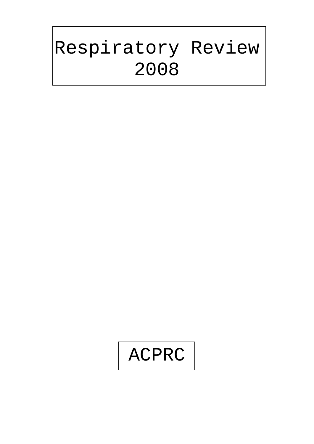# Respiratory Review 2008

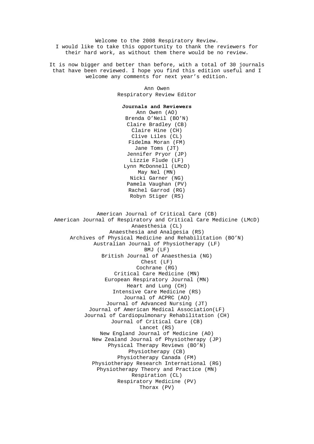Welcome to the 2008 Respiratory Review. I would like to take this opportunity to thank the reviewers for their hard work, as without them there would be no review.

It is now bigger and better than before, with a total of 30 journals that have been reviewed. I hope you find this edition useful and I welcome any comments for next year's edition.

> Ann Owen Respiratory Review Editor

#### **Journals and Reviewers**

Ann Owen (AO) Brenda O'Neil (BO'N) Claire Bradley (CB) Claire Hine (CH) Clive Liles (CL) Fidelma Moran (FM) Jane Toms (JT) Jennifer Pryor (JP) Lizzie Flude (LF) Lynn McDonnell (LMcD) May Nel (MN) Nicki Garner (NG) Pamela Vaughan (PV) Rachel Garrod (RG) Robyn Stiger (RS)

American Journal of Critical Care (CB) American Journal of Respiratory and Critical Care Medicine (LMcD) Anaesthesia (CL) Anaesthesia and Analgesia (RS) Archives of Physical Medicine and Rehabilitation (BO'N) Australian Journal of Physiotherapy (LF) BMJ (LF) British Journal of Anaesthesia (NG) Chest (LF) Cochrane (RG) Critical Care Medicine (MN) European Respiratory Journal (MN) Heart and Lung (CH) Intensive Care Medicine (RS) Journal of ACPRC (AO) Journal of Advanced Nursing (JT) Journal of American Medical Association(LF) Journal of Cardiopulmonary Rehabilitation (CH) Journal of Critical Care (CB) Lancet (RS) New England Journal of Medicine (AO) New Zealand Journal of Physiotherapy (JP) Physical Therapy Reviews (BO'N) Physiotherapy (CB) Physiotherapy Canada (FM) Physiotherapy Research International (RG) Physiotherapy Theory and Practice (MN) Respiration (CL) Respiratory Medicine (PV) Thorax (PV)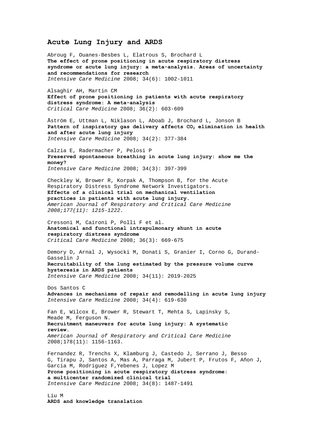## **Acute Lung Injury and ARDS**

[Abroug](http://www.springerlink.com/content/?Author=Fekri+Abroug) F, [Ouanes-Besbes](http://www.springerlink.com/content/?Author=Lamia+Ouanes-Besbes) L, [Elatrous](http://www.springerlink.com/content/?Author=Souheil+Elatrous) S, [Brochard](http://www.springerlink.com/content/?Author=Laurent+Brochard) L **[The effect of prone positioning in acute respiratory distress](http://www.springerlink.com/content/313236155kul0987/?p=716cf70937c14e839e713c3e869fb579&pi=5)  [syndrome or acute lung injury: a meta-analysis. Areas of uncertainty](http://www.springerlink.com/content/313236155kul0987/?p=716cf70937c14e839e713c3e869fb579&pi=5)  [and recommendations for research](http://www.springerlink.com/content/313236155kul0987/?p=716cf70937c14e839e713c3e869fb579&pi=5)**  *Intensive Care Medicine* 2008; 34(6): 1002-1011

Alsaghir AH, Martin CM **Effect of prone positioning in patients with acute respiratory distress syndrome: A meta-analysis** *Critical Care Medicine* 2008; 36(2): 603-609

[Åström](http://www.springerlink.com/content/?Author=Elisabet+%c3%85str%c3%b6m) E, [Uttman](http://www.springerlink.com/content/?Author=Leif+Uttman) L, [Niklason](http://www.springerlink.com/content/?Author=Lisbet+Niklason) L, [Aboab](http://www.springerlink.com/content/?Author=Jerome+Aboab) J, [Brochard](http://www.springerlink.com/content/?Author=Laurent+Brochard) L[, Jonson](http://www.springerlink.com/content/?Author=Bj%c3%b6rn+Jonson) B Pattern of inspiratory gas delivery affects CO<sub>2</sub> elimination in health **[and after acute lung injury](http://www.springerlink.com/content/f537411h25831783/?p=5f4a312717924ed0b0262b04153b7567&pi=23)**  *Intensive Care Medicine* 2008; 34(2): 377-384

[Calzia](http://www.springerlink.com/content/?Author=Enrico+Calzia) E, [Radermacher](http://www.springerlink.com/content/?Author=Peter+Radermacher) P, [Pelosi](http://www.springerlink.com/content/?Author=Paolo+Pelosi) P **[Preserved spontaneous breathing in acute lung injury: show me the](http://www.springerlink.com/content/px1t42556118k025/?p=0cb82b04a8b9412aad350771d06a2b86&pi=1)  [money?](http://www.springerlink.com/content/px1t42556118k025/?p=0cb82b04a8b9412aad350771d06a2b86&pi=1)**  *Intensive Care Medicine* 2008; 34(3): 397-399

Checkley W, Brower R, Korpak A, Thompson B, for the Acute Respiratory Distress Syndrome Network Investigators. **Effects of a clinical trial on mechanical ventilation practices in patients with acute lung injury.**  *American Journal of Respiratory and Critical Care Medicine 2008;177(11): 1215-1222.* 

Cressoni M, Caironi P, Polli F et al. **Anatomical and functional intrapulmonary shunt in acute respiratory distress syndrome**  *Critical Care Medicine* 2008; 36(3): 669-675

[Demory](http://www.springerlink.com/content/?Author=Didier+Demory) D, [Arnal](http://www.springerlink.com/content/?Author=Jean-Michel+Arnal) J, [Wysocki](http://www.springerlink.com/content/?Author=Marc+Wysocki) M, [Donati](http://www.springerlink.com/content/?Author=St%c3%a9phane+Donati) S[, Granier](http://www.springerlink.com/content/?Author=Isabelle+Granier) I, [Corno](http://www.springerlink.com/content/?Author=Ga%c3%ablle+Corno) G, [Durand-](http://www.springerlink.com/content/?Author=Jacques+Durand-Gasselin)[Gasselin](http://www.springerlink.com/content/?Author=Jacques+Durand-Gasselin) J **[Recruitability of the lung estimated by the pressure volume curve](http://www.springerlink.com/content/1964604303q68x87/?p=8d99c4d4c5cb48b6b1ca95d12e363687&pi=12)  [hysteresis in ARDS patients](http://www.springerlink.com/content/1964604303q68x87/?p=8d99c4d4c5cb48b6b1ca95d12e363687&pi=12)**  *Intensive Care Medicine* 2008; 34(11): 2019-2025

[Dos Santos](http://www.springerlink.com/content/?Author=Claudia+C.+Dos%c2%a0Santos) C **[Advances in mechanisms of repair and remodelling in acute lung injury](http://www.springerlink.com/content/g72jj2u38v0n101v/?p=bb11e35218234b049057c8140c5e05e3&pi=5)**  *Intensive Care Medicine* 2008; 34(4): 619-630

Fan E, Wilcox E, Brower R, Stewart T, Mehta S, Lapinsky S, Meade M, Ferguson N. **Recruitment maneuvers for acute lung injury: A systematic review.**  *American Journal of Respiratory and Critical Care Medicine*  2008;178(11): 1156-1163.

[Fernandez](http://www.springerlink.com/content/?Author=Rafael+Fernandez) R, [Trenchs](http://www.springerlink.com/content/?Author=Xavier+Trenchs) X, [Klamburg](http://www.springerlink.com/content/?Author=Jordi+Klamburg) J, [Castedo](http://www.springerlink.com/content/?Author=Jon+Castedo) J, [Serrano](http://www.springerlink.com/content/?Author=Jose+Manuel+Serrano) J, [Besso](http://www.springerlink.com/content/?Author=Guillermo+Besso)  G, [Tirapu](http://www.springerlink.com/content/?Author=Juan+Pedro+Tirapu) J, Santos A, [Mas](http://www.springerlink.com/content/?Author=Arantxa+Mas) A, [Parraga](http://www.springerlink.com/content/?Author=Manuel+Parraga) M, [Jubert](http://www.springerlink.com/content/?Author=Paola+Jubert) P, [Frutos](http://www.springerlink.com/content/?Author=Fernando+Frutos) F[, Añon](http://www.springerlink.com/content/?Author=Jose+Manuel+A%c3%b1on) J, Garcia M[, Rodriguez](http://www.springerlink.com/content/?Author=Fernando+Rodriguez) F,[Yebenes](http://www.springerlink.com/content/?Author=Joan+Carles+Yebenes) J, [Lopez](http://www.springerlink.com/content/?Author=Maria+Jesus+Lopez) M **[Prone positioning in acute respiratory distress syndrome:](http://www.springerlink.com/content/d52707736731005l/?p=164f812e9f5e41c4a338f13cfbd48734&pi=18)  [a multicenter randomized clinical trial](http://www.springerlink.com/content/d52707736731005l/?p=164f812e9f5e41c4a338f13cfbd48734&pi=18)**  *Intensive Care Medicine* 2008; 34(8): 1487-1491

[Liu](http://www.springerlink.com/content/?Author=Mingyao+Liu) M **[ARDS and knowledge translation](http://www.springerlink.com/content/8523361212p05076/?p=bb11e35218234b049057c8140c5e05e3&pi=0)**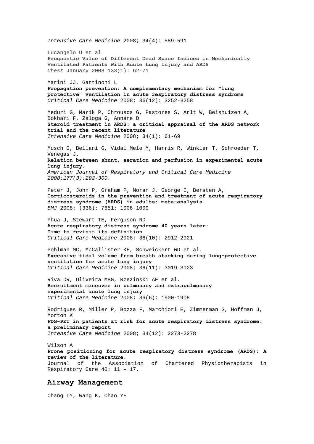*Intensive Care Medicine* 2008; 34(4): 589-591 Lucangelo U et al **Prognostic Value of Different Dead Space Indices in Mechanically Ventilated Patients With Acute Lung Injury and ARDS** *Chest* January 2008 133(1): 62-71 Marini JJ, Gattinoni L **Propagation prevention: A complementary mechanism for "lung protective" ventilation in acute respiratory distress syndrome**  *Critical Care Medicine* 2008; 36(12): 3252-3258 [Meduri](http://www.springerlink.com/content/?Author=G.+Umberto+Meduri) G, [Marik](http://www.springerlink.com/content/?Author=Paul+E.+Marik) P, [Chrousos](http://www.springerlink.com/content/?Author=George+P.+Chrousos) G, [Pastores](http://www.springerlink.com/content/?Author=Stephen+M.+Pastores) S, [Arlt](http://www.springerlink.com/content/?Author=Wiebke+Arlt) W, [Beishuizen](http://www.springerlink.com/content/?Author=Albertus+Beishuizen) A, [Bokhari](http://www.springerlink.com/content/?Author=Faran+Bokhari) F, [Zaloga](http://www.springerlink.com/content/?Author=Gary+Zaloga) G[, Annane](http://www.springerlink.com/content/?Author=Djillali+Annane) D **[Steroid treatment in ARDS: a critical appraisal of the ARDS network](http://www.springerlink.com/content/k67525g8n33wh543/?p=ac22d150fcf2427eb1ba5f2334e6deab&pi=4)  [trial and the recent literature](http://www.springerlink.com/content/k67525g8n33wh543/?p=ac22d150fcf2427eb1ba5f2334e6deab&pi=4)**  *Intensive Care Medicine* 2008; 34(1): 61-69 Musch G, Bellani G, Vidal Melo M, Harris R, Winkler T, Schroeder T, Venegas J. **Relation between shunt, aeration and perfusion in experimental acute lung injury.**  *American Journal of Respiratory and Critical Care Medicine 2008;177(3):292-300.*  Peter J, John P, Graham P, Moran J, George I, Bersten A, **Corticosteroids in the prevention and treatment of acute respiratory distress syndrome (ARDS) in adults: meta-analysis** *BMJ* 2008; (336): 7651: 1006-1009 Phua J, Stewart TE, Ferguson ND **Acute respiratory distress syndrome 40 years later: Time to revisit its definition**  *Critical Care Medicine* 2008; 36(10): 2912-2921 Pohlman MC, McCallister KE, Schweickert WD et al. **Excessive tidal volume from breath stacking during lung-protective ventilation for acute lung injury**  *Critical Care Medicine* 2008; 36(11): 3019-3023 Riva DR, Oliveira MBG, Rzezinski AF et al. **Recruitment maneuver in pulmonary and extrapulmonary experimental acute lung injury**  *Critical Care Medicine* 2008; 36(6): 1900-1908 [Rodrigues](http://www.springerlink.com/content/?Author=R.+S.+Rodrigues) R, [Miller](http://www.springerlink.com/content/?Author=P.+R.+Miller) P, [Bozza](http://www.springerlink.com/content/?Author=F.+A.+Bozza) F, [Marchiori](http://www.springerlink.com/content/?Author=E.+Marchiori) E, [Zimmerman](http://www.springerlink.com/content/?Author=G.+A.+Zimmerman) G, [Hoffman](http://www.springerlink.com/content/?Author=J.+M.+Hoffman) J, [Morton](http://www.springerlink.com/content/?Author=K.+A.+Morton) K **[FDG-PET in patients at risk for acute respiratory distress syndrome:](http://www.springerlink.com/content/g711211x13038p72/?p=ec45afe0129c4aad94744de2007a2a62&pi=21)  [a preliminary report](http://www.springerlink.com/content/g711211x13038p72/?p=ec45afe0129c4aad94744de2007a2a62&pi=21)**  *Intensive Care Medicine* 2008; 34(12): 2273-2278 Wilson A **Prone positioning for acute respiratory distress syndrome (ARDS): A review of the literature.**  Journal of the Association of Chartered Physiotherapists in Respiratory Care 40: 11 – 17. **Airway Management** 

Chang LY, Wang K, Chao YF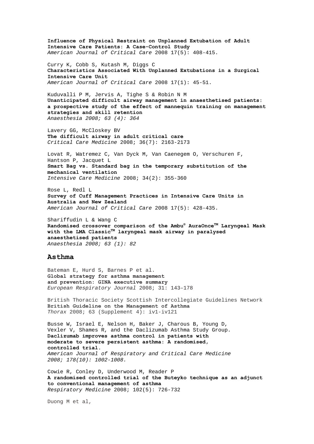**Influence of Physical Restraint on Unplanned Extubation of Adult Intensive Care Patients: A Case-Control Study** *American Journal of Critical Care* 2008 17(5): 408-415. Curry K, Cobb S, Kutash M, Diggs C **Characteristics Associated With Unplanned Extubations in a Surgical Intensive Care Unit** *American Journal of Critical Care* 2008 17(1): 45-51. Kuduvalli P M, Jervis A, Tighe S & Robin N M **Unanticipated difficult airway management in anaesthetised patients: a prospective study of the effect of mannequin training on management strategies and skill retention** *Anaesthesia 2008; 63 (4): 364*  Lavery GG, McCloskey BV **The difficult airway in adult critical care**  *Critical Care Medicine* 2008; 36(7): 2163-2173 [Lovat](http://www.springerlink.com/content/?Author=Robin+Lovat) R, [Watremez](http://www.springerlink.com/content/?Author=Christine+Watremez) C, [Van Dyck](http://www.springerlink.com/content/?Author=Michel+Van+Dyck) M, [Van Caenegem](http://www.springerlink.com/content/?Author=Olivier+Van+Caenegem) O, [Verschuren](http://www.springerlink.com/content/?Author=Franck+Verschuren) F, [Hantson](http://www.springerlink.com/content/?Author=Philippe+Hantson) P, [Jacquet](http://www.springerlink.com/content/?Author=Luc-Marie+Jacquet) L **[Smart Bag vs. Standard bag in the temporary substitution of the](http://www.springerlink.com/content/fp508g6534266362/?p=5f4a312717924ed0b0262b04153b7567&pi=20)  [mechanical ventilation](http://www.springerlink.com/content/fp508g6534266362/?p=5f4a312717924ed0b0262b04153b7567&pi=20)**  *Intensive Care Medicine* 2008; 34(2): 355-360 Rose L, Redl L **Survey of Cuff Management Practices in Intensive Care Units in Australia and New Zealand** *American Journal of Critical Care* 2008 17(5): 428-435. Shariffudin L & Wang C **Randomised crossover comparison of the Ambu® AuraOnceTM Laryngeal Mask with the LMA ClassicTM laryngeal mask airway in paralysed anaesthetised patients** *Anaesthesia 2008; 63 (1): 82*  **Asthma**  Bateman E, Hurd S, Barnes P et al. **Global strategy for asthma management and prevention: GINA executive summary**  *European Respiratory Journal* 2008; 31: 143–178 British Thoracic Society Scottish Intercollegiate Guidelines Network **British Guideline on the Management of Asthma** *Thorax* 2008; 63 (Supplement 4): iv1-iv121 Busse W, Israel E, Nelson H, Baker J, Charous B, Young D, Vexler V, Shames R, and the Daclizumab Asthma Study Group. **Daclizumab improves asthma control in patients with moderate to severe persistent asthma: A randomised, controlled trial.**  *American Journal of Respiratory and Critical Care Medicine 2008; 178(10): 1002-1008.*  Cowie R, Conley D, Underwood M, Reader P

**[A randomised controlled trial of the Buteyko technique as an adjunct](http://www.sciencedirect.com/science?_ob=ArticleURL&_udi=B6WWS-4RR20YB-3&_user=10&_coverDate=05%2F31%2F2008&_rdoc=12&_fmt=high&_orig=browse&_srch=doc-info(%23toc%237138%232008%23998979994%23684089%23FLA%23display%23Volume)&_cdi=7138&_sort=d&_docanchor=&_ct=21&_acct=C000050221&_version=1&_urlVersion=0&_userid=10&md5=e1d683a88d5303f24152294ebe497be8)  [to conventional management of asthma](http://www.sciencedirect.com/science?_ob=ArticleURL&_udi=B6WWS-4RR20YB-3&_user=10&_coverDate=05%2F31%2F2008&_rdoc=12&_fmt=high&_orig=browse&_srch=doc-info(%23toc%237138%232008%23998979994%23684089%23FLA%23display%23Volume)&_cdi=7138&_sort=d&_docanchor=&_ct=21&_acct=C000050221&_version=1&_urlVersion=0&_userid=10&md5=e1d683a88d5303f24152294ebe497be8)** *Respiratory Medicine* 2008; 102(5): 726-732

Duong M et al,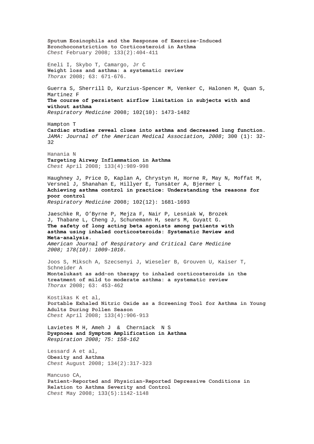**Sputum Eosinophils and the Response of Exercise-Induced Bronchoconstriction to Corticosteroid in Asthma**  *Chest* February 2008; 133(2):404-411 Eneli I, Skybo T, Camargo, Jr C **Weight loss and asthma: a systematic review** *Thorax* 2008; 63: 671-676. Guerra S, Sherrill D, Kurzius-Spencer M, Venker C, Halonen M, Quan S, Martinez F **[The course of persistent airflow limitation in subjects with and](http://www.sciencedirect.com/science?_ob=ArticleURL&_udi=B6WWS-4T53HHH-1&_user=10&_coverDate=10%2F31%2F2008&_rdoc=18&_fmt=high&_orig=browse&_srch=doc-info(%23toc%237138%232008%23998979989%23696953%23FLA%23display%23Volume)&_cdi=7138&_sort=d&_docanchor=&_ct=23&_acct=C000050221&_version=1&_urlVersion=0&_userid=10&md5=44f737a670ef908fbe83320c71874fa3)  [without asthma](http://www.sciencedirect.com/science?_ob=ArticleURL&_udi=B6WWS-4T53HHH-1&_user=10&_coverDate=10%2F31%2F2008&_rdoc=18&_fmt=high&_orig=browse&_srch=doc-info(%23toc%237138%232008%23998979989%23696953%23FLA%23display%23Volume)&_cdi=7138&_sort=d&_docanchor=&_ct=23&_acct=C000050221&_version=1&_urlVersion=0&_userid=10&md5=44f737a670ef908fbe83320c71874fa3)** *Respiratory Medicine* 2008; 102(10): 1473-1482 Hampton T **Cardiac studies reveal clues into asthma and decreased lung function.**  *JAMA: Journal of the American Medical Association, 2008*; 300 (1): 32- 32 Hanania N **Targeting Airway Inflammation in Asthma**  *Chest* April 2008; 133(4):989-998 Haughney J, Price D, Kaplan A, Chrystyn H, Horne R, May N, Moffat M, Versnel J, Shanahan E, Hillyer E, Tunsäter A, Bjermer L **[Achieving asthma control in practice: Understanding the reasons for](http://www.sciencedirect.com/science?_ob=ArticleURL&_udi=B6WWS-4THB4C5-1&_user=10&_coverDate=12%2F31%2F2008&_rdoc=2&_fmt=high&_orig=browse&_srch=doc-info(%23toc%237138%232008%23998979987%23701939%23FLA%23display%23Volume)&_cdi=7138&_sort=d&_docanchor=&_ct=25&_acct=C000050221&_version=1&_urlVersion=0&_userid=10&md5=ba9588484ed34cd81ff680fa89361c2f)  [poor control](http://www.sciencedirect.com/science?_ob=ArticleURL&_udi=B6WWS-4THB4C5-1&_user=10&_coverDate=12%2F31%2F2008&_rdoc=2&_fmt=high&_orig=browse&_srch=doc-info(%23toc%237138%232008%23998979987%23701939%23FLA%23display%23Volume)&_cdi=7138&_sort=d&_docanchor=&_ct=25&_acct=C000050221&_version=1&_urlVersion=0&_userid=10&md5=ba9588484ed34cd81ff680fa89361c2f)** *Respiratory Medicine* 2008; 102(12): 1681-1693 Jaeschke R, O'Byrne P, Mejza F, Nair P, Lesniak W, Brozek J, Thabane L, Cheng J, Schunemann H, sears M, Guyatt G. **The safety of long acting beta agonists among patients with asthma using inhaled corticosteroids: Systematic Review and Meta-analysis.**  *American Journal of Respiratory and Critical Care Medicine 2008; 178(10): 1009-1016.*  Joos S, Miksch A, Szecsenyi J, Wieseler B, Grouven U, Kaiser T, Schneider A **Montelukast as add-on therapy to inhaled corticosteroids in the treatment of mild to moderate asthma: a systematic review** *Thorax* 2008; 63: 453-462 Kostikas K et al, **Portable Exhaled Nitric Oxide as a Screening Tool for Asthma in Young Adults During Pollen Season**  *Chest* April 2008; 133(4):906-913 Lavietes M H, Ameh J & Cherniack N S **Dyspnoea and Symptom Amplification in Asthma** *Respiration 2008; 75: 158-162* Lessard A et al, **Obesity and Asthma**  *Chest* August 2008; 134(2):317-323 Mancuso CA, **Patient-Reported and Physician-Reported Depressive Conditions in Relation to Asthma Severity and Control**  *Chest* May 2008; 133(5):1142-1148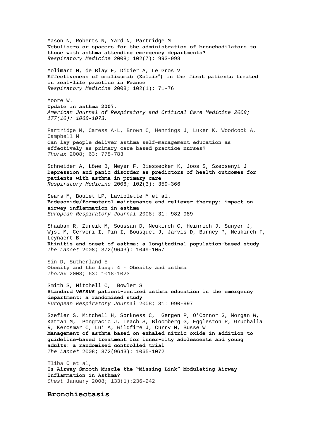Mason N, Roberts N, Yard N, Partridge M **[Nebulisers or spacers for the administration of bronchodilators to](http://www.sciencedirect.com/science?_ob=ArticleURL&_udi=B6WWS-4S9RDDR-4&_user=10&_coverDate=07%2F31%2F2008&_rdoc=8&_fmt=high&_orig=browse&_srch=doc-info(%23toc%237138%232008%23998979992%23691917%23FLA%23display%23Volume)&_cdi=7138&_sort=d&_docanchor=&_ct=20&_acct=C000050221&_version=1&_urlVersion=0&_userid=10&md5=7ab6c61a2f8ea6e9e7ede20ca1190086)  [those with asthma attending emergency departments?](http://www.sciencedirect.com/science?_ob=ArticleURL&_udi=B6WWS-4S9RDDR-4&_user=10&_coverDate=07%2F31%2F2008&_rdoc=8&_fmt=high&_orig=browse&_srch=doc-info(%23toc%237138%232008%23998979992%23691917%23FLA%23display%23Volume)&_cdi=7138&_sort=d&_docanchor=&_ct=20&_acct=C000050221&_version=1&_urlVersion=0&_userid=10&md5=7ab6c61a2f8ea6e9e7ede20ca1190086)** *Respiratory Medicine* 2008; 102(7): 993-998 Molimard M, de Blay F, Didier A, Le Gros V **[Effectiveness of omalizumab \(Xolair](http://www.sciencedirect.com/science?_ob=ArticleURL&_udi=B6WWS-4R00FF0-2&_user=10&_coverDate=01%2F31%2F2008&_rdoc=11&_fmt=high&_orig=browse&_srch=doc-info(%23toc%237138%232008%23998979998%23675265%23FLA%23display%23Volume)&_cdi=7138&_sort=d&_docanchor=&_ct=24&_acct=C000050221&_version=1&_urlVersion=0&_userid=10&md5=ed792a8f12bf8297b2187b230b0f7b5f)[®](http://www.sciencedirect.com/science?_ob=ArticleURL&_udi=B6WWS-4R00FF0-2&_user=10&_coverDate=01%2F31%2F2008&_rdoc=11&_fmt=high&_orig=browse&_srch=doc-info(%23toc%237138%232008%23998979998%23675265%23FLA%23display%23Volume)&_cdi=7138&_sort=d&_docanchor=&_ct=24&_acct=C000050221&_version=1&_urlVersion=0&_userid=10&md5=ed792a8f12bf8297b2187b230b0f7b5f) [\) in the first patients treated](http://www.sciencedirect.com/science?_ob=ArticleURL&_udi=B6WWS-4R00FF0-2&_user=10&_coverDate=01%2F31%2F2008&_rdoc=11&_fmt=high&_orig=browse&_srch=doc-info(%23toc%237138%232008%23998979998%23675265%23FLA%23display%23Volume)&_cdi=7138&_sort=d&_docanchor=&_ct=24&_acct=C000050221&_version=1&_urlVersion=0&_userid=10&md5=ed792a8f12bf8297b2187b230b0f7b5f)  [in real-life practice in France](http://www.sciencedirect.com/science?_ob=ArticleURL&_udi=B6WWS-4R00FF0-2&_user=10&_coverDate=01%2F31%2F2008&_rdoc=11&_fmt=high&_orig=browse&_srch=doc-info(%23toc%237138%232008%23998979998%23675265%23FLA%23display%23Volume)&_cdi=7138&_sort=d&_docanchor=&_ct=24&_acct=C000050221&_version=1&_urlVersion=0&_userid=10&md5=ed792a8f12bf8297b2187b230b0f7b5f)** *Respiratory Medicine* 2008; 102(1): 71-76 Moore W. **Update in asthma 2007.**  *American Journal of Respiratory and Critical Care Medicine 2008; 177(10): 1068-1073.*  Partridge M, Caress A-L, Brown C, Hennings J, Luker K, Woodcock A, Campbell M **Can lay people deliver asthma self-management education as effectively as primary care based practice nurses?** *Thorax* 2008; 63: 778-783 Schneider A, Löwe B, Meyer F, Biessecker K, Joos S, Szecsenyi J **[Depression and panic disorder as predictors of health outcomes for](http://www.sciencedirect.com/science?_ob=ArticleURL&_udi=B6WWS-4R8M0BT-4&_user=10&_coverDate=03%2F31%2F2008&_rdoc=8&_fmt=high&_orig=browse&_srch=doc-info(%23toc%237138%232008%23998979996%23679701%23FLA%23display%23Volume)&_cdi=7138&_sort=d&_docanchor=&_ct=24&_acct=C000050221&_version=1&_urlVersion=0&_userid=10&md5=de97c6959ace76558d1071845fa81270)  [patients with asthma in primary care](http://www.sciencedirect.com/science?_ob=ArticleURL&_udi=B6WWS-4R8M0BT-4&_user=10&_coverDate=03%2F31%2F2008&_rdoc=8&_fmt=high&_orig=browse&_srch=doc-info(%23toc%237138%232008%23998979996%23679701%23FLA%23display%23Volume)&_cdi=7138&_sort=d&_docanchor=&_ct=24&_acct=C000050221&_version=1&_urlVersion=0&_userid=10&md5=de97c6959ace76558d1071845fa81270)** *Respiratory Medicine* 2008; 102(3): 359-366 Sears M, Boulet LP, Laviolette M et al. **Budesonide/formoterol maintenance and reliever therapy: impact on airway inflammation in asthma** *European Respiratory Journal* 2008; 31: 982-989 Shaaban R, Zureik M, Soussan D, Neukirch C, Heinrich J, Sunyer J, Wjst M, Cerveri I, Pin I, Bousquet J, Jarvis D, Burney P, Neukirch F, Leynaert B **Rhinitis and onset of asthma: a longitudinal population-based study**  *The Lancet* 2008; 372(9643): 1049-1057 Sin D, Sutherland E **Obesity and the lung: 4 · Obesity and asthma** *Thorax* 2008; 63: 1018-1023 Smith S, Mitchell C, Bowler S **Standard** *versus* **patient-centred asthma education in the emergency department: a randomised study** *European Respiratory Journal* 2008; 31: 990-997 Szefler S, Mitchell H, Sorkness C, Gergen P, O'Connor G, Morgan W, Kattan M, Pongracic J, Teach S, Bloomberg G, Eggleston P, Gruchalla R, Kercsmar C, Lui A, Wildfire J, Curry M, Busse W **Management of asthma based on exhaled nitric oxide in addition to guideline-based treatment for inner-city adolescents and young adults: a randomised controlled trial**  *The Lancet* 2008; 372(9643): 1065-1072 Tliba O et al, **Is Airway Smooth Muscle the "Missing Link" Modulating Airway Inflammation in Asthma?** *Chest* January 2008; 133(1):236-242

#### **Bronchiectasis**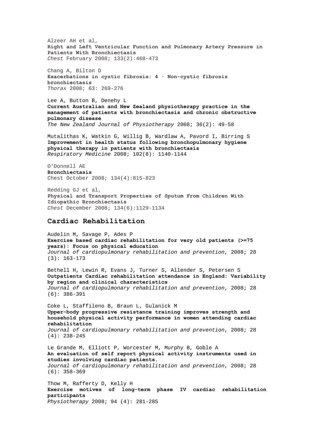Alzeer AH et al, **Right and Left Ventricular Function and Pulmonary Artery Pressure in Patients With Bronchiectasis**  *Chest* February 2008; 133(2):468-473

Chang A, Bilton D **Exacerbations in cystic fibrosis: 4 · Non-cystic fibrosis bronchiectasis** *Thorax* 2008; 63: 269-276

Lee A, Button B, Denehy L **Current Australian and New Zealand physiotherapy practice in the management of patients with bronchiectasis and chronic obstructive pulmonary disease**  *The New Zealand Journal of Physiotherapy* 2008; 36(2): 49-58

Mutalithas K, Watkin G, Willig B, Wardlaw A, Pavord I, Birring S **[Improvement in health status following bronchopulmonary hygiene](http://www.sciencedirect.com/science?_ob=ArticleURL&_udi=B6WWS-4SVD19X-1&_user=10&_coverDate=08%2F31%2F2008&_rdoc=8&_fmt=high&_orig=browse&_srch=doc-info(%23toc%237138%232008%23998979991%23694450%23FLA%23display%23Volume)&_cdi=7138&_sort=d&_docanchor=&_ct=19&_acct=C000050221&_version=1&_urlVersion=0&_userid=10&md5=988022d56954d8655eb3f40c690263bc)  [physical therapy in patients with bronchiectasis](http://www.sciencedirect.com/science?_ob=ArticleURL&_udi=B6WWS-4SVD19X-1&_user=10&_coverDate=08%2F31%2F2008&_rdoc=8&_fmt=high&_orig=browse&_srch=doc-info(%23toc%237138%232008%23998979991%23694450%23FLA%23display%23Volume)&_cdi=7138&_sort=d&_docanchor=&_ct=19&_acct=C000050221&_version=1&_urlVersion=0&_userid=10&md5=988022d56954d8655eb3f40c690263bc)** *Respiratory Medicine* 2008; 102(8): 1140-1144

O'Donnell AE **Bronchiectasis**  Chest October 2008; 134(4):815-823

Redding GJ et al, **Physical and Transport Properties of Sputum From Children With Idiopathic Bronchiectasis**  *Chest* December 2008; 134(6):1129-1134

## **Cardiac Rehabilitation**

Audelin M, Savage P, Ades P **Exercise based cardiac rehabilitation for very old patients (>=75 years): Focus on physical education**  *Journal of cardiopulmonary rehabilitation and prevention*, 2008; 28 (3): 163-173

Bethell H, Lewin R, Evans J, Turner S, Allender S, Petersen S **Outpatients Cardiac rehabilitation attendance in England: Variability by region and clinical characteristics**  *Journal of cardiopulmonary rehabilitation and prevention*, 2008; 28 (6): 386-391

Coke L, Staffileno B, Braun L, Gulanick M **Upper-body progressive resistance training improves strength and household physical activity performance in women attending cardiac rehabilitation** 

*Journal of cardiopulmonary rehabilitation and prevention*, 2008; 28 (4): 238-245

Le Grande M, Elliott P, Worcester M, Murphy B, Goble A **An evaluation of self report physical activity instruments used in studies involving cardiac patients.**  *Journal of cardiopulmonary rehabilitation and prevention*, 2008; 28 (6): 358-369

Thow M, Rafferty D, Kelly H **[Exercise motives of long-term phase IV cardiac rehabilitation](http://www.physiotherapyjournal.com/article/S0031-9406(08)00076-X/abstract)  [participants](http://www.physiotherapyjournal.com/article/S0031-9406(08)00076-X/abstract)**  *Physiotherapy* 2008; 94 (4): 281-285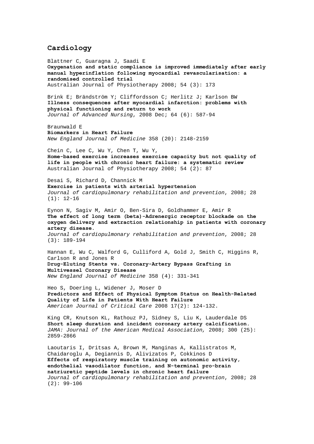## **Cardiology**

Blattner C, Guaragna J, Saadi E **[Oxygenation and static compliance is improved immediately after early](http://ajp.physiotherapy.asn.au/AJP/vol_54/3/AustJPhysiotherv54i3Blattner.pdf)  [manual hyperinflation following myocardial revascularisation: a](http://ajp.physiotherapy.asn.au/AJP/vol_54/3/AustJPhysiotherv54i3Blattner.pdf)  [randomised controlled trial](http://ajp.physiotherapy.asn.au/AJP/vol_54/3/AustJPhysiotherv54i3Blattner.pdf)**  Australian Journal of Physiotherapy 2008; 54 (3): 173 Brink E; Brändström Y; Cliffordsson C; Herlitz J; Karlson BW **[Illness consequences after myocardial infarction: problems with](http://web.ebscohost.com/ehost/viewarticle?data=dGJyMPPp44rp2%2fdV0%2bnjisfk5Ie46bdQtai2S7ak63nn5Kx95uXxjL6orUm0pbBIrq%2beUbipt1Kyq55Zy5zyit%2fk8Xnh6ueH7N%2fiVauor0q1qrVIs662PurX7H%2b72%2bw%2b4ti7e7bepIzf3btZzJzfhruorkmup7BLrqmwPuTl8IXf6rt%2b8%2bLqjOPu8gAA&hid=12)  [physical functioning and return to work](http://web.ebscohost.com/ehost/viewarticle?data=dGJyMPPp44rp2%2fdV0%2bnjisfk5Ie46bdQtai2S7ak63nn5Kx95uXxjL6orUm0pbBIrq%2beUbipt1Kyq55Zy5zyit%2fk8Xnh6ueH7N%2fiVauor0q1qrVIs662PurX7H%2b72%2bw%2b4ti7e7bepIzf3btZzJzfhruorkmup7BLrqmwPuTl8IXf6rt%2b8%2bLqjOPu8gAA&hid=12)**  *Journal of Advanced Nursing*, 2008 Dec; 64 (6): 587-94 Braunwald E **Biomarkers in Heart Failure**  *New England Journal of Medicine* 358 (20): 2148-2159 Chein C, Lee C, Wu Y, Chen T, Wu Y, **[Home-based exercise increases exercise capacity but not quality of](http://ajp.physiotherapy.asn.au/AJP/vol_54/2/AustJPhysiotherv54i2Chien.pdf)  [life in people with chronic heart failure: a systematic review](http://ajp.physiotherapy.asn.au/AJP/vol_54/2/AustJPhysiotherv54i2Chien.pdf)**  Australian Journal of Physiotherapy 2008; 54 (2): 87 Desai S, Richard D, Channick M **Exercise in patients with arterial hypertension**  *Journal of cardiopulmonary rehabilitation and prevention*, 2008; 28  $(1): 12-16$ Eynon N, Sagiv M, Amir O, Ben-Sira D, Goldhammer E, Amir R **The effect of long term (beta)-Adrenergic receptor blockade on the oxygen delivery and extraction relationship in patients with coronary artery disease.**  *Journal of cardiopulmonary rehabilitation and prevention*, 2008; 28 (3): 189-194 Hannan E, Wu C, Walford G, Culliford A, Gold J, Smith C, Higgins R, Carlson R and Jones R **Drug-Eluting Stents vs. Coronary-Artery Bypass Grafting in Multivessel Coronary Disease**  *New England Journal of Medicine* 358 (4): 331-341 Heo S, Doering L, Widener J, Moser D **Predictors and Effect of Physical Symptom Status on Health-Related Quality of Life in Patients With Heart Failure** *American Journal of Critical Care* 2008 17(2): 124-132. King CR, Knutson KL, Rathouz PJ, Sidney S, Liu K, Lauderdale DS **Short sleep duration and incident coronary artery calcification.**  *JAMA: Journal of the American Medical Association,* 2008; 300 (25): 2859-2866 Laoutaris I, Dritsas A, Brown M, Manginas A, Kallistratos M, Chaidaroglu A, Degiannis D, Alivizatos P, Cokkinos D **Effects of respiratory muscle training on autonomic activity, endothelial vasodilator function, and N-terminal pro-brain natriuretic peptide levels in chronic heart failure**  *Journal of cardiopulmonary rehabilitation and prevention*, 2008; 28 (2): 99-106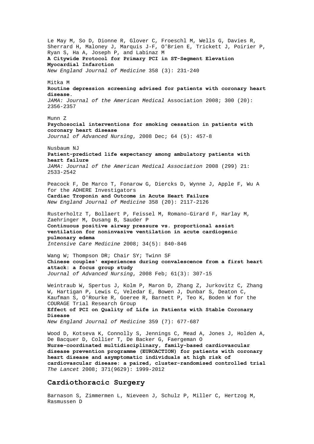Le May M, So D, Dionne R, Glover C, Froeschl M, Wells G, Davies R, Sherrard H, Maloney J, Marquis J-F, O'Brien E, Trickett J, Poirier P, Ryan S, Ha A, Joseph P, and Labinaz M **A Citywide Protocol for Primary PCI in ST-Segment Elevation Myocardial Infarction**  *New England Journal of Medicine* 358 (3): 231-240 Mitka M **Routine depression screening advised for patients with coronary heart disease.**  *JAMA: Journal of the American Medical* Association 2008; 300 (20): 2356-2357 Munn Z **[Psychosocial interventions for smoking cessation in patients with](http://web.ebscohost.com/ehost/viewarticle?data=dGJyMPPp44rp2%2fdV0%2bnjisfk5Ie46bdQtai2S7ak63nn5Kx95uXxjL6orUm0pbBIrq%2beUbipt1Kyq55Zy5zyit%2fk8Xnh6ueH7N%2fiVaunskixprROtqiuPurX7H%2b72%2bw%2b4ti7e7bepIzf3btZzJzfhruorkmup7BLsK63PuTl8IXf6rt%2b8%2bLqjOPu8gAA&hid=12)  [coronary heart disease](http://web.ebscohost.com/ehost/viewarticle?data=dGJyMPPp44rp2%2fdV0%2bnjisfk5Ie46bdQtai2S7ak63nn5Kx95uXxjL6orUm0pbBIrq%2beUbipt1Kyq55Zy5zyit%2fk8Xnh6ueH7N%2fiVaunskixprROtqiuPurX7H%2b72%2bw%2b4ti7e7bepIzf3btZzJzfhruorkmup7BLsK63PuTl8IXf6rt%2b8%2bLqjOPu8gAA&hid=12)** *Journal of Advanced Nursing*, 2008 Dec; 64 (5): 457-8 Nusbaum NJ **Patient-predicted life expectancy among ambulatory patients with heart failure**  *JAMA: Journal of the American Medical Association* 2008 (299) 21: 2533-2542 Peacock F, De Marco T, Fonarow G, Diercks D, Wynne J, Apple F, Wu A for the ADHERE Investigators **Cardiac Troponin and Outcome in Acute Heart Failure** *New England Journal of Medicine* 358 (20): 2117-2126 [Rusterholtz](http://www.springerlink.com/content/?Author=Thierry+Rusterholtz) T, [Bollaert](http://www.springerlink.com/content/?Author=Pierre-Edouard+Bollaert) P, [Feissel](http://www.springerlink.com/content/?Author=Marc+Feissel) M, [Romano-Girard](http://www.springerlink.com/content/?Author=Florence+Romano-Girard) F, [Harlay](http://www.springerlink.com/content/?Author=Marie-Line+Harlay) M, [Zaehringer](http://www.springerlink.com/content/?Author=Michel+Zaehringer) M, [Dusang](http://www.springerlink.com/content/?Author=Benjamin+Dusang) B[, Sauder](http://www.springerlink.com/content/?Author=Philippe+Sauder) P **[Continuous positive airway pressure vs. proportional assist](http://www.springerlink.com/content/wj72018760hl2x30/?p=8dac11f3875a40109b02951686825f20&pi=7)  [ventilation for noninvasive ventilation in acute cardiogenic](http://www.springerlink.com/content/wj72018760hl2x30/?p=8dac11f3875a40109b02951686825f20&pi=7)  [pulmonary edema](http://www.springerlink.com/content/wj72018760hl2x30/?p=8dac11f3875a40109b02951686825f20&pi=7)**  *Intensive Care Medicine* 2008; 34(5): 840-846 Wang W; Thompson DR; Chair SY; Twinn SF **Chinese couples' experiences during convalescence from a first heart attack: a focus group study**  *Journal of Advanced Nursing*, 2008 Feb; 61(3): 307-15 Weintraub W, Spertus J, Kolm P, Maron D, Zhang Z, Jurkovitz C, Zhang W, Hartigan P, Lewis C, Veledar E, Bowen J, Dunbar S, Deaton C, Kaufman S, O'Rourke R, Goeree R, Barnett P, Teo K, Boden W for the COURAGE Trial Research Group **Effect of PCI on Quality of Life in Patients with Stable Coronary Disease**  *New England Journal of Medicine* 359 (7): 677-687 Wood D, Kotseva K, Connolly S, Jennings C, Mead A, Jones J, Holden A, De Bacquer D, Collier T, De Backer G, Faergeman O **Nurse-coordinated multidisciplinary, family-based cardiovascular disease prevention programme (EUROACTION) for patients with coronary heart disease and asymptomatic individuals at high risk of** 

# **cardiovascular disease: a paired, cluster-randomised controlled trial**  *The Lancet* 2008; 371(9629): 1999-2012

## **Cardiothoracic Surgery**

Barnason S, Zimmermen L, Nieveen J, Schulz P, Miller C, Hertzog M, Rasmussen D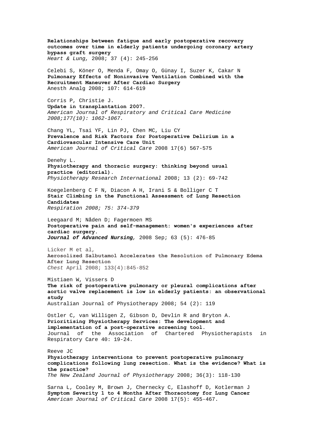**Relationships between fatigue and early postoperative recovery outcomes over time in elderly patients undergoing coronary artery bypass graft surgery**  *Heart & Lung,* 2008; 37 (4): 245-256 Celebi S, Köner O, Menda F, Omay O, Günay I, Suzer K, Cakar N **Pulmonary Effects of Noninvasive Ventilation Combined with the Recruitment Maneuver After Cardiac Surgery** Anesth Analg 2008; 107: 614-619 Corris P, Christie J. **Update in transplantation 2007.**  *American Journal of Respiratory and Critical Care Medicine 2008;177(10): 1062-1067.*  Chang YL, Tsai YF, Lin PJ, Chen MC, Liu CY **Prevalence and Risk Factors for Postoperative Delirium in a Cardiovascular Intensive Care Unit** *American Journal of Critical Care* 2008 17(6) 567-575 Denehy L. **Physiotherapy and thoracic surgery: thinking beyond usual practice (editorial).**  *Physiotherapy Research International* 2008; 13 (2): 69-742 Koegelenberg C F N, Diacon A H, Irani S & Bolliger C T **Stair Climbing in the Functional Assessment of Lung Resection Candidates** *Respiration 2008; 75: 374-379* Leegaard M; Nåden D; Fagermoen MS **[Postoperative pain and self-management: women's experiences after](http://web.ebscohost.com/ehost/viewarticle?data=dGJyMPPp44rp2%2fdV0%2bnjisfk5Ie46bdQtai2S7ak63nn5Kx95uXxjL6orUm0pbBIrq%2beUbipt1KyrZ5Zy5zyit%2fk8Xnh6ueH7N%2fiVbersVC3rrJMs5zqeezdu33snOJ6u9m2gKTq33%2b7t8w%2b3%2bS7Sq6nrkiuqq5Or5zkh%2fDj34y73POE6urjkPIA&hid=105)  [cardiac surgery.](http://web.ebscohost.com/ehost/viewarticle?data=dGJyMPPp44rp2%2fdV0%2bnjisfk5Ie46bdQtai2S7ak63nn5Kx95uXxjL6orUm0pbBIrq%2beUbipt1KyrZ5Zy5zyit%2fk8Xnh6ueH7N%2fiVbersVC3rrJMs5zqeezdu33snOJ6u9m2gKTq33%2b7t8w%2b3%2bS7Sq6nrkiuqq5Or5zkh%2fDj34y73POE6urjkPIA&hid=105)**  *Journal of Advanced Nursing,* 2008 Sep; 63 (5): 476-85 Licker M et al, **Aerosolized Salbutamol Accelerates the Resolution of Pulmonary Edema After Lung Resection**  *Chest* April 2008; 133(4):845-852 Mistiaen W, Vissers D **[The risk of postoperative pulmonary or pleural complications after](http://ajp.physiotherapy.asn.au/AJP/vol_54/2/AustJPhysiotherv54i2Mistiaen.pdf)  [aortic valve replacement is low in elderly patients: an observational](http://ajp.physiotherapy.asn.au/AJP/vol_54/2/AustJPhysiotherv54i2Mistiaen.pdf)  [study](http://ajp.physiotherapy.asn.au/AJP/vol_54/2/AustJPhysiotherv54i2Mistiaen.pdf)**  Australian Journal of Physiotherapy 2008; 54 (2): 119 Ostler C, van Willigen Z, Gibson D, Devlin R and Bryton A. **Prioritising Physiotherapy Services: The development and implementation of a post-operative screening tool.**  Journal of the Association of Chartered Physiotherapists in Respiratory Care 40: 19-24. Reeve JC **Physiotherapy interventions to prevent postoperative pulmonary complications following lung resection. What is the evidence? What is the practice?**  *The New Zealand Journal of Physiotherapy* 2008; 36(3): 118-130 Sarna L, Cooley M, Brown J, Chernecky C, Elashoff D, Kotlerman J **Symptom Severity 1 to 4 Months After Thoracotomy for Lung Cancer** *American Journal of Critical Care* 2008 17(5): 455-467.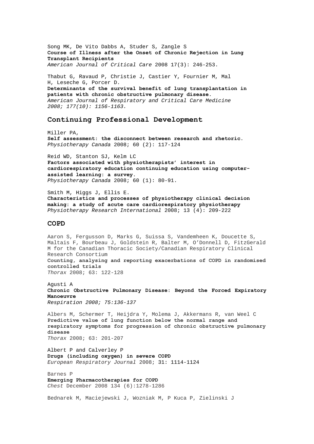Song MK, De Vito Dabbs A, Studer S, Zangle S **Course of Illness after the Onset of Chronic Rejection in Lung Transplant Recipients** *American Journal of Critical Care* 2008 17(3): 246-253.

Thabut G, Ravaud P, Christie J, Castier Y, Fournier M, Mal H, Leseche G, Porcer D. **Determinants of the survival benefit of lung transplantation in patients with chronic obstructive pulmonary disease.**  *American Journal of Respiratory and Critical Care Medicine 2008; 177(10): 1156-1163.* 

#### **Continuing Professional Development**

Miller PA, **Self assessment: the disconnect between research and rhetoric.**  *Physiotherapy Canada* 2008; 60 (2): 117-124

Reid WD, Stanton SJ, Kelm LC **Factors associated with physiotherapists' interest in cardiorespiratory education continuing education using computerassisted learning: a survey.**  *Physiotherapy Canada* 2008; 60 (1): 80-91.

Smith M, Higgs J, Ellis E. **Characteristics and processes of physiotherapy clinical decision making: a study of acute care cardiorespiratory physiotherapy**  *Physiotherapy Research International* 2008; 13 (4): 209-222

#### **COPD**

Aaron S, Fergusson D, Marks G, Suissa S, Vandemheen K, Doucette S, Maltais F, Bourbeau J, Goldstein R, Balter M, O'Donnell D, FitzGerald M for the Canadian Thoracic Society/Canadian Respiratory Clinical Research Consortium **Counting, analysing and reporting exacerbations of COPD in randomised controlled trials** *Thorax* 2008; 63: 122-128

Agusti A **Chronic Obstructive Pulmonary Disease: Beyond the Forced Expiratory Manoeuvre** *Respiration 2008; 75:136-137*

Albers M, Schermer T, Heijdra Y, Molema J, Akkermans R, van Weel C **Predictive value of lung function below the normal range and respiratory symptoms for progression of chronic obstructive pulmonary disease** *Thorax* 2008; 63: 201-207

Albert P and Calverley P **Drugs (including oxygen) in severe COPD** *European Respiratory Journal* 2008; 31: 1114-1124

Barnes P **Emerging Pharmacotherapies for COPD**  *Chest* December 2008 134 (6):1278-1286

Bednarek M, Maciejewski J, Wozniak M, P Kuca P, Zielinski J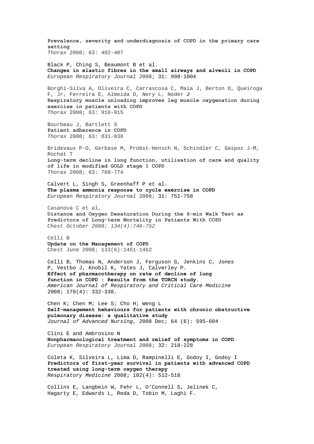**Prevalence, severity and underdiagnosis of COPD in the primary care setting** *Thorax* 2008; 63: 402-407 Black P, Ching S, Beaumont B et al. **Changes in elastic fibres in the small airways and alveoli in COPD** *European Respiratory Journal* 2008; 31: 998-1004 Borghi-Silva A, Oliveira C, Carrascosa C, Maia J, Berton D, Queiroga F, Jr, Ferreira E, Almeida D, Nery L, Neder **J Respiratory muscle unloading improves leg muscle oxygenation during exercise in patients with COPD** *Thorax* 2008; 63: 910-915 Bourbeau J, Bartlett S **Patient adherence in COPD** *Thorax* 2008; 63: 831-838 Bridevaux P-O, Gerbase M, Probst-Hensch N, Schindler C, Gaspoz J-M, Rochat T **Long-term decline in lung function, utilisation of care and quality of life in modified GOLD stage 1 COPD** *Thorax* 2008; 63: 768-774 Calvert L, Singh S, Greenhaff P et al. **The plasma ammonia response to cycle exercise in COPD** *European Respiratory Journal* 2008; 31: 751-758 Casanova C et al, **Distance and Oxygen Desaturation During the 6-min Walk Test as Predictors of Long-term Mortality in Patients With COPD**  Chest *October 2008; 134(4):746-752* Celli B **Update on the Management of COPD**  Chest June 2008; 133(6):1451-1462 Celli B, Thomas N, Anderson J, Ferguson G, Jenkins C, Jones P, Vestbo J, Knobil K, Yates J, Calverley P. **Effect of pharmacotherapy on rate of decline of lung function in COPD : Results from the TORCH study.** *American Journal of Respiratory and Critical Care Medicine*  2008; 178(4): 332-338. Chen K; Chen M; Lee S; Cho H; Weng L **[Self-management behaviours for patients with chronic obstructive](http://web.ebscohost.com/ehost/viewarticle?data=dGJyMPPp44rp2%2fdV0%2bnjisfk5Ie46bdQtai2S7ak63nn5Kx95uXxjL6orUm0pbBIrq%2beUbipt1Kyq55Zy5zyit%2fk8Xnh6ueH7N%2fiVauor0q1qrVIs662PurX7H%2b72%2bw%2b4ti7e7bepIzf3btZzJzfhruorkmup7BLrqi2PuTl8IXf6rt%2b8%2bLqjOPu8gAA&hid=12)  [pulmonary disease: a qualitative study](http://web.ebscohost.com/ehost/viewarticle?data=dGJyMPPp44rp2%2fdV0%2bnjisfk5Ie46bdQtai2S7ak63nn5Kx95uXxjL6orUm0pbBIrq%2beUbipt1Kyq55Zy5zyit%2fk8Xnh6ueH7N%2fiVauor0q1qrVIs662PurX7H%2b72%2bw%2b4ti7e7bepIzf3btZzJzfhruorkmup7BLrqi2PuTl8IXf6rt%2b8%2bLqjOPu8gAA&hid=12)**  *Journal of Advanced Nursing*, 2008 Dec; 64 (6): 595-604 Clini E and Ambrosino N **Nonpharmacological treatment and relief of symptoms in COPD** *European Respiratory Journal* 2008; 32: 218-228 Coleta K, Silveira L, Lima D, Rampinelli E, Godoy I, Godoy I **[Predictors of first-year survival in patients with advanced COPD](http://www.sciencedirect.com/science?_ob=ArticleURL&_udi=B6WWS-4RJKWY6-1&_user=10&_coverDate=04%2F30%2F2008&_rdoc=6&_fmt=high&_orig=browse&_srch=doc-info(%23toc%237138%232008%23998979995%23682465%23FLA%23display%23Volume)&_cdi=7138&_sort=d&_docanchor=&_ct=24&_acct=C000050221&_version=1&_urlVersion=0&_userid=10&md5=1acfa562b06cbba4d9d7886f05b787ec)  [treated using long-term oxygen therapy](http://www.sciencedirect.com/science?_ob=ArticleURL&_udi=B6WWS-4RJKWY6-1&_user=10&_coverDate=04%2F30%2F2008&_rdoc=6&_fmt=high&_orig=browse&_srch=doc-info(%23toc%237138%232008%23998979995%23682465%23FLA%23display%23Volume)&_cdi=7138&_sort=d&_docanchor=&_ct=24&_acct=C000050221&_version=1&_urlVersion=0&_userid=10&md5=1acfa562b06cbba4d9d7886f05b787ec)** *Respiratory Medicine* 2008; 102(4): 512-518 Collins E, Langbein W, Fehr L, O'Connell S, Jelinek C, Hagarty E, Edwards L, Reda D, Tobin M, Laghi F.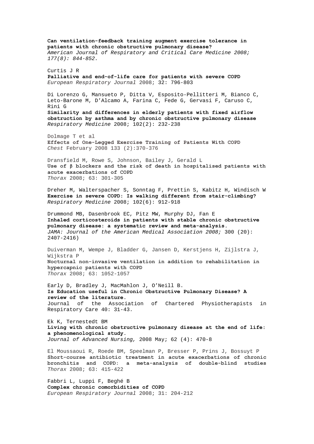**Can ventilation-feedback training augment exercise tolerance in patients with chronic obstructive pulmonary disease?** *American Journal of Respiratory and Critical Care Medicine 2008; 177(8): 844-852.*  Curtis J R **Palliative and end-of-life care for patients with severe COPD** *European Respiratory Journal* 2008; 32: 796-803 Di Lorenzo G, Mansueto P, Ditta V, Esposito-Pellitteri M, Bianco C, Leto-Barone M, D'Alcamo A, Farina C, Fede G, Gervasi F, Caruso C, Rini G **[Similarity and differences in elderly patients with fixed airflow](http://www.sciencedirect.com/science?_ob=ArticleURL&_udi=B6WWS-4R5GK8S-1&_user=10&_coverDate=02%2F29%2F2008&_rdoc=8&_fmt=high&_orig=browse&_srch=doc-info(%23toc%237138%232008%23998979997%23677308%23FLA%23display%23Volume)&_cdi=7138&_sort=d&_docanchor=&_ct=19&_acct=C000050221&_version=1&_urlVersion=0&_userid=10&md5=cfc017fc8a14bcbab9070948edb737ed)  [obstruction by asthma and by chronic obstructive pulmonary disease](http://www.sciencedirect.com/science?_ob=ArticleURL&_udi=B6WWS-4R5GK8S-1&_user=10&_coverDate=02%2F29%2F2008&_rdoc=8&_fmt=high&_orig=browse&_srch=doc-info(%23toc%237138%232008%23998979997%23677308%23FLA%23display%23Volume)&_cdi=7138&_sort=d&_docanchor=&_ct=19&_acct=C000050221&_version=1&_urlVersion=0&_userid=10&md5=cfc017fc8a14bcbab9070948edb737ed)** *Respiratory Medicine* 2008; 102(2): 232-238 Dolmage T et al **Effects of One-Legged Exercise Training of Patients With COPD** *Chest* February 2008 133 (2):370-376 Dransfield M, Rowe S, Johnson, Bailey J, Gerald L **Use of β blockers and the risk of death in hospitalised patients with acute exacerbations of COPD** *Thorax* 2008; 63: 301-305 Dreher M, Walterspacher S, Sonntag F, Prettin S, Kabitz H, Windisch W **[Exercise in severe COPD: Is walking different from stair-climbing?](http://www.sciencedirect.com/science?_ob=ArticleURL&_udi=B6WWS-4RV1JN3-1&_user=10&_coverDate=06%2F30%2F2008&_rdoc=17&_fmt=high&_orig=browse&_srch=doc-info(%23toc%237138%232008%23998979993%23689062%23FLA%23display%23Volume)&_cdi=7138&_sort=d&_docanchor=&_ct=22&_acct=C000050221&_version=1&_urlVersion=0&_userid=10&md5=cb100dae005d947319dbe99591087945)** *Respiratory Medicine* 2008; 102(6): 912-918 Drummond MB, Dasenbrook EC, Pitz MW, Murphy DJ, Fan E **Inhaled corticosteroids in patients with stable chronic obstructive pulmonary disease: a systematic review and meta-analysis.**  *JAMA: Journal of the American Medical Association 2008;* 300 (20): 2407-2416) Duiverman M, Wempe J, Bladder G, Jansen D, Kerstjens H, Zijlstra J, Wijkstra P **Nocturnal non-invasive ventilation in addition to rehabilitation in hypercapnic patients with COPD** *Thorax* 2008; 63: 1052-1057 Early D, Bradley J, MacMahlon J, O'Neill B. **Is Education useful in Chronic Obstructive Pulmonary Disease? A review of the literature.** Journal of the Association of Chartered Physiotherapists in Respiratory Care 40: 31-43. Ek K, Ternestedt BM **[Living with chronic obstructive pulmonary disease at the end of life:](http://web.ebscohost.com/ehost/viewarticle?data=dGJyMPPp44rp2%2fdV0%2bnjisfk5Ie46bdQtai2S7ak63nn5Kx95uXxjL6orUm0pbBIrq%2beUbiorlKvqJ5Zy5zyit%2fk8Xnh6ueH7N%2fiVaunskuwrbFLtqekhN%2fk5VXj5KR84LPhUOac8nnls79mpNfsVbCmrlG3qLFKsKakfu3o63nys%2bSN6uLyffbq&hid=101)  [a phenomenological study.](http://web.ebscohost.com/ehost/viewarticle?data=dGJyMPPp44rp2%2fdV0%2bnjisfk5Ie46bdQtai2S7ak63nn5Kx95uXxjL6orUm0pbBIrq%2beUbiorlKvqJ5Zy5zyit%2fk8Xnh6ueH7N%2fiVaunskuwrbFLtqekhN%2fk5VXj5KR84LPhUOac8nnls79mpNfsVbCmrlG3qLFKsKakfu3o63nys%2bSN6uLyffbq&hid=101)**  *Journal of Advanced Nursing,* 2008 May; 62 (4): 470-8 El Moussaoui R, Roede BM, Speelman P, Bresser P, Prins J, Bossuyt P **Short-course antibiotic treatment in acute exacerbations of chronic bronchitis and COPD: a meta-analysis of double-blind studies** *Thorax* 2008; 63: 415-422

Fabbri L, Luppi F, Beghé B **Complex chronic comorbidities of COPD**  *European Respiratory Journal* 2008; 31: 204-212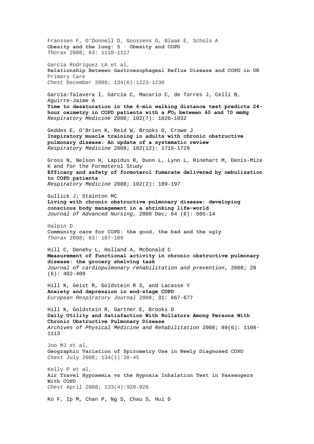Franssen F, O'Donnell D, Goossens G, Blaak E, Schols A **Obesity and the lung: 5 · Obesity and COPD** *Thorax* 2008; 63: 1110-1117 García Rodríguez LA et al, **Relationship Between Gastroesophageal Reflux Disease and COPD in UK** Primary Care *Chest* December 2008; 134(6):1223-1230 García-Talavera I, García C, Macario C, de Torres J, Celli B, Aguirre-Jaime A **[Time to desaturation in the 6-min walking distance test predicts 24](http://www.sciencedirect.com/science?_ob=ArticleURL&_udi=B6WWS-4S2VFVT-4&_user=10&_coverDate=07%2F31%2F2008&_rdoc=14&_fmt=high&_orig=browse&_srch=doc-info(%23toc%237138%232008%23998979992%23691917%23FLA%23display%23Volume)&_cdi=7138&_sort=d&_docanchor=&_ct=20&_acct=C000050221&_version=1&_urlVersion=0&_userid=10&md5=c6e3aa430d07175a0bc7f8816d15ceb7) [hour oximetry in COPD patients with a](http://www.sciencedirect.com/science?_ob=ArticleURL&_udi=B6WWS-4S2VFVT-4&_user=10&_coverDate=07%2F31%2F2008&_rdoc=14&_fmt=high&_orig=browse&_srch=doc-info(%23toc%237138%232008%23998979992%23691917%23FLA%23display%23Volume)&_cdi=7138&_sort=d&_docanchor=&_ct=20&_acct=C000050221&_version=1&_urlVersion=0&_userid=10&md5=c6e3aa430d07175a0bc7f8816d15ceb7)** *[P](http://www.sciencedirect.com/science?_ob=ArticleURL&_udi=B6WWS-4S2VFVT-4&_user=10&_coverDate=07%2F31%2F2008&_rdoc=14&_fmt=high&_orig=browse&_srch=doc-info(%23toc%237138%232008%23998979992%23691917%23FLA%23display%23Volume)&_cdi=7138&_sort=d&_docanchor=&_ct=20&_acct=C000050221&_version=1&_urlVersion=0&_userid=10&md5=c6e3aa430d07175a0bc7f8816d15ceb7)***[O2 between 60 and 70 mmHg](http://www.sciencedirect.com/science?_ob=ArticleURL&_udi=B6WWS-4S2VFVT-4&_user=10&_coverDate=07%2F31%2F2008&_rdoc=14&_fmt=high&_orig=browse&_srch=doc-info(%23toc%237138%232008%23998979992%23691917%23FLA%23display%23Volume)&_cdi=7138&_sort=d&_docanchor=&_ct=20&_acct=C000050221&_version=1&_urlVersion=0&_userid=10&md5=c6e3aa430d07175a0bc7f8816d15ceb7)** *Respiratory Medicine* 2008; 102(7): 1026-1032 Geddes E, O'Brien K, Reid W, Brooks D, Crowe J **[Inspiratory muscle training in adults with chronic obstructive](http://www.sciencedirect.com/science?_ob=ArticleURL&_udi=B6WWS-4T74436-2&_user=10&_coverDate=12%2F31%2F2008&_rdoc=6&_fmt=high&_orig=browse&_srch=doc-info(%23toc%237138%232008%23998979987%23701939%23FLA%23display%23Volume)&_cdi=7138&_sort=d&_docanchor=&_ct=25&_acct=C000050221&_version=1&_urlVersion=0&_userid=10&md5=4400a4c7935242e83b96ff6ad276de0c)  [pulmonary disease: An update of a systematic review](http://www.sciencedirect.com/science?_ob=ArticleURL&_udi=B6WWS-4T74436-2&_user=10&_coverDate=12%2F31%2F2008&_rdoc=6&_fmt=high&_orig=browse&_srch=doc-info(%23toc%237138%232008%23998979987%23701939%23FLA%23display%23Volume)&_cdi=7138&_sort=d&_docanchor=&_ct=25&_acct=C000050221&_version=1&_urlVersion=0&_userid=10&md5=4400a4c7935242e83b96ff6ad276de0c)** *Respiratory Medicine* 2008; 102(12): 1715-1729 Gross N, Nelson H, Lapidus R, Dunn L, Lynn L, Rinehart M, Denis-Mize K and for the Formoterol Study **[Efficacy and safety of formoterol fumarate delivered by nebulization](http://www.sciencedirect.com/science?_ob=ArticleURL&_udi=B6WWS-4R8M99P-1&_user=10&_coverDate=02%2F29%2F2008&_rdoc=3&_fmt=high&_orig=browse&_srch=doc-info(%23toc%237138%232008%23998979997%23677308%23FLA%23display%23Volume)&_cdi=7138&_sort=d&_docanchor=&_ct=19&_acct=C000050221&_version=1&_urlVersion=0&_userid=10&md5=0d7711f4cffca99a12f44f0366a23b1d)  [to COPD patients](http://www.sciencedirect.com/science?_ob=ArticleURL&_udi=B6WWS-4R8M99P-1&_user=10&_coverDate=02%2F29%2F2008&_rdoc=3&_fmt=high&_orig=browse&_srch=doc-info(%23toc%237138%232008%23998979997%23677308%23FLA%23display%23Volume)&_cdi=7138&_sort=d&_docanchor=&_ct=19&_acct=C000050221&_version=1&_urlVersion=0&_userid=10&md5=0d7711f4cffca99a12f44f0366a23b1d)** *Respiratory Medicine* 2008; 102(2): 189-197 Gullick J; Stainton MC **[Living with chronic obstructive pulmonary disease: developing](http://web.ebscohost.com/ehost/viewarticle?data=dGJyMPPp44rp2%2fdV0%2bnjisfk5Ie46bdQtai2S7ak63nn5Kx95uXxjL6orUm0pbBIrq%2beUbipt1Kyq55Zy5zyit%2fk8Xnh6ueH7N%2fiVauor0q1qrVIs662PurX7H%2b72%2bw%2b4ti7e7bepIzf3btZzJzfhruorkmup7BKt62uPuTl8IXf6rt%2b8%2bLqjOPu8gAA&hid=12)  [conscious body management in a shrinking life-world](http://web.ebscohost.com/ehost/viewarticle?data=dGJyMPPp44rp2%2fdV0%2bnjisfk5Ie46bdQtai2S7ak63nn5Kx95uXxjL6orUm0pbBIrq%2beUbipt1Kyq55Zy5zyit%2fk8Xnh6ueH7N%2fiVauor0q1qrVIs662PurX7H%2b72%2bw%2b4ti7e7bepIzf3btZzJzfhruorkmup7BKt62uPuTl8IXf6rt%2b8%2bLqjOPu8gAA&hid=12)**  *Journal of Advanced Nursing*, 2008 Dec; 64 (6): 605-14 Halpin D **Community care for COPD: the good, the bad and the ugly** *Thorax* 2008; 63: 187-189 Hill C, Denehy L, Holland A, McDonald C **Measurement of functional activity in chronic obstructive pulmonary disease: the grocery shelving task**  *Journal of cardiopulmonary rehabilitation and prevention*, 2008; 28  $(6): 402-409$ Hill K, Geist R, Goldstein R S, and Lacasse Y **Anxiety and depression in end-stage COPD** *European Respiratory Journal* 2008; 31: 667-677 Hill K, Goldstein R, Gartner E, Brooks D **Daily Utility and Satisfaction With Rollators Among Persons With Chronic Obstructive Pulmonary Disease**  *Archives of Physical Medicine and Rehabilitation* 2008; 89(6): 1108- 1113 Joo MJ et al, **Geographic Variation of Spirometry Use in Newly Diagnosed COPD**  *Chest* July 2008; 134(1):38-45 Kelly P et al, **Air Travel Hypoxemia vs the Hypoxia Inhalation Test in Passengers With COPD** *Chest* April 2008; 133(4):920-926 Ko F, Ip M, Chan P, Ng S, Chau S, Hui D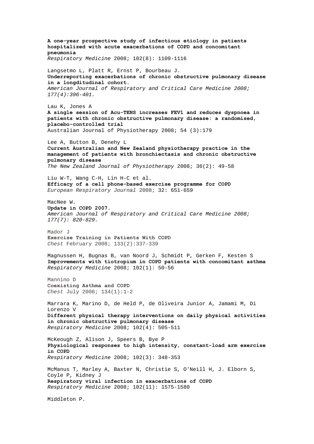**[A one-year prospective study of infectious etiology in patients](http://www.sciencedirect.com/science?_ob=ArticleURL&_udi=B6WWS-4SV0YV3-6&_user=10&_coverDate=08%2F31%2F2008&_rdoc=4&_fmt=high&_orig=browse&_srch=doc-info(%23toc%237138%232008%23998979991%23694450%23FLA%23display%23Volume)&_cdi=7138&_sort=d&_docanchor=&_ct=19&_acct=C000050221&_version=1&_urlVersion=0&_userid=10&md5=6d64d786dd019a400daedfcf96dc51b5)  [hospitalized with acute exacerbations of COPD and concomitant](http://www.sciencedirect.com/science?_ob=ArticleURL&_udi=B6WWS-4SV0YV3-6&_user=10&_coverDate=08%2F31%2F2008&_rdoc=4&_fmt=high&_orig=browse&_srch=doc-info(%23toc%237138%232008%23998979991%23694450%23FLA%23display%23Volume)&_cdi=7138&_sort=d&_docanchor=&_ct=19&_acct=C000050221&_version=1&_urlVersion=0&_userid=10&md5=6d64d786dd019a400daedfcf96dc51b5)  [pneumonia](http://www.sciencedirect.com/science?_ob=ArticleURL&_udi=B6WWS-4SV0YV3-6&_user=10&_coverDate=08%2F31%2F2008&_rdoc=4&_fmt=high&_orig=browse&_srch=doc-info(%23toc%237138%232008%23998979991%23694450%23FLA%23display%23Volume)&_cdi=7138&_sort=d&_docanchor=&_ct=19&_acct=C000050221&_version=1&_urlVersion=0&_userid=10&md5=6d64d786dd019a400daedfcf96dc51b5)** *Respiratory Medicine* 2008; 102(8): 1109-1116 Langsetmo L, Platt R, Ernst P, Bourbeau J. **Underreporting exacerbations of chronic obstructive pulmonary disease in a longditudinal cohort.**  *American Journal of Respiratory and Critical Care Medicine 2008; 177(4):396-401.*  Lau K, Jones A **[A single session of Acu-TENS increases FEV1 and reduces dyspnoea in](http://ajp.physiotherapy.asn.au/AJP/vol_54/3/AustJPhysiotherv54i3Lau.pdf)  [patients with chronic obstructive pulmonary disease: a randomised,](http://ajp.physiotherapy.asn.au/AJP/vol_54/3/AustJPhysiotherv54i3Lau.pdf)  [placebo-controlled trial](http://ajp.physiotherapy.asn.au/AJP/vol_54/3/AustJPhysiotherv54i3Lau.pdf)**  Australian Journal of Physiotherapy 2008; 54 (3):179 Lee A, Button B, Denehy L **Current Australian and New Zealand physiotherapy practice in the management of patients with bronchiectasis and chronic obstructive pulmonary disease**  *The New Zealand Journal of Physiotherapy* 2008; 36(2): 49-58 Liu W-T, Wang C-H, Lin H-C et al. **Efficacy of a cell phone-based exercise programme for COPD** *European Respiratory Journal* 2008; 32: 651-659 MacNee W. **Update in COPD 2007.**  *American Journal of Respiratory and Critical Care Medicine 2008; 177(7): 820-829.*  Mador J **Exercise Training in Patients With COPD**  *Chest* February 2008; 133(2):337-339 Magnussen H, Bugnas B, van Noord J, Schmidt P, Gerken F, Kesten S **[Improvements with tiotropium in COPD patients with concomitant asthma](http://www.sciencedirect.com/science?_ob=ArticleURL&_udi=B6WWS-4R00FF0-1&_user=10&_coverDate=01%2F31%2F2008&_rdoc=8&_fmt=high&_orig=browse&_srch=doc-info(%23toc%237138%232008%23998979998%23675265%23FLA%23display%23Volume)&_cdi=7138&_sort=d&_docanchor=&_ct=24&_acct=C000050221&_version=1&_urlVersion=0&_userid=10&md5=bfdd08822e46ed2a163e7bef9a050251)** *Respiratory Medicine* 2008; 102(1): 50-56 Mannino D **Coexisting Asthma and COPD**  *Chest* July 2008; 134(1):1-2 Marrara K, Marino D, de Held P, de Oliveira Junior A, Jamami M, Di Lorenzo V **[Different physical therapy interventions on daily physical activities](http://www.sciencedirect.com/science?_ob=ArticleURL&_udi=B6WWS-4RR82X8-1&_user=10&_coverDate=04%2F30%2F2008&_rdoc=5&_fmt=high&_orig=browse&_srch=doc-info(%23toc%237138%232008%23998979995%23682465%23FLA%23display%23Volume)&_cdi=7138&_sort=d&_docanchor=&_ct=24&_acct=C000050221&_version=1&_urlVersion=0&_userid=10&md5=7c29a6049f9a47375572bd74c3283ca6)  [in chronic obstructive pulmonary disease](http://www.sciencedirect.com/science?_ob=ArticleURL&_udi=B6WWS-4RR82X8-1&_user=10&_coverDate=04%2F30%2F2008&_rdoc=5&_fmt=high&_orig=browse&_srch=doc-info(%23toc%237138%232008%23998979995%23682465%23FLA%23display%23Volume)&_cdi=7138&_sort=d&_docanchor=&_ct=24&_acct=C000050221&_version=1&_urlVersion=0&_userid=10&md5=7c29a6049f9a47375572bd74c3283ca6)** *Respiratory Medicine* 2008; 102(4): 505-511 McKeough Z, Alison J, Speers B, Bye P **[Physiological responses to high intensity, constant-load arm exercise](http://www.sciencedirect.com/science?_ob=ArticleURL&_udi=B6WWS-4RB5BGN-1&_user=10&_coverDate=03%2F31%2F2008&_rdoc=6&_fmt=high&_orig=browse&_srch=doc-info(%23toc%237138%232008%23998979996%23679701%23FLA%23display%23Volume)&_cdi=7138&_sort=d&_docanchor=&_ct=24&_acct=C000050221&_version=1&_urlVersion=0&_userid=10&md5=ff224448cd29571c31aa86d03d3ff6eb)  [in COPD](http://www.sciencedirect.com/science?_ob=ArticleURL&_udi=B6WWS-4RB5BGN-1&_user=10&_coverDate=03%2F31%2F2008&_rdoc=6&_fmt=high&_orig=browse&_srch=doc-info(%23toc%237138%232008%23998979996%23679701%23FLA%23display%23Volume)&_cdi=7138&_sort=d&_docanchor=&_ct=24&_acct=C000050221&_version=1&_urlVersion=0&_userid=10&md5=ff224448cd29571c31aa86d03d3ff6eb)** *Respiratory Medicine* 2008; 102(3): 348-353 McManus T, Marley A, Baxter N, Christie S, O'Neill H, J. Elborn S, Coyle P, Kidney J **[Respiratory viral infection in exacerbations of COPD](http://www.sciencedirect.com/science?_ob=ArticleURL&_udi=B6WWS-4T3KTBY-1&_user=10&_coverDate=11%2F30%2F2008&_rdoc=10&_fmt=high&_orig=browse&_srch=doc-info(%23toc%237138%232008%23998979988%23701789%23FLA%23display%23Volume)&_cdi=7138&_sort=d&_docanchor=&_ct=27&_acct=C000050221&_version=1&_urlVersion=0&_userid=10&md5=f7f221c1e1c91c7b2e69efe437920e6e)** *Respiratory Medicine* 2008; 102(11): 1575-1580 Middleton P.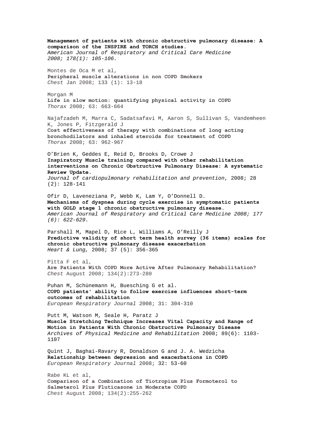**Management of patients with chronic obstructive pulmonary disease: A comparison of the INSPIRE and TORCH studies.**  *American Journal of Respiratory and Critical Care Medicine 2008; 178(1): 105-106.*  Montes de Oca M et al, **Peripheral muscle alterations in non COPD Smokers**  *Chest* Jan 2008; 133 (1): 13-18 Morgan M **Life in slow motion: quantifying physical activity in COPD** *Thorax* 2008; 63: 663-664 Najafzadeh M, Marra C, Sadatsafavi M, Aaron S, Sullivan S, Vandemheen K, Jones P, Fitzgerald J **Cost effectiveness of therapy with combinations of long acting bronchodilators and inhaled steroids for treatment of COPD** *Thorax* 2008; 63: 962-967 O'Brien K, Geddes E, Reid D, Brooks D, Crowe J **Inspiratory Muscle training compared with other rehabilitation interventions on Chronic Obstructive Pulmonary Disease: A systematic Review Update**. *Journal of cardiopulmonary rehabilitation and prevention*, 2008; 28 (2): 128-141 Ofir D, Laveneziana P, Webb K, Lam Y, O'Donnell D. **Mechanisms of dyspnea during cycle exercise in symptomatic patients with GOLD stage 1 chronic obstructive pulmonary disease.**  *American Journal of Respiratory and Critical Care Medicine 2008; 177 (6): 622-629.*  Parshall M, Mapel D, Rice L, Williams A, O'Reilly J **Predictive validity of short term health survey (36 items) scales for chronic obstructive pulmonary disease exacerbation**  *Heart & Lung,* 2008; 37 (5): 356-365 Pitta F et al, **Are Patients With COPD More Active After Pulmonary Rehabilitation?**  *Chest* August 2008; 134(2):273-280 Puhan M, Schünemann H, Buesching G et al. **COPD patients' ability to follow exercise influences short-term outcomes of rehabilitation** *European Respiratory Journal* 2008; 31: 304-310 Putt M, Watson M, Seale H, Paratz J **Muscle Stretching Technique Increases Vital Capacity and Range of Motion in Patients With Chronic Obstructive Pulmonary Disease**  *Archives of Physical Medicine and Rehabilitation* 2008; 89(6): 1103- 1107 Quint J, Baghai-Ravary R, Donaldson G and J. A. Wedzicha **Relationship between depression and exacerbations in COPD** *European Respiratory Journal* 2008; 32: 53-60 Rabe KL et al, **Comparison of a Combination of Tiotropium Plus Formoterol to Salmeterol Plus Fluticasone in Moderate COPD** *Chest* August 2008; 134(2):255-262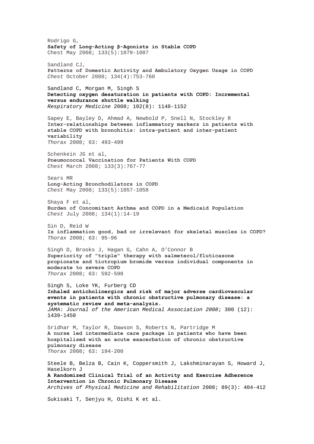Rodrigo G, **Safety of Long-Acting β-Agonists in Stable COPD**  Chest May 2008; 133(5):1079-1087 Sandland CJ, **Patterns of Domestic Activity and Ambulatory Oxygen Usage in COPD**  *Chest* October 2008; 134(4):753-760 Sandland C, Morgan M, Singh S **[Detecting oxygen desaturation in patients with COPD: Incremental](http://www.sciencedirect.com/science?_ob=ArticleURL&_udi=B6WWS-4SV0SR5-1&_user=10&_coverDate=08%2F31%2F2008&_rdoc=10&_fmt=high&_orig=browse&_srch=doc-info(%23toc%237138%232008%23998979991%23694450%23FLA%23display%23Volume)&_cdi=7138&_sort=d&_docanchor=&_ct=19&_acct=C000050221&_version=1&_urlVersion=0&_userid=10&md5=9a2f9a1f907b744738b5a74977c62e46)  [versus endurance shuttle walking](http://www.sciencedirect.com/science?_ob=ArticleURL&_udi=B6WWS-4SV0SR5-1&_user=10&_coverDate=08%2F31%2F2008&_rdoc=10&_fmt=high&_orig=browse&_srch=doc-info(%23toc%237138%232008%23998979991%23694450%23FLA%23display%23Volume)&_cdi=7138&_sort=d&_docanchor=&_ct=19&_acct=C000050221&_version=1&_urlVersion=0&_userid=10&md5=9a2f9a1f907b744738b5a74977c62e46)** *Respiratory Medicine* 2008; 102(8): 1148-1152 Sapey E, Bayley D, Ahmad A, Newbold P, Snell N, Stockley R **Inter-relationships between inflammatory markers in patients with stable COPD with bronchitis: intra-patient and inter-patient variability** *Thorax* 2008; 63: 493-499 Schenkein JG et al, **Pneumococcal Vaccination for Patients With COPD**  *Chest* March 2008; 133(3):767-77 Sears MR **Long-Acting Bronchodilators in COPD**  *Chest* May 2008; 133(5):1057-1058 Shaya F et al, **Burden of Concomitant Asthma and COPD in a Medicaid Population**  *Chest* July 2008; 134(1):14-19 Sin D, Reid W **Is inflammation good, bad or irrelevant for skeletal muscles in COPD?** *Thorax* 2008; 63: 95-96 Singh D, Brooks J, Hagan G, Cahn A, O'Connor B **Superiority of "triple" therapy with salmeterol/fluticasone propionate and tiotropium bromide versus individual components in moderate to severe COPD** *Thorax* 2008; 63: 592-598 Singh S, Loke YK, Furberg CD **Inhaled anticholinergics and risk of major adverse cardiovascular events in patients with chronic obstructive pulmonary disease: a systematic review and meta-analysis.**  *JAMA: Journal of the American Medical Association 2008*; 300 (12): 1439-1450 Sridhar M, Taylor R, Dawson S, Roberts N, Partridge M **A nurse led intermediate care package in patients who have been hospitalised with an acute exacerbation of chronic obstructive pulmonary disease** *Thorax* 2008; 63: 194-200 Steele B, Belza B, Cain K, Coppersmith J, Lakshminarayan S, Howard J, Haselkorn J **A Randomized Clinical Trial of an Activity and Exercise Adherence Intervention in Chronic Pulmonary Disease**  *Archives of Physical Medicine and Rehabilitation* 2008; 89(3): 404-412 Sukisaki T, Senjyu H, Oishi K et al.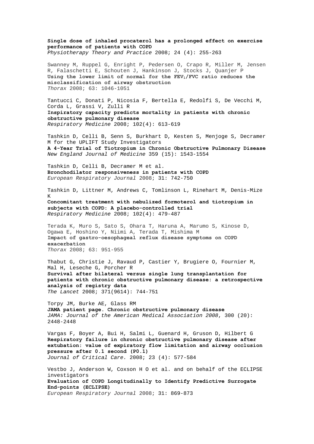**Single dose of inhaled procaterol has a prolonged effect on exercise performance of patients with COPD**  *Physiotherapy Theory and Practice* 2008; 24 (4): 255-263

Swanney M, Ruppel G, Enright P, Pedersen O, Crapo R, Miller M, Jensen R, Falaschetti E, Schouten J, Hankinson J, Stocks J, Quanjer P Using the lower limit of normal for the FEV<sub>1</sub>/FVC ratio reduces the **misclassification of airway obstruction** *Thorax* 2008; 63: 1046-1051

Tantucci C, Donati P, Nicosia F, Bertella E, Redolfi S, De Vecchi M, Corda L, Grassi V, Zulli R **[Inspiratory capacity predicts mortality in patients with chronic](http://www.sciencedirect.com/science?_ob=ArticleURL&_udi=B6WWS-4RD3WCN-2&_user=10&_coverDate=04%2F30%2F2008&_rdoc=18&_fmt=high&_orig=browse&_srch=doc-info(%23toc%237138%232008%23998979995%23682465%23FLA%23display%23Volume)&_cdi=7138&_sort=d&_docanchor=&_ct=24&_acct=C000050221&_version=1&_urlVersion=0&_userid=10&md5=4ba275ffb46681921dc9e378bb655e75)  [obstructive pulmonary disease](http://www.sciencedirect.com/science?_ob=ArticleURL&_udi=B6WWS-4RD3WCN-2&_user=10&_coverDate=04%2F30%2F2008&_rdoc=18&_fmt=high&_orig=browse&_srch=doc-info(%23toc%237138%232008%23998979995%23682465%23FLA%23display%23Volume)&_cdi=7138&_sort=d&_docanchor=&_ct=24&_acct=C000050221&_version=1&_urlVersion=0&_userid=10&md5=4ba275ffb46681921dc9e378bb655e75)** *Respiratory Medicine* 2008; 102(4): 613-619

Tashkin D, Celli B, Senn S, Burkhart D, Kesten S, Menjoge S, Decramer M for the UPLIFT Study Investigators **A 4-Year Trial of Tiotropium in Chronic Obstructive Pulmonary Disease** *New England Journal of Medicine* 359 (15): 1543-1554

Tashkin D, Celli B, Decramer M et al. **Bronchodilator responsiveness in patients with COPD** *European Respiratory Journal* 2008; 31: 742-750

Tashkin D, Littner M, Andrews C, Tomlinson L, Rinehart M, Denis-Mize K **[Concomitant treatment with nebulized formoterol and tiotropium in](http://www.sciencedirect.com/science?_ob=ArticleURL&_udi=B6WWS-4RS9SKN-1&_user=10&_coverDate=04%2F30%2F2008&_rdoc=2&_fmt=high&_orig=browse&_srch=doc-info(%23toc%237138%232008%23998979995%23682465%23FLA%23display%23Volume)&_cdi=7138&_sort=d&_docanchor=&_ct=24&_acct=C000050221&_version=1&_urlVersion=0&_userid=10&md5=e82d90c1ae6000df92752c6a6bec74ab)** 

**[subjects with COPD: A placebo-controlled trial](http://www.sciencedirect.com/science?_ob=ArticleURL&_udi=B6WWS-4RS9SKN-1&_user=10&_coverDate=04%2F30%2F2008&_rdoc=2&_fmt=high&_orig=browse&_srch=doc-info(%23toc%237138%232008%23998979995%23682465%23FLA%23display%23Volume)&_cdi=7138&_sort=d&_docanchor=&_ct=24&_acct=C000050221&_version=1&_urlVersion=0&_userid=10&md5=e82d90c1ae6000df92752c6a6bec74ab)** *Respiratory Medicine* 2008; 102(4): 479-487

Terada K, Muro S, Sato S, Ohara T, Haruna A, Marumo S, Kinose D, Ogawa E, Hoshino Y, Niimi A, Terada T, Mishima M **Impact of gastro-oesophageal reflux disease symptoms on COPD exacerbation** *Thorax* 2008; 63: 951-955

Thabut G, Christie J, Ravaud P, Castier Y, Brugiere O, Fournier M, Mal H, Leseche G, Porcher R **Survival after bilateral versus single lung transplantation for patients with chronic obstructive pulmonary disease: a retrospective analysis of registry data**  *The Lancet* 2008; 371(9614): 744-751

Torpy JM, Burke AE, Glass RM **JAMA patient page. Chronic obstructive pulmonary disease**  *JAMA: Journal of the American Medical Association 2008*, 300 (20): 2448-2448

Vargas F, Boyer A, Bui H, Salmi L, Guenard H, Gruson D, Hilbert G **[Respiratory failure in chronic obstructive pulmonary disease after](http://www.jccjournal.org/article/S0883-9441(08)00011-7/abstract)  [extubation: value of expiratory flow limitation and airway occlusion](http://www.jccjournal.org/article/S0883-9441(08)00011-7/abstract)  [pressure after 0.1 second \(P0.1\)](http://www.jccjournal.org/article/S0883-9441(08)00011-7/abstract)** *Journal of Critical Care.* 2008; 23 (4): 577-584

Vestbo J, Anderson W, Coxson H O et al. and on behalf of the ECLIPSE investigators **Evaluation of COPD Longitudinally to Identify Predictive Surrogate End-points (ECLIPSE)** *European Respiratory Journal* 2008; 31: 869-873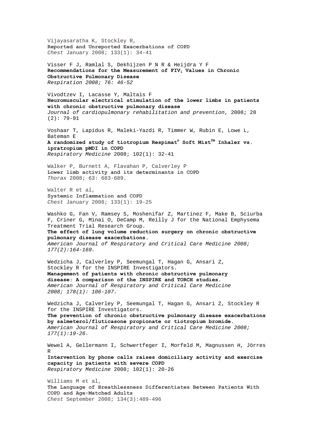Vijayasaratha K, Stockley R, **Reported and Unreported Exacerbations of COPD**  *Chest* January 2008; 133(1): 34-41

Visser F J, Ramlal S, Dekhijzen P N R & Heijdra Y F Recommendations for the Measurement of FIV<sub>1</sub> Values in Chronic **Obstructive Pulmonary Disease** *Respiration 2008; 76: 46-52*

Vivodtzev I, Lacasse Y, Maltais F **Neuromuscular electrical stimulation of the lower limbs in patients with chronic obstructive pulmonary disease**  *Journal of cardiopulmonary rehabilitation and prevention*, 2008; 28 (2): 79-91

Voshaar T, Lapidus R, Maleki-Yazdi R, Timmer W, Rubin E, Lowe L, Bateman E **[A randomized study of tiotropium Respimat](http://www.sciencedirect.com/science?_ob=ArticleURL&_udi=B6WWS-4R34DVP-1&_user=10&_coverDate=01%2F31%2F2008&_rdoc=6&_fmt=high&_orig=browse&_srch=doc-info(%23toc%237138%232008%23998979998%23675265%23FLA%23display%23Volume)&_cdi=7138&_sort=d&_docanchor=&_ct=24&_acct=C000050221&_version=1&_urlVersion=0&_userid=10&md5=fc2ae7e0de3b041fdcc7a45878c336b1)[®](http://www.sciencedirect.com/science?_ob=ArticleURL&_udi=B6WWS-4R34DVP-1&_user=10&_coverDate=01%2F31%2F2008&_rdoc=6&_fmt=high&_orig=browse&_srch=doc-info(%23toc%237138%232008%23998979998%23675265%23FLA%23display%23Volume)&_cdi=7138&_sort=d&_docanchor=&_ct=24&_acct=C000050221&_version=1&_urlVersion=0&_userid=10&md5=fc2ae7e0de3b041fdcc7a45878c336b1)  [Soft MistTM Inhaler vs.](http://www.sciencedirect.com/science?_ob=ArticleURL&_udi=B6WWS-4R34DVP-1&_user=10&_coverDate=01%2F31%2F2008&_rdoc=6&_fmt=high&_orig=browse&_srch=doc-info(%23toc%237138%232008%23998979998%23675265%23FLA%23display%23Volume)&_cdi=7138&_sort=d&_docanchor=&_ct=24&_acct=C000050221&_version=1&_urlVersion=0&_userid=10&md5=fc2ae7e0de3b041fdcc7a45878c336b1)  [ipratropium pMDI in COPD](http://www.sciencedirect.com/science?_ob=ArticleURL&_udi=B6WWS-4R34DVP-1&_user=10&_coverDate=01%2F31%2F2008&_rdoc=6&_fmt=high&_orig=browse&_srch=doc-info(%23toc%237138%232008%23998979998%23675265%23FLA%23display%23Volume)&_cdi=7138&_sort=d&_docanchor=&_ct=24&_acct=C000050221&_version=1&_urlVersion=0&_userid=10&md5=fc2ae7e0de3b041fdcc7a45878c336b1)** *Respiratory Medicine* 2008; 102(1): 32-41

Walker P, Burnett A, Flavahan P, Calverley P **Lower limb activity and its determinants in COPD** *Thorax* 2008; 63: 683-689.

Walter R et al, **Systemic Inflammation and COPD**  *Chest* January 2008; 133(1): 19-25

Washko G, Fan V, Ramsey S, Moshenifar Z, Martinez F, Make B, Sciurba F, Criner G, Minai O, DeCamp M, Reilly J for the National Emphysema Treatment Trial Research Group.

**The effect of lung volume reduction surgery on chronic obstructive pulmonary disease exacerbations.** 

*American Journal of Respiratory and Critical Care Medicine 2008; 177(2):164-169.* 

Wedzicha J, Calverley P, Seemungal T, Hagan G, Ansari Z, Stockley R for the INSPIRE Investigators. **Management of patients with chronic obstructive pulmonary disease: A comparison of the INSPIRE and TORCH studies.**  *American Journal of Respiratory and Critical Care Medicine 2008; 178(1): 106-107.* 

Wedzicha J, Calverley P, Seemungal T, Hagan G, Ansari Z, Stockley R for the INSPIRE Investigators.

**The prevention of chronic obstructive pulmonary disease exacerbations by salmeterol/fluticasone propionate or tiotropium bromide.**  *American Journal of Respiratory and Critical Care Medicine 2008; 177(1):19-26.* 

Wewel A, Gellermann I, Schwertfeger I, Morfeld M, Magnussen H, Jörres R **[Intervention by phone calls raises domiciliary activity and exercise](http://www.sciencedirect.com/science?_ob=ArticleURL&_udi=B6WWS-4R008GJ-1&_user=10&_coverDate=01%2F31%2F2008&_rdoc=4&_fmt=high&_orig=browse&_srch=doc-info(%23toc%237138%232008%23998979998%23675265%23FLA%23display%23Volume)&_cdi=7138&_sort=d&_docanchor=&_ct=24&_acct=C000050221&_version=1&_urlVersion=0&_userid=10&md5=ec68d3ed64cb70023bc2e233bede87bd)  [capacity in patients with severe COPD](http://www.sciencedirect.com/science?_ob=ArticleURL&_udi=B6WWS-4R008GJ-1&_user=10&_coverDate=01%2F31%2F2008&_rdoc=4&_fmt=high&_orig=browse&_srch=doc-info(%23toc%237138%232008%23998979998%23675265%23FLA%23display%23Volume)&_cdi=7138&_sort=d&_docanchor=&_ct=24&_acct=C000050221&_version=1&_urlVersion=0&_userid=10&md5=ec68d3ed64cb70023bc2e233bede87bd)**

*Respiratory Medicine* 2008; 102(1): 20-26

Williams M et al, **The Language of Breathlessness Differentiates Between Patients With COPD and Age-Matched Adults**  *Chest* September 2008; 134(3):489-496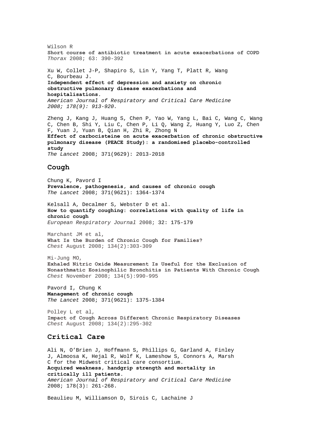Wilson R **Short course of antibiotic treatment in acute exacerbations of COPD** *Thorax* 2008; 63: 390-392 Xu W, Collet J-P, Shapiro S, Lin Y, Yang T, Platt R, Wang C, Bourbeau J. **Independent effect of depression and anxiety on chronic obstructive pulmonary disease exacerbations and hospitalisations.**  *American Journal of Respiratory and Critical Care Medicine 2008; 178(9): 913-920.* 

Zheng J, Kang J, Huang S, Chen P, Yao W, Yang L, Bai C, Wang C, Wang C, Chen B, Shi Y, Liu C, Chen P, Li Q, Wang Z, Huang Y, Luo Z, Chen F, Yuan J, Yuan B, Qian H, Zhi R, Zhong N **Effect of carbocisteine on acute exacerbation of chronic obstructive pulmonary disease (PEACE Study): a randomised placebo-controlled study**  *The Lancet* 2008; 371(9629): 2013-2018

## **Cough**

Chung K, Pavord I **Prevalence, pathogenesis, and causes of chronic cough**  *The Lancet* 2008; 371(9621): 1364-1374

Kelsall A, Decalmer S, Webster D et al. **How to quantify coughing: correlations with quality of life in chronic cough** *European Respiratory Journal* 2008; 32: 175-179

Marchant JM et al, **What Is the Burden of Chronic Cough for Families?**  *Chest* August 2008; 134(2):303-309

Mi-Jung MO, **Exhaled Nitric Oxide Measurement Is Useful for the Exclusion of Nonasthmatic Eosinophilic Bronchitis in Patients With Chronic Cough**  *Chest* November 2008; 134(5):990-995

Pavord I, Chung K **Management of chronic cough**  *The Lancet* 2008; 371(9621): 1375-1384

Polley L et al, **Impact of Cough Across Different Chronic Respiratory Diseases**  *Chest* August 2008; 134(2):295-302

## **Critical Care**

Ali N, O'Brien J, Hoffmann S, Phillips G, Garland A, Finley J, Almoosa K, Hejal R, Wolf K, Lameshow S, Connors A, Marsh C for the Midwest critical care consortium. **Acquired weakness, handgrip strength and mortality in critically ill patients.**  *American Journal of Respiratory and Critical Care Medicine*  2008; 178(3): 261-268.

Beaulieu M, Williamson D, Sirois C, Lachaine J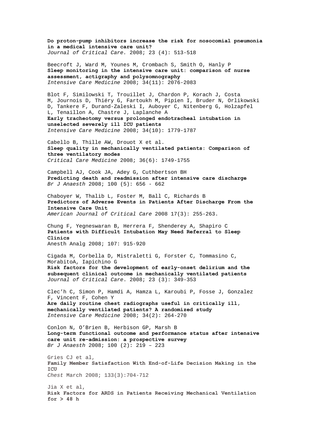**[Do proton-pump inhibitors increase the risk for nosocomial pneumonia](http://www.jccjournal.org/article/S0883-9441(07)00187-6/abstract)  [in a medical intensive care unit?](http://www.jccjournal.org/article/S0883-9441(07)00187-6/abstract)**  *Journal of Critical Care.* 2008; 23 (4): 513-518

[Beecroft](http://www.springerlink.com/content/?Author=Jaime+M.+Beecroft) J, [Ward](http://www.springerlink.com/content/?Author=Michael+Ward) M, [Younes](http://www.springerlink.com/content/?Author=Magdy+Younes) M, [Crombach](http://www.springerlink.com/content/?Author=Shelley+Crombach) S, [Smith](http://www.springerlink.com/content/?Author=Orla+Smith) O, [Hanly](http://www.springerlink.com/content/?Author=Patrick+J.+Hanly) P **[Sleep monitoring in the intensive care unit: comparison of nurse](http://www.springerlink.com/content/b61634k4867731v0/?p=8d99c4d4c5cb48b6b1ca95d12e363687&pi=19)  [assessment, actigraphy and polysomnography](http://www.springerlink.com/content/b61634k4867731v0/?p=8d99c4d4c5cb48b6b1ca95d12e363687&pi=19)**  *Intensive Care Medicine* 2008; 34(11): 2076-2083

[Blot](http://www.springerlink.com/content/?Author=Fran%c3%a7ois+Blot) F, [Similowski](http://www.springerlink.com/content/?Author=Thomas+Similowski) T, [Trouillet](http://www.springerlink.com/content/?Author=Jean-Louis+Trouillet) J, [Chardon](http://www.springerlink.com/content/?Author=Patrick+Chardon) P, [Korach](http://www.springerlink.com/content/?Author=Jean-Michel+Korach) J, [Costa](http://www.springerlink.com/content/?Author=Marie-Alyette+Costa)  M, [Journois](http://www.springerlink.com/content/?Author=Didier+Journois) D[, Thiéry](http://www.springerlink.com/content/?Author=Guillaume+Thi%c3%a9ry) G, [Fartoukh](http://www.springerlink.com/content/?Author=Muriel+Fartoukh) M, [Pipien](http://www.springerlink.com/content/?Author=Isabelle+Pipien) I, [Bruder](http://www.springerlink.com/content/?Author=Nicolas+Bruder) N[, Orlikowski](http://www.springerlink.com/content/?Author=David+Orlikowski)  D, [Tankere](http://www.springerlink.com/content/?Author=Fr%c3%a9d%c3%a9ric+Tankere) F, [Durand-Zaleski](http://www.springerlink.com/content/?Author=Isabelle+Durand-Zaleski) I, [Auboyer](http://www.springerlink.com/content/?Author=Christian+Auboyer) C, [Nitenberg](http://www.springerlink.com/content/?Author=G%c3%a9rard+Nitenberg) G, [Holzapfel](http://www.springerlink.com/content/?Author=Laurent+Holzapfel)  L, [Tenaillon](http://www.springerlink.com/content/?Author=Alain+Tenaillon) A, [Chastre](http://www.springerlink.com/content/?Author=Jean+Chastre) J, [Laplanche](http://www.springerlink.com/content/?Author=Agn%c3%a8s+Laplanche) A **[Early tracheotomy versus prolonged endotracheal intubation in](http://www.springerlink.com/content/121114552k7p3723/?p=af3cdd73c44e45f788c60cf812383ae9&pi=8)  [unselected severely ill ICU patients](http://www.springerlink.com/content/121114552k7p3723/?p=af3cdd73c44e45f788c60cf812383ae9&pi=8)**  *Intensive Care Medicine* 2008; 34(10): 1779-1787

Cabello B, Thille AW, Drouot X et al. **Sleep quality in mechanically ventilated patients: Comparison of three ventilatory modes**  *Critical Care Medicine* 2008; 36(6): 1749-1755

Campbell AJ, Cook JA, Adey G, Cuthbertson BH **Predicting death and readmission after intensive care discharge**  *Br J Anaesth* 2008; 100 (5): 656 - 662

Chaboyer W, Thalib L, Foster M, Ball C, Richards B **Predictors of Adverse Events in Patients After Discharge From the Intensive Care Unit** *American Journal of Critical Care* 2008 17(3): 255-263.

Chung F, Yegneswaran B, Herrera F, Shenderey A, Shapiro C **Patients with Difficult Intubation May Need Referral to Sleep Clinics**

Anesth Analg 2008; 107: 915-920

Cigada M, Corbella D, Mistraletti G, Forster C, Tommasino C, MorabitoA, Iapichino G **[Risk factors for the development of early-onset delirium and the](http://www.jccjournal.org/article/S0883-9441(06)00121-3/abstract)  [subsequent clinical outcome in mechanically ventilated patients](http://www.jccjournal.org/article/S0883-9441(06)00121-3/abstract)**  *Journal of Critical Care*. 2008; 23 (3): 349-353

[Clec'h](http://www.springerlink.com/content/?Author=Christophe+Clec%e2%80%99h) C, [Simon](http://www.springerlink.com/content/?Author=Paul+Simon) P, [Hamdi](http://www.springerlink.com/content/?Author=A%c3%afcha+Hamdi) A, [Hamza](http://www.springerlink.com/content/?Author=Lilia+Hamza) L[, Karoubi](http://www.springerlink.com/content/?Author=Philippe+Karoubi) P, [Fosse](http://www.springerlink.com/content/?Author=Jean-Philippe+Fosse) J, [Gonzalez](http://www.springerlink.com/content/?Author=Fr%c3%a9d%c3%a9ric+Gonzalez)  F, [Vincent](http://www.springerlink.com/content/?Author=Fran%c3%a7ois+Vincent) F[, Cohen](http://www.springerlink.com/content/?Author=Yves+Cohen) Y **[Are daily routine chest radiographs useful in critically ill,](http://www.springerlink.com/content/h648w26380jh755t/?p=0c0f276250b24f11bc2b62eaf5ed3523&pi=7)  [mechanically ventilated patients? A randomized study](http://www.springerlink.com/content/h648w26380jh755t/?p=0c0f276250b24f11bc2b62eaf5ed3523&pi=7)**  *Intensive Care Medicine* 2008; 34(2): 264-270

Conlon N, O'Brien B, Herbison GP, Marsh B **Long-term functional outcome and performance status after intensive care unit re-admission: a prospective survey**  *Br J Anaesth* 2008; 100 (2): 219 – 223

Gries CJ et al, **Family Member Satisfaction With End-of-Life Decision Making in the**   $TCII$ *Chest* March 2008; 133(3):704-712

Jia X et al, **Risk Factors for ARDS in Patients Receiving Mechanical Ventilation for > 48 h**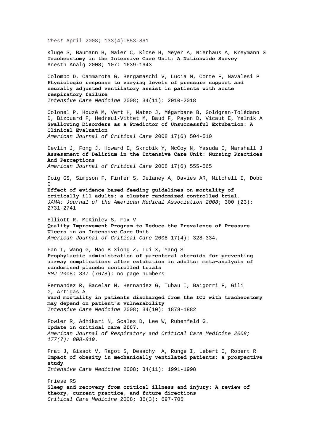*Chest* April 2008; 133(4):853-861

Kluge S, Baumann H, Maier C, Klose H, Meyer A, Nierhaus A, Kreymann G **Tracheostomy in the Intensive Care Unit: A Nationwide Survey** Anesth Analg 2008; 107: 1639-1643

[Colombo](http://www.springerlink.com/content/?Author=Davide+Colombo) D, [Cammarota](http://www.springerlink.com/content/?Author=Gianmaria+Cammarota) G, [Bergamaschi](http://www.springerlink.com/content/?Author=Valentina+Bergamaschi) V, [Lucia](http://www.springerlink.com/content/?Author=Marta+De+Lucia) M, [Corte](http://www.springerlink.com/content/?Author=Francesco+Della+Corte) F, [Navalesi](http://www.springerlink.com/content/?Author=Paolo+Navalesi) P **[Physiologic response to varying levels of pressure support and](http://www.springerlink.com/content/jl7q54w9g0g42p51/?p=8d99c4d4c5cb48b6b1ca95d12e363687&pi=11)  [neurally adjusted ventilatory assist in patients with acute](http://www.springerlink.com/content/jl7q54w9g0g42p51/?p=8d99c4d4c5cb48b6b1ca95d12e363687&pi=11)  [respiratory failure](http://www.springerlink.com/content/jl7q54w9g0g42p51/?p=8d99c4d4c5cb48b6b1ca95d12e363687&pi=11)**  *Intensive Care Medicine* 2008; 34(11): 2010-2018

Colonel P, Houzé M, Vert H, Mateo J, Mégarbane B, Goldgran-Tolédano D, Bizouard F, Hedreul-Vittet M, Baud F, Payen D, Vicaut E, Yelnik A **Swallowing Disorders as a Predictor of Unsuccessful Extubation: A Clinical Evaluation** *American Journal of Critical Care* 2008 17(6) 504-510

Devlin J, Fong J, Howard E, Skrobik Y, McCoy N, Yasuda C, Marshall J **Assessment of Delirium in the Intensive Care Unit: Nursing Practices And Perceptions**

*American Journal of Critical Care* 2008 17(6) 555-565

Doig GS, Simpson F, Finfer S, Delaney A, Davies AR, Mitchell I, Dobb  $\Gamma$ 

**Effect of evidence-based feeding guidelines on mortality of critically ill adults: a cluster randomized controlled trial.**  *JAMA: Journal of the American Medical Association 2008*; 300 (23): 2731-2741

Elliott R, McKinley S, Fox V **Quality Improvement Program to Reduce the Prevalence of Pressure Ulcers in an Intensive Care Unit** *American Journal of Critical Care* 2008 17(4): 328-334.

Fan T, Wang G, Mao B Xiong Z, Lui X, Yang S **Prophylactic administration of parenteral steroids for preventing airway complications after extubation in adults: meta-analysis of randomised placebo controlled trials** *BMJ* 2008; 337 (7678): no page numbers

[Fernandez](http://www.springerlink.com/content/?Author=Rafael+Fernandez) R, [Bacelar](http://www.springerlink.com/content/?Author=Nestor+Bacelar) N, [Hernandez](http://www.springerlink.com/content/?Author=Gonzalo+Hernandez) G, [Tubau](http://www.springerlink.com/content/?Author=Isabel+Tubau) I, [Baigorri](http://www.springerlink.com/content/?Author=Francisco+Baigorri) F, [Gili](http://www.springerlink.com/content/?Author=Gisela+Gili)  G, [Artigas](http://www.springerlink.com/content/?Author=Antonio+Artigas) A **[Ward mortality in patients discharged from the ICU with tracheostomy](http://www.springerlink.com/content/34656v48n3235348/?p=4bdd2a0d402342558fc6666b0aba035b&pi=21)  [may depend on patient's vulnerability](http://www.springerlink.com/content/34656v48n3235348/?p=4bdd2a0d402342558fc6666b0aba035b&pi=21)**  *Intensive Care Medicine* 2008; 34(10): 1878-1882

Fowler R, Adhikari N, Scales D, Lee W, Rubenfeld G. **Update in critical care 2007.**  *American Journal of Respiratory and Critical Care Medicine 2008; 177(7): 808-819.* 

[Frat](http://www.springerlink.com/content/?Author=Jean-Pierre+Frat) J, [Gissot](http://www.springerlink.com/content/?Author=Val%c3%a9rie+Gissot) V, [Ragot](http://www.springerlink.com/content/?Author=St%c3%a9phanie+Ragot) S, [Desachy](http://www.springerlink.com/content/?Author=Arnaud+Desachy) A, [Runge](http://www.springerlink.com/content/?Author=Isabelle+Runge) I, [Lebert](http://www.springerlink.com/content/?Author=Christine+Lebert) C, [Robert](http://www.springerlink.com/content/?Author=Ren%c3%a9+Robert) R **[Impact of obesity in mechanically ventilated patients: a prospective](http://www.springerlink.com/content/u745736325t60h86/?p=b1626395e41a43b2b4f3846ae7029f05&pi=9)  [study](http://www.springerlink.com/content/u745736325t60h86/?p=b1626395e41a43b2b4f3846ae7029f05&pi=9)**  *Intensive Care Medicine* 2008; 34(11): 1991-1998

Friese RS **Sleep and recovery from critical illness and injury: A review of theory, current practice, and future directions**  *Critical Care Medicine* 2008; 36(3): 697-705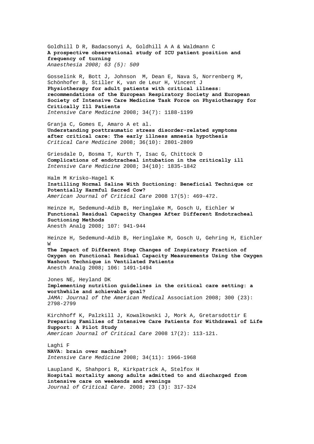Goldhill D R, Badacsonyi A, Goldhill A A & Waldmann C **A prospective observational study of ICU patient position and frequency of turning**  *Anaesthesia 2008; 63 (5): 509* 

[Gosselink](http://www.springerlink.com/content/?Author=R.+Gosselink) R, [Bott](http://www.springerlink.com/content/?Author=J.+Bott) J, [Johnson](http://www.springerlink.com/content/?Author=M.+Johnson) M, [Dean](http://www.springerlink.com/content/?Author=E.+Dean) E, [Nava](http://www.springerlink.com/content/?Author=S.+Nava) S, [Norrenberg](http://www.springerlink.com/content/?Author=M.+Norrenberg) M, [Schönhofer](http://www.springerlink.com/content/?Author=B.+Sch%c3%b6nhofer) B, [Stiller](http://www.springerlink.com/content/?Author=K.+Stiller) K, [van de Leur](http://www.springerlink.com/content/?Author=H.+van+de+Leur) H, [Vincent](http://www.springerlink.com/content/?Author=J.+L.+Vincent) J **[Physiotherapy for adult patients with critical illness:](http://www.springerlink.com/content/2r50121811p01215/?p=b946366d22334f7ab2fd0222ae16f725&pi=4)  [recommendations of the European Respiratory Society and European](http://www.springerlink.com/content/2r50121811p01215/?p=b946366d22334f7ab2fd0222ae16f725&pi=4)  [Society of Intensive Care Medicine Task Force on Physiotherapy for](http://www.springerlink.com/content/2r50121811p01215/?p=b946366d22334f7ab2fd0222ae16f725&pi=4)  [Critically Ill Patients](http://www.springerlink.com/content/2r50121811p01215/?p=b946366d22334f7ab2fd0222ae16f725&pi=4)**  *Intensive Care Medicine* 2008; 34(7): 1188-1199

Granja C, Gomes E, Amaro A et al. **Understanding posttraumatic stress disorder-related symptoms after critical care: The early illness amnesia hypothesis** *Critical Care Medicine* 2008; 36(10): 2801-2809

[Griesdale](http://www.springerlink.com/content/?Author=Donald+E.+G.+Griesdale) D, [Bosma](http://www.springerlink.com/content/?Author=T.+Laine+Bosma) T, [Kurth](http://www.springerlink.com/content/?Author=Tobias+Kurth) T, [Isac](http://www.springerlink.com/content/?Author=George+Isac) G, [Chittock](http://www.springerlink.com/content/?Author=Dean+R.+Chittock) D **[Complications of endotracheal intubation in the critically ill](http://www.springerlink.com/content/c5782731tp3jh638/?p=91bdde6ae6544a98a7a7f581965e8228&pi=15)**  *Intensive Care Medicine* 2008; 34(10): 1835-1842

Halm M Krisko-Hagel K **Instilling Normal Saline With Suctioning: Beneficial Technique or Potentially Harmful Sacred Cow?** *American Journal of Critical Care* 2008 17(5): 469-472.

Heinze H, Sedemund-Adib B, Heringlake M, Gosch U, Eichler W **Functional Residual Capacity Changes After Different Endotracheal Suctioning Methods** Anesth Analg 2008; 107: 941-944

Heinze H, Sedemund-Adib B, Heringlake M, Gosch U, Gehring H, Eichler W **The Impact of Different Step Changes of Inspiratory Fraction of Oxygen on Functional Residual Capacity Measurements Using the Oxygen** 

**Washout Technique in Ventilated Patients** Anesth Analg 2008; 106: 1491-1494

Jones NE, Heyland DK **Implementing nutrition guidelines in the critical care setting: a worthwhile and achievable goal?**  *JAMA: Journal of the American Medical* Association 2008; 300 (23): 2798-2799

Kirchhoff K, Palzkill J, Kowalkowski J, Mork A, Gretarsdottir E **Preparing Families of Intensive Care Patients for Withdrawal of Life Support: A Pilot Study** *American Journal of Critical Care* 2008 17(2): 113-121.

Laghi F **[NAVA: brain over machine?](http://www.springerlink.com/content/2655416161k00740/?p=b1626395e41a43b2b4f3846ae7029f05&pi=6)**  *Intensive Care Medicine* 2008; 34(11): 1966-1968

Laupland K, Shahpori R, Kirkpatrick A, Stelfox H **[Hospital mortality among adults admitted to and discharged from](http://www.jccjournal.org/article/S0883-9441(07)00147-5/abstract)  [intensive care on weekends and evenings](http://www.jccjournal.org/article/S0883-9441(07)00147-5/abstract)**  *Journal of Critical Care.* 2008; 23 (3): 317-324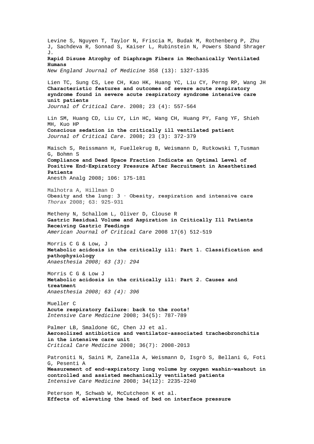Levine S, Nguyen T, Taylor N, Friscia M, Budak M, Rothenberg P, Zhu J, Sachdeva R, Sonnad S, Kaiser L, Rubinstein N, Powers Sband Shrager J*.*  **Rapid Disuse Atrophy of Diaphragm Fibers in Mechanically Ventilated Humans**  *New England Journal of Medicine* 358 (13): 1327-1335 Lien TC, Sung CS, Lee CH, Kao HK, Huang YC, Liu CY, Perng RP, Wang JH **[Characteristic features and outcomes of severe acute respiratory](http://www.jccjournal.org/article/S0883-9441(07)00079-2/abstract)  [syndrome found in severe acute respiratory syndrome intensive care](http://www.jccjournal.org/article/S0883-9441(07)00079-2/abstract)  [unit patients](http://www.jccjournal.org/article/S0883-9441(07)00079-2/abstract)** *Journal of Critical Care.* 2008; 23 (4): 557-564 Lin SM, Huang CD, Liu CY, Lin HC, Wang CH, Huang PY, Fang YF, Shieh MH, Kuo HP **[Conscious sedation in the critically ill ventilated patient](http://www.jccjournal.org/article/S0883-9441(07)00048-2/abstract)**  *Journal of Critical Care.* 2008; 23 (3): 372-379 Maisch S, Reissmann H, Fuellekrug B, Weismann D, Rutkowski T,Tusman G, Bohmn S **Compliance and Dead Space Fraction Indicate an Optimal Level of Positive End-Expiratory Pressure After Recruitment in Anesthetized Patients** Anesth Analg 2008; 106: 175-181 Malhotra A, Hillman D **Obesity and the lung: 3 · Obesity, respiration and intensive care** *Thorax* 2008; 63: 925-931 Metheny N, Schallom L, Oliver D, Clouse R **Gastric Residual Volume and Aspiration in Critically Ill Patients Receiving Gastric Feedings** *American Journal of Critical Care* 2008 17(6) 512-519 Morris C G & Low, J **Metabolic acidosis in the critically ill: Part 1. Classification and pathophysiology** *Anaesthesia 2008; 63 (3): 294* Morris C G & Low J **Metabolic acidosis in the critically ill: Part 2. Causes and treatment**  *Anaesthesia 2008; 63 (4): 396*  [Mueller](http://www.springerlink.com/content/?Author=Christian+Mueller) C **[Acute respiratory failure: back to the roots!](http://www.springerlink.com/content/p225163803188193/?p=8dac11f3875a40109b02951686825f20&pi=0)**  *Intensive Care Medicine* 2008; 34(5): 787-789 Palmer LB, Smaldone GC, Chen JJ et al. **Aerosolized antibiotics and ventilator-associated tracheobronchitis in the intensive care unit** *Critical Care Medicine* 2008; 36(7): 2008-2013 [Patroniti](http://www.springerlink.com/content/?Author=N.+Patroniti) N, [Saini](http://www.springerlink.com/content/?Author=M.+Saini) M, [Zanella](http://www.springerlink.com/content/?Author=A.+Zanella) A, [Weismann](http://www.springerlink.com/content/?Author=D.+Weismann) D, [Isgrò](http://www.springerlink.com/content/?Author=S.+Isgr%c3%b2) S, [Bellani](http://www.springerlink.com/content/?Author=G.+Bellani) G, [Foti](http://www.springerlink.com/content/?Author=G.+Foti)  G, [Pesenti](http://www.springerlink.com/content/?Author=A.+Pesenti) A **[Measurement of end-expiratory lung volume by oxygen washin–washout in](http://www.springerlink.com/content/118p86vq8w7408k5/?p=6a06ec4cc832413fa63686c76da18ab8&pi=15)  [controlled and assisted mechanically ventilated patients](http://www.springerlink.com/content/118p86vq8w7408k5/?p=6a06ec4cc832413fa63686c76da18ab8&pi=15)**  *Intensive Care Medicine* 2008; 34(12): 2235-2240 Peterson M, Schwab W, McCutcheon K et al. **Effects of elevating the head of bed on interface pressure**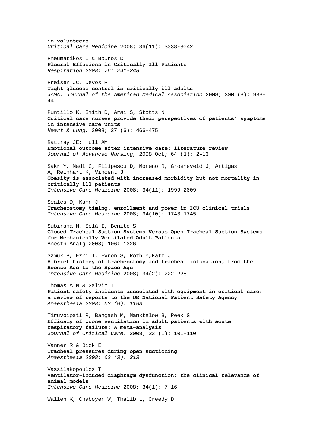**in volunteers**  *Critical Care Medicine* 2008; 36(11): 3038-3042 Pneumatikos I & Bouros D **Pleural Effusions in Critically Ill Patients** *Respiration 2008; 76: 241-248* Preiser JC, Devos P **Tight glucose control in critically ill adults**  *JAMA: Journal of the American Medical Association* 2008; 300 (8): 933- 44 Puntillo K, Smith D, Arai S, Stotts N **Critical care nurses provide their perspectives of patients' symptoms in intensive care units**  *Heart & Lung,* 2008; 37 (6): 466-475 Rattray JE; Hull AM **[Emotional outcome after intensive care: literature review](http://web.ebscohost.com/ehost/viewarticle?data=dGJyMPPp44rp2%2fdV0%2bnjisfk5Ie46bdQtai2S7ak63nn5Kx95uXxjL6orUm0pbBIrq%2beUbipt1Kyq55Zy5zyit%2fk8Xnh6ueH7N%2fiVa%2bmtEqvp7NJta%2bkhN%2fk5VXj5KR84LPhUOac8nnls79mpNfsVbCmr0iuqbdRtqykfu3o63nys%2bSN6uLyffbq&hid=12)**  *Journal of Advanced Nursing*, 2008 Oct; 64 (1): 2-13 [Sakr](http://www.springerlink.com/content/?Author=Yasser+Sakr) Y, [Madl](http://www.springerlink.com/content/?Author=Christian+Madl) C, [Filipescu](http://www.springerlink.com/content/?Author=Daniela+Filipescu) D, [Moreno](http://www.springerlink.com/content/?Author=Rui+Moreno) R, [Groeneveld](http://www.springerlink.com/content/?Author=Johan+Groeneveld) J, [Artigas](http://www.springerlink.com/content/?Author=Antonio+Artigas)  A, [Reinhart](http://www.springerlink.com/content/?Author=Konrad+Reinhart) K, Vincent J **[Obesity is associated with increased morbidity but not mortality in](http://www.springerlink.com/content/5346614j52658601/?p=8d99c4d4c5cb48b6b1ca95d12e363687&pi=10)  [critically ill patients](http://www.springerlink.com/content/5346614j52658601/?p=8d99c4d4c5cb48b6b1ca95d12e363687&pi=10)**  *Intensive Care Medicine* 2008; 34(11): 1999-2009 [Scales](http://www.springerlink.com/content/?Author=Damon+C.+Scales) D, [Kahn](http://www.springerlink.com/content/?Author=Jeremy+M.+Kahn) J **[Tracheostomy timing, enrollment and power in ICU clinical trials](http://www.springerlink.com/content/r1l6j64517468333/?p=af3cdd73c44e45f788c60cf812383ae9&pi=0)**  *Intensive Care Medicine* 2008; 34(10): 1743-1745 Subirana M, Solà I, Benito S **Closed Tracheal Suction Systems Versus Open Tracheal Suction Systems for Mechanically Ventilated Adult Patients** Anesth Analg 2008; 106: 1326 [Szmuk](http://www.springerlink.com/content/?Author=Peter+Szmuk) P, [Ezri](http://www.springerlink.com/content/?Author=Tiberiu+Ezri) T, [Evron](http://www.springerlink.com/content/?Author=Shmuel+Evron) S, [Roth](http://www.springerlink.com/content/?Author=Yehudah+Roth) Y[,Katz](http://www.springerlink.com/content/?Author=Jeffrey+Katz) J **[A brief history of tracheostomy and tracheal intubation, from the](http://www.springerlink.com/content/n3184w62475812k7/?p=0c0f276250b24f11bc2b62eaf5ed3523&pi=2)  [Bronze Age to the Space Age](http://www.springerlink.com/content/n3184w62475812k7/?p=0c0f276250b24f11bc2b62eaf5ed3523&pi=2)**  *Intensive Care Medicine* 2008; 34(2): 222-228 Thomas A N & Galvin I **Patient safety incidents associated with equipment in critical care: a review of reports to the UK National Patient Safety Agency** *Anaesthesia 2008; 63 (9): 1193* Tiruvoipati R, Bangash M, Manktelow B, Peek G **[Efficacy of prone ventilation in adult patients with acute](http://www.jccjournal.org/article/S0883-9441(07)00150-5/abstract)  [respiratory failure: A meta-analysis](http://www.jccjournal.org/article/S0883-9441(07)00150-5/abstract)**  *Journal of Critical Care.* 2008; 23 (1): 101-110 Vanner R & Bick E **Tracheal pressures during open suctioning** *Anaesthesia 2008; 63 (3): 313*  [Vassilakopoulos](http://www.springerlink.com/content/?Author=Theodoros+Vassilakopoulos) T **[Ventilator-induced diaphragm dysfunction: the clinical relevance of](http://www.springerlink.com/content/515uu818824t534x/?p=ac22d150fcf2427eb1ba5f2334e6deab&pi=2)  [animal models](http://www.springerlink.com/content/515uu818824t534x/?p=ac22d150fcf2427eb1ba5f2334e6deab&pi=2)**  *Intensive Care Medicine* 2008; 34(1): 7-16 Wallen K, Chaboyer W, Thalib L, Creedy D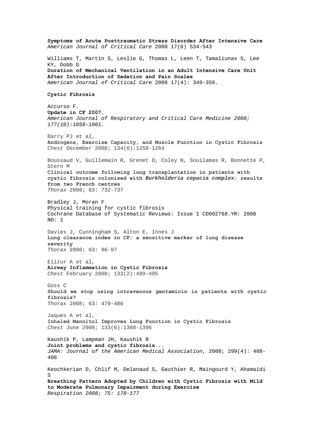**Symptoms of Acute Posttraumatic Stress Disorder After Intensive Care** *American Journal of Critical Care* 2008 17(6) 534-543 Williams T, Martin S, Leslie G, Thomas L, Leen T, Tamaliunas S, Lee KY, Dobb G **Duration of Mechanical Ventilation in an Adult Intensive Care Unit After Introduction of Sedation and Pain Scales** *American Journal of Critical Care* 2008 17(4): 349-356. **Cystic Fibrosis**  Accurso F. **Update in CF 2007.**  *American Journal of Respiratory and Critical Care Medicine 2008; 177(10):1058-1061.*  Barry PJ et al, **Androgens, Exercise Capacity, and Muscle Function in Cystic Fibrosis**  *Chest* December 2008; 134(6):1258-1264 Boussaud V, Guillemain R, Grenet D, Coley N, Souilamas R, Bonnette P, Stern M **Clinical outcome following lung transplantation in patients with cystic fibrosis colonised with** *Burkholderia cepacia complex***: results from two French centres** *Thorax* 2008; 63: 732-737 Bradley J, Moran F Physical training for cystic fibrosis Cochrane Database of Systematic Reviews: Issue 1 CD002768.YR: 2008 NO: 1 Davies J, Cunningham S, Alton E, Innes J **Lung clearance index in CF: a sensitive marker of lung disease severity** *Thorax* 2008; 63: 96-97 Elizur A et al, **Airway Inflammation in Cystic Fibrosis**  *Chest* February 2008; 133(2):489-495 Goss C **Should we stop using intravenous gentamicin in patients with cystic fibrosis?** *Thorax* 2008; 63: 479-480 Jaques A et al, **Inhaled Mannitol Improves Lung Function in Cystic Fibrosis**  *Chest* June 2008; 133(6):1388-1396 Kaushik P, Lampman JH, Kaushik R **Joint problems and cystic fibrosis...**  *JAMA: Journal of the American Medical Association*, 2008; 299(4): 408- 408 Keochkerian D, Chlif M, Delanaud S, Gauthier R, Maingourd Y, Ahamaidi S **Breathing Pattern Adopted by Children with Cystic Fibrosis with Mild to Moderate Pulmonary Impairment during Exercise** *Respiration 2008; 75: 170-177*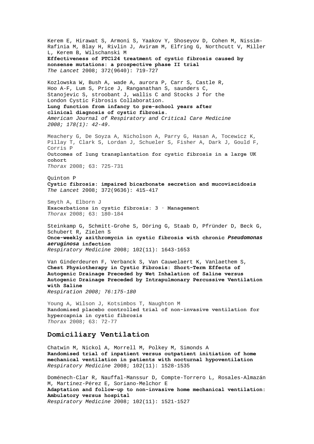Kerem E, Hirawat S, Armoni S, Yaakov Y, Shoseyov D, Cohen M, Nissim-Rafinia M, Blay H, Rivlin J, Aviram M, Elfring G, Northcutt V, Miller L, Kerem B, Wilschanski M **Effectiveness of PTC124 treatment of cystic fibrosis caused by nonsense mutations: a prospective phase II trial**  *The Lancet* 2008; 372(9640): 719-727 Kozlowska W, Bush A, wade A, aurora P, Carr S, Castle R, Hoo A-F, Lum S, Price J, Ranganathan S, saunders C, Stanojevic S, stroobant J, wallis C and Stocks J for the London Cystic Fibrosis Collaboration. **Lung function from infancy to pre-school years after clinical diagnosis of cystic fibrosis.**  *American Journal of Respiratory and Critical Care Medicine 2008; 178(1): 42-49.*  Meachery G, De Soyza A, Nicholson A, Parry G, Hasan A, Tocewicz K, Pillay T, Clark S, Lordan J, Schueler S, Fisher A, Dark J, Gould F, Corris P **Outcomes of lung transplantation for cystic fibrosis in a large UK cohort** *Thorax* 2008; 63: 725-731 Quinton P **Cystic fibrosis: impaired bicarbonate secretion and mucoviscidosis**  *The Lancet* 2008; 372(9636): 415-417 Smyth A, Elborn J **Exacerbations in cystic fibrosis: 3 · Management** *Thorax* 2008; 63: 180-184 Steinkamp G, Schmitt-Grohe S, Döring G, Staab D, Pfründer D, Beck G, Schubert R, Zielen S **[Once-weekly azithromycin in cystic fibrosis with chronic](http://www.sciencedirect.com/science?_ob=ArticleURL&_udi=B6WWS-4T6CF14-1&_user=10&_coverDate=11%2F30%2F2008&_rdoc=21&_fmt=high&_orig=browse&_srch=doc-info(%23toc%237138%232008%23998979988%23701789%23FLA%23display%23Volume)&_cdi=7138&_sort=d&_docanchor=&_ct=27&_acct=C000050221&_version=1&_urlVersion=0&_userid=10&md5=7da75fa0a3cfd74d012d18189374b008)** *[Pseudomonas](http://www.sciencedirect.com/science?_ob=ArticleURL&_udi=B6WWS-4T6CF14-1&_user=10&_coverDate=11%2F30%2F2008&_rdoc=21&_fmt=high&_orig=browse&_srch=doc-info(%23toc%237138%232008%23998979988%23701789%23FLA%23display%23Volume)&_cdi=7138&_sort=d&_docanchor=&_ct=27&_acct=C000050221&_version=1&_urlVersion=0&_userid=10&md5=7da75fa0a3cfd74d012d18189374b008)  [aeruginosa](http://www.sciencedirect.com/science?_ob=ArticleURL&_udi=B6WWS-4T6CF14-1&_user=10&_coverDate=11%2F30%2F2008&_rdoc=21&_fmt=high&_orig=browse&_srch=doc-info(%23toc%237138%232008%23998979988%23701789%23FLA%23display%23Volume)&_cdi=7138&_sort=d&_docanchor=&_ct=27&_acct=C000050221&_version=1&_urlVersion=0&_userid=10&md5=7da75fa0a3cfd74d012d18189374b008)* **[infection](http://www.sciencedirect.com/science?_ob=ArticleURL&_udi=B6WWS-4T6CF14-1&_user=10&_coverDate=11%2F30%2F2008&_rdoc=21&_fmt=high&_orig=browse&_srch=doc-info(%23toc%237138%232008%23998979988%23701789%23FLA%23display%23Volume)&_cdi=7138&_sort=d&_docanchor=&_ct=27&_acct=C000050221&_version=1&_urlVersion=0&_userid=10&md5=7da75fa0a3cfd74d012d18189374b008)** *Respiratory Medicine* 2008; 102(11): 1643-1653 Van Ginderdeuren F, Verbanck S, Van Cauwelaert K, Vanlaethem S, **Chest Physiotherapy in Cystic Fibrosis: Short-Term Effects of Autogenic Drainage Preceded by Wet Inhalation of Saline versus Autogenic Drainage Preceded by Intrapulmonary Percussive Ventilation with Saline** *Respiration 2008; 76:175-180*  Young A, Wilson J, Kotsimbos T, Naughton M

**Randomised placebo controlled trial of non-invasive ventilation for hypercapnia in cystic fibrosis** *Thorax* 2008; 63: 72-77

## **Domiciliary Ventilation**

Chatwin M, Nickol A, Morrell M, Polkey M, Simonds A **[Randomised trial of inpatient versus outpatient initiation of home](http://www.sciencedirect.com/science?_ob=ArticleURL&_udi=B6WWS-4TCXGBG-1&_user=10&_coverDate=11%2F30%2F2008&_rdoc=4&_fmt=high&_orig=browse&_srch=doc-info(%23toc%237138%232008%23998979988%23701789%23FLA%23display%23Volume)&_cdi=7138&_sort=d&_docanchor=&_ct=27&_acct=C000050221&_version=1&_urlVersion=0&_userid=10&md5=68ae9af69699e66318550db7548d7daf)  [mechanical ventilation in patients with nocturnal hypoventilation](http://www.sciencedirect.com/science?_ob=ArticleURL&_udi=B6WWS-4TCXGBG-1&_user=10&_coverDate=11%2F30%2F2008&_rdoc=4&_fmt=high&_orig=browse&_srch=doc-info(%23toc%237138%232008%23998979988%23701789%23FLA%23display%23Volume)&_cdi=7138&_sort=d&_docanchor=&_ct=27&_acct=C000050221&_version=1&_urlVersion=0&_userid=10&md5=68ae9af69699e66318550db7548d7daf)** *Respiratory Medicine* 2008; 102(11): 1528-1535

Doménech-Clar R, Nauffal-Manssur D, Compte-Torrero L, Rosales-Almazán M, Martínez-Pérez E, Soriano-Melchor E **[Adaptation and follow-up to non-invasive home mechanical ventilation:](http://www.sciencedirect.com/science?_ob=ArticleURL&_udi=B6WWS-4TCGM26-1&_user=10&_coverDate=11%2F30%2F2008&_rdoc=3&_fmt=high&_orig=browse&_srch=doc-info(%23toc%237138%232008%23998979988%23701789%23FLA%23display%23Volume)&_cdi=7138&_sort=d&_docanchor=&_ct=27&_acct=C000050221&_version=1&_urlVersion=0&_userid=10&md5=9cdced0196c43a4788ff6ad8389039d3)  [Ambulatory versus hospital](http://www.sciencedirect.com/science?_ob=ArticleURL&_udi=B6WWS-4TCGM26-1&_user=10&_coverDate=11%2F30%2F2008&_rdoc=3&_fmt=high&_orig=browse&_srch=doc-info(%23toc%237138%232008%23998979988%23701789%23FLA%23display%23Volume)&_cdi=7138&_sort=d&_docanchor=&_ct=27&_acct=C000050221&_version=1&_urlVersion=0&_userid=10&md5=9cdced0196c43a4788ff6ad8389039d3)** *Respiratory Medicine* 2008; 102(11): 1521-1527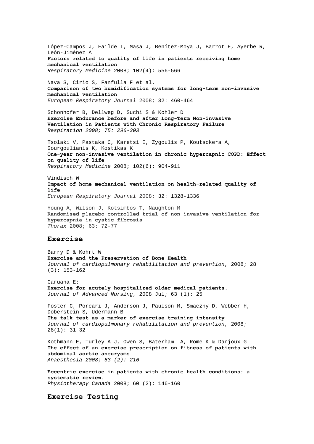López-Campos J, Failde I, Masa J, Benítez-Moya J, Barrot E, Ayerbe R, León-Jiménez A **[Factors related to quality of life in patients receiving home](http://www.sciencedirect.com/science?_ob=ArticleURL&_udi=B6WWS-4RCP712-1&_user=10&_coverDate=04%2F30%2F2008&_rdoc=17&_fmt=high&_orig=browse&_srch=doc-info(%23toc%237138%232008%23998979995%23682465%23FLA%23display%23Volume)&_cdi=7138&_sort=d&_docanchor=&_ct=24&_acct=C000050221&_version=1&_urlVersion=0&_userid=10&md5=d397554ef439dd1d757d1b55e55d2e1b)  [mechanical ventilation](http://www.sciencedirect.com/science?_ob=ArticleURL&_udi=B6WWS-4RCP712-1&_user=10&_coverDate=04%2F30%2F2008&_rdoc=17&_fmt=high&_orig=browse&_srch=doc-info(%23toc%237138%232008%23998979995%23682465%23FLA%23display%23Volume)&_cdi=7138&_sort=d&_docanchor=&_ct=24&_acct=C000050221&_version=1&_urlVersion=0&_userid=10&md5=d397554ef439dd1d757d1b55e55d2e1b)** *Respiratory Medicine* 2008; 102(4): 556-566

Nava S, Cirio S, Fanfulla F et al. **Comparison of two humidification systems for long-term non-invasive mechanical ventilation** *European Respiratory Journal* 2008; 32: 460-464

Schonhofer B, Dellweg D, Suchi S & Kohler D **Exercise Endurance before and after Long-Term Non-invasive Ventilation in Patients with Chronic Respiratory Failure** *Respiration 2008; 75: 296-303*

Tsolaki V, Pastaka C, Karetsi E, Zygoulis P, Koutsokera A, Gourgoulianis K, Kostikas K **[One-year non-invasive ventilation in chronic hypercapnic COPD: Effect](http://www.sciencedirect.com/science?_ob=ArticleURL&_udi=B6WWS-4RV1JN3-2&_user=10&_coverDate=06%2F30%2F2008&_rdoc=16&_fmt=high&_orig=browse&_srch=doc-info(%23toc%237138%232008%23998979993%23689062%23FLA%23display%23Volume)&_cdi=7138&_sort=d&_docanchor=&_ct=22&_acct=C000050221&_version=1&_urlVersion=0&_userid=10&md5=aaa0d20befad880a84b18bd7ee95cb9c)  [on quality of life](http://www.sciencedirect.com/science?_ob=ArticleURL&_udi=B6WWS-4RV1JN3-2&_user=10&_coverDate=06%2F30%2F2008&_rdoc=16&_fmt=high&_orig=browse&_srch=doc-info(%23toc%237138%232008%23998979993%23689062%23FLA%23display%23Volume)&_cdi=7138&_sort=d&_docanchor=&_ct=22&_acct=C000050221&_version=1&_urlVersion=0&_userid=10&md5=aaa0d20befad880a84b18bd7ee95cb9c)** *Respiratory Medicine* 2008; 102(6): 904-911

Windisch W **Impact of home mechanical ventilation on health-related quality of life** *European Respiratory Journal* 2008; 32: 1328-1336

Young A, Wilson J, Kotsimbos T, Naughton M **Randomised placebo controlled trial of non-invasive ventilation for hypercapnia in cystic fibrosis** *Thorax* 2008; 63: 72-77

#### **Exercise**

Barry D & Kohrt W **Exercise and the Preservation of Bone Health** *Journal of cardiopulmonary rehabilitation and prevention*, 2008; 28 (3): 153-162

Caruana E; **[Exercise for acutely hospitalized older medical patients.](http://web.ebscohost.com/ehost/viewarticle?data=dGJyMPPp44rp2%2fdV0%2bnjisfk5Ie46bdQtai2S7ak63nn5Kx95uXxjL6orUm0pbBIrq%2beUbinsVKzqZ5Zy5zyit%2fk8Xnh6ueH7N%2fiVa%2brsE6uprVKtaukhN%2fk5VXj5KR84LPhUOac8nnls79mpNfsVbCmrlG3q7NNs6akfu3o63nys%2bSN6uLyffbq&hid=14)**  *Journal of Advanced Nursing*, 2008 Jul; 63 (1): 25

Foster C, Porcari J, Anderson J, Paulson M, Smaczny D, Webber H, Doberstein S, Udermann B **The talk test as a marker of exercise training intensity**  *Journal of cardiopulmonary rehabilitation and prevention*, 2008; 28(1): 31-32

Kothmann E, Turley A J, Owen S, Baterham A, Rome K & Danjoux G **The effect of an exercise prescription on fitness of patients with abdominal aortic aneurysms** *Anaesthesia 2008; 63 (2): 216* 

**Eccentric exercise in patients with chronic health conditions: a systematic review.**  *Physiotherapy Canada* 2008; 60 (2): 146-160

**Exercise Testing**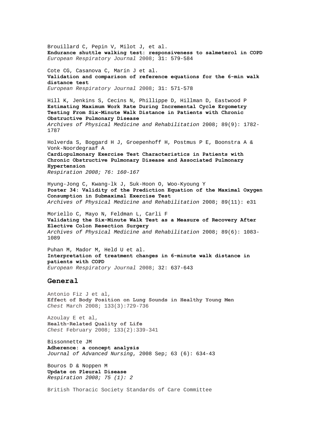Brouillard C, Pepin V, Milot J, et al. **Endurance shuttle walking test: responsiveness to salmeterol in COPD** *European Respiratory Journal* 2008; 31: 579-584 Cote CG, Casanova C, Marín J et al. **Validation and comparison of reference equations for the 6-min walk distance test** *European Respiratory Journal* 2008; 31: 571-578 Hill K, Jenkins S, Cecins N, Phillippe D, Hillman D, Eastwood P **Estimating Maximum Work Rate During Incremental Cycle Ergometry Testing From Six-Minute Walk Distance in Patients with Chronic Obstructive Pulmonary Disease**  *Archives of Physical Medicine and Rehabilitation* 2008; 89(9): 1782- 1787 Holverda S, Boggard H J, Groepenhoff H, Postmus P E, Boonstra A & Vonk-Noordegraaf A **Cardiopulmonary Exercise Test Characteristics in Patients with Chronic Obstructive Pulmonary Disease and Associated Pulmonary Hypertension** *Respiration 2008; 76: 160-167* Hyung-Jong C, Kwang-lk J, Suk-Hoon O, Woo-Kyoung Y **Poster 34: Validity of the Prediction Equation of the Maximal Oxygen Consumption in Submaximal Exercise Test**  *Archives of Physical Medicine and Rehabilitation* 2008; 89(11): e31 Moriello C, Mayo N, Feldman L, Carli F **Validating the Six-Minute Walk Test as a Measure of Recovery After Elective Colon Resection Surgery**  *Archives of Physical Medicine and Rehabilitation* 2008; 89(6): 1083- 1089 Puhan M, Mador M, Held U et al. **Interpretation of treatment changes in 6-minute walk distance in patients with COPD** *European Respiratory Journal* 2008; 32: 637-643 **General**  Antonio Fiz J et al, **Effect of Body Position on Lung Sounds in Healthy Young Men**  *Chest* March 2008; 133(3):729-736 Azoulay E et al, **Health-Related Quality of Life**  *Chest* February 2008; 133(2):339-341 Bissonnette JM **[Adherence: a concept analysis](http://web.ebscohost.com/ehost/viewarticle?data=dGJyMPPp44rp2%2fdV0%2bnjisfk5Ie46bdQtai2S7ak63nn5Kx95uXxjL6orUm0pbBIrq%2beUbiptFKyqZ5Zy5zyit%2fk8Xnh6ueH7N%2fiVbaotFGvq7VQsZzqeezdu33snOJ6u9m2gKTq33%2b7t8w%2b3%2bS7Sq6nrkixqLJJt5zkh%2fDj34y73POE6urjkPIA&hid=17)**  *Journal of Advanced Nursing*, 2008 Sep; 63 (6): 634-43 Bouros D & Noppen M **Update on Pleural Disease** *Respiration 2008; 75 (1): 2*  British Thoracic Society Standards of Care Committee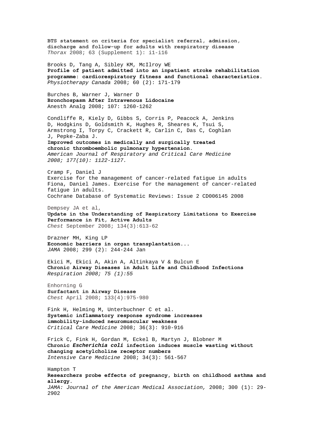**BTS statement on criteria for specialist referral, admission, discharge and follow-up for adults with respiratory disease** *Thorax* 2008; 63 (Supplement 1): i1-i16

Brooks D, Tang A, Sibley KM, McIlroy WE **Profile of patient admitted into an inpatient stroke rehabilitation programme: cardiorespiratory fitness and functional characteristics.**  *Physiotherapy Canada* 2008; 60 (2): 171-179

Burches B, Warner J, Warner D **Bronchospasm After Intravenous Lidocaine** Anesth Analg 2008; 107: 1260-1262

Condliffe R, Kiely D, Gibbs S, Corris P, Peacock A, Jenkins D, Hodgkins D, Goldsmith K, Hughes R, Sheares K, Tsui S, Armstrong I, Torpy C, Crackett R, Carlin C, Das C, Coghlan J, Pepke-Zaba J.

**Improved outcomes in medically and surgically treated chronic thromboembolic pulmonary hypertension.** 

*American Journal of Respiratory and Critical Care Medicine 2008; 177(10): 1122-1127.* 

Cramp F, Daniel J Exercise for the management of cancer-related fatigue in adults Fiona, Daniel James. Exercise for the management of cancer-related fatigue in adults. Cochrane Database of Systematic Reviews: Issue 2 CD006145 2008

Dempsey JA et al, **Update in the Understanding of Respiratory Limitations to Exercise Performance in Fit, Active Adults**  *Chest* September 2008; 134(3):613-62

Drazner MH, King LP **Economic barriers in organ transplantation...**  *JAMA* 2008; 299 (2): 244-244 Jan

Ekici M, Ekici A, Akin A, Altinkaya V & Bulcun E **Chronic Airway Diseases in Adult Life and Childhood Infections** *Respiration 2008; 75 (1):55* 

Enhorning G **Surfactant in Airway Disease**  *Chest* April 2008; 133(4):975-980

Fink H, Helming M, Unterbuchner C et al. **Systemic inflammatory response syndrome increases immobility-induced neuromuscular weakness** *Critical Care Medicine* 2008; 36(3): 910-916

[Frick](http://www.springerlink.com/content/?Author=Christiane+G.+Frick) C, [Fink](http://www.springerlink.com/content/?Author=Heidrun+Fink) H, [Gordan](http://www.springerlink.com/content/?Author=Maria+L.+Gordan) M, [Eckel](http://www.springerlink.com/content/?Author=Barbara+Eckel) B, [Martyn](http://www.springerlink.com/content/?Author=J.+A.+Jeevendra+Martyn) J, [Blobner](http://www.springerlink.com/content/?Author=Manfred+Blobner) M **[Chronic](http://www.springerlink.com/content/y6u01802426n2521/?p=7f1927270a284c08946e2f995da0fb6b&pi=25)** *[Escherichia coli](http://www.springerlink.com/content/y6u01802426n2521/?p=7f1927270a284c08946e2f995da0fb6b&pi=25)* **[infection induces muscle wasting without](http://www.springerlink.com/content/y6u01802426n2521/?p=7f1927270a284c08946e2f995da0fb6b&pi=25)  [changing acetylcholine receptor numbers](http://www.springerlink.com/content/y6u01802426n2521/?p=7f1927270a284c08946e2f995da0fb6b&pi=25)**  *Intensive Care Medicine* 2008; 34(3): 561-567

Hampton T **Researchers probe effects of pregnancy, birth on childhood asthma and allergy.**  *JAMA: Journal of the American Medical Association,* 2008; 300 (1): 29- 2902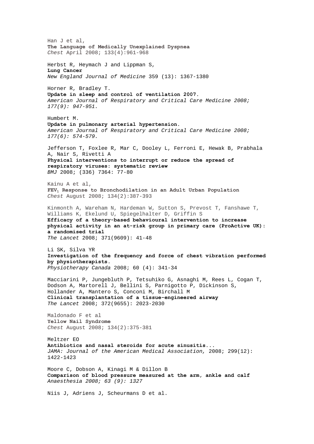Han J et al, **The Language of Medically Unexplained Dyspnea**  *Chest* April 2008; 133(4):961-968 Herbst R, Heymach J and Lippman S, **Lung Cancer**  *New England Journal of Medicine* 359 (13): 1367-1380 Horner R, Bradley T. **Update in sleep and control of ventilation 2007.**  *American Journal of Respiratory and Critical Care Medicine 2008; 177(9): 947-951.*  Humbert M. **Update in pulmonary arterial hypertension.**  *American Journal of Respiratory and Critical Care Medicine 2008; 177(6): 574-579.*  Jefferson T, Foxlee R, Mar C, Dooley L, Ferroni E, Hewak B, Prabhala A, Nair S, Rivetti A **Physical interventions to interrupt or reduce the spread of respiratory viruses: systematic review** *BMJ* 2008; (336) 7364: 77-80 Kainu A et al, **FEV1 Response to Bronchodilation in an Adult Urban Population** *Chest* August 2008; 134(2):387-393 Kinmonth A, Wareham N, Hardeman W, Sutton S, Prevost T, Fanshawe T, Williams K, Ekelund U, Spiegelhalter D, Griffin S **Efficacy of a theory-based behavioural intervention to increase physical activity in an at-risk group in primary care (ProActive UK): a randomised trial**  *The Lancet* 2008; 371(9609): 41-48 Li SK, Silva YR **Investigation of the frequency and force of chest vibration performed by physiotherapists.**  *Physiotherapy Canada* 2008; 60 (4): 341-34 Macciarini P, Jungebluth P, Tetsuhiko G, Asnaghi M, Rees L, Cogan T, Dodson A, Martorell J, Bellini S, Parnigotto P, Dickinson S, Hollander A, Mantero S, Conconi M, Birchall M **Clinical transplantation of a tissue-engineered airway**  *The Lancet* 2008; 372(9655): 2023-2030 Maldonado F et al **Yellow Nail Syndrome** *Chest* August 2008; 134(2):375-381 Meltzer EO **Antibiotics and nasal steroids for acute sinusitis...**  *JAMA: Journal of the American Medical Association,* 2008; 299(12): 1422-1423 Moore C, Dobson A, Kinagi M & Dillon B **Comparison of blood pressure measured at the arm, ankle and calf**  *Anaesthesia 2008; 63 (9): 1327* Niis J, Adriens J, Scheurmans D et al.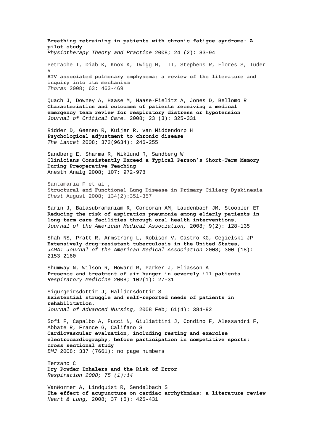**Breathing retraining in patients with chronic fatigue syndrome: A pilot study**  *Physiotherapy Theory and Practice* 2008; 24 (2): 83-94 Petrache I, Diab K, Knox K, Twigg H, III, Stephens R, Flores S, Tuder R **HIV associated pulmonary emphysema: a review of the literature and inquiry into its mechanism** *Thorax* 2008; 63: 463-469

Quach J, Downey A, Haase M, Haase-Fielitz A, Jones D, Bellomo R **[Characteristics and outcomes of patients receiving a medical](http://www.jccjournal.org/article/S0883-9441(07)00186-4/abstract)  [emergency team review for respiratory distress or hypotension](http://www.jccjournal.org/article/S0883-9441(07)00186-4/abstract)** *Journal of Critical Care*. 2008; 23 (3): 325-331

Ridder D, Geenen R, Kuijer R, van Middendorp H **Psychological adjustment to chronic disease**  *The Lancet* 2008; 372(9634): 246-255

Sandberg E, Sharma R, Wiklund R, Sandberg W **Clinicians Consistently Exceed a Typical Person's Short-Term Memory During Preoperative Teaching** Anesth Analg 2008; 107: 972-978

Santamaria F et al , **Structural and Functional Lung Disease in Primary Ciliary Dyskinesia**  *Chest* August 2008; 134(2):351-357

Sarin J, Balasubramaniam R, Corcoran AM, Laudenbach JM, Stoopler ET **Reducing the risk of aspiration pneumonia among elderly patients in long-term care facilities through oral health interventions.**  *Journal of the American Medical Association,* 2008; 9(2): 128-135

Shah NS, Pratt R, Armstrong L, Robison V, Castro KG, Cegielski JP **Extensively drug-resistant tuberculosis in the United States,**  *JAMA: Journal of the American Medical Association* 2008; 300 (18): 2153-2160

Shumway N, Wilson R, Howard R, Parker J, Eliasson A **[Presence and treatment of air hunger in severely ill patients](http://www.sciencedirect.com/science?_ob=ArticleURL&_udi=B6WWS-4R1NN8N-1&_user=10&_coverDate=01%2F31%2F2008&_rdoc=5&_fmt=high&_orig=browse&_srch=doc-info(%23toc%237138%232008%23998979998%23675265%23FLA%23display%23Volume)&_cdi=7138&_sort=d&_docanchor=&_ct=24&_acct=C000050221&_version=1&_urlVersion=0&_userid=10&md5=1bfbbdb63da2f350b26ab9098438d768)** *Respiratory Medicine* 2008; 102(1): 27-31

[Sigurgeirsdottir J;](javascript:__doLinkPostBack() [Halldorsdottir S](javascript:__doLinkPostBack()  **Existential struggle and self-reported needs of patients in rehabilitation.**  *[Journal of Advanced Nursing](javascript:__doLinkPostBack()*, 2008 Feb; 61(4): 384-92

Sofi F, Capalbo A, Pucci N, Giuliattini J, Condino F, Alessandri F, Abbate R, France G, Califano S **Cardiovascular evaluation, including resting and exercise electrocardiography, before participation in competitive sports: cross sectional study** *BMJ* 2008; 337 (7661): no page numbers

Terzano C **Dry Powder Inhalers and the Risk of Error**  *Respiration 2008; 75 (1):14* 

VanWormer A, Lindquist R, Sendelbach S **The effect of acupuncture on cardiac arrhythmias: a literature review**  *Heart & Lung,* 2008; 37 (6): 425-431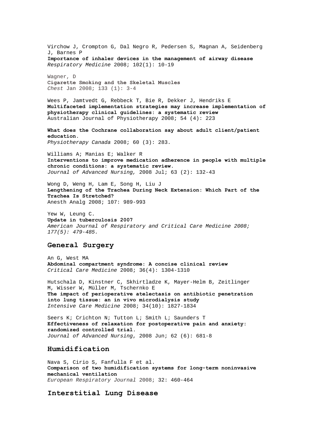Virchow J, Crompton G, Dal Negro R, Pedersen S, Magnan A, Seidenberg J, Barnes P **[Importance of inhaler devices in the management of airway disease](http://www.sciencedirect.com/science?_ob=ArticleURL&_udi=B6WWS-4PXG7H2-1&_user=10&_coverDate=01%2F31%2F2008&_rdoc=3&_fmt=high&_orig=browse&_srch=doc-info(%23toc%237138%232008%23998979998%23675265%23FLA%23display%23Volume)&_cdi=7138&_sort=d&_docanchor=&_ct=24&_acct=C000050221&_version=1&_urlVersion=0&_userid=10&md5=d43428e56b2ed171c66d34bf84c7f71b)** *Respiratory Medicine* 2008; 102(1): 10-19

Wagner, D **Cigarette Smoking and the Skeletal Muscles**  *Chest* Jan 2008; 133 (1): 3-4

Wees P, Jamtvedt G, Rebbeck T, Bie R, Dekker J, Hendriks E **[Multifaceted implementation strategies may increase implementation of](http://ajp.physiotherapy.asn.au/AJP/vol_54/4/AustJPhysiotherv54i4vanderWees.pdf)  [physiotherapy clinical guidelines: a systematic review](http://ajp.physiotherapy.asn.au/AJP/vol_54/4/AustJPhysiotherv54i4vanderWees.pdf)**  Australian Journal of Physiotherapy 2008; 54 (4): 223

**What does the Cochrane collaboration say about adult client/patient education.**  *Physiotherapy Canada* 2008; 60 (3): 283.

Williams A; Manias E; Walker R **[Interventions to improve medication adherence in people with multiple](http://web.ebscohost.com/ehost/viewarticle?data=dGJyMPPp44rp2%2fdV0%2bnjisfk5Ie46bdQtai2S7ak63nn5Kx95uXxjL6orUm0pbBIrq%2beULirslKwqZ5Zy5zyit%2fk8Xnh6ueH7N%2fiVbCqr0i1r7BLpOLfhuWz44ak2uBV4a7mPvLX5VW%2fxKR57LOwSK%2bmrkuwqbdLpNztiuvX8lXk6%2bqE8tv2jAAA&hid=13)  [chronic conditions: a systematic review.](http://web.ebscohost.com/ehost/viewarticle?data=dGJyMPPp44rp2%2fdV0%2bnjisfk5Ie46bdQtai2S7ak63nn5Kx95uXxjL6orUm0pbBIrq%2beULirslKwqZ5Zy5zyit%2fk8Xnh6ueH7N%2fiVbCqr0i1r7BLpOLfhuWz44ak2uBV4a7mPvLX5VW%2fxKR57LOwSK%2bmrkuwqbdLpNztiuvX8lXk6%2bqE8tv2jAAA&hid=13)** *Journal of Advanced Nursing,* 2008 Jul; 63 (2): 132-43

Wong D, Weng H, Lam E, Song H, Liu J **Lengthening of the Trachea During Neck Extension: Which Part of the Trachea Is Stretched?** Anesth Analg 2008; 107: 989-993

Yew W, Leung C. **Update in tuberculosis 2007**  *American Journal of Respiratory and Critical Care Medicine 2008; 177(5): 479-485.* 

# **General Surgery**

An G, West MA **Abdominal compartment syndrome: A concise clinical review** *Critical Care Medicine* 2008; 36(4): 1304-1310

[Hutschala](http://www.springerlink.com/content/?Author=Doris+Hutschala) D, [Kinstner](http://www.springerlink.com/content/?Author=Christian+Kinstner) C, [Skhirtladze](http://www.springerlink.com/content/?Author=Keso+Skhirtladze) K, [Mayer-Helm](http://www.springerlink.com/content/?Author=Bernhard-Xaver+Mayer-Helm) B, [Zeitlinger](http://www.springerlink.com/content/?Author=Markus+Zeitlinger)  M, [Wisser](http://www.springerlink.com/content/?Author=Wilfried+Wisser) W, [Müller](http://www.springerlink.com/content/?Author=Markus+M%c3%bcller) M, [Tschernko](http://www.springerlink.com/content/?Author=Edda+Tschernko) E **[The impact of perioperative atelectasis on antibiotic penetration](http://www.springerlink.com/content/50wt9203222lkn22/?p=91bdde6ae6544a98a7a7f581965e8228&pi=14)  [into lung tissue: an in vivo microdialysis study](http://www.springerlink.com/content/50wt9203222lkn22/?p=91bdde6ae6544a98a7a7f581965e8228&pi=14)**  *Intensive Care Medicine* 2008; 34(10): 1827-1834

Seers K; Crichton N; Tutton L; Smith L; Saunders T **[Effectiveness of relaxation for postoperative pain and anxiety:](http://web.ebscohost.com/ehost/viewarticle?data=dGJyMPPp44rp2%2fdV0%2bnjisfk5Ie46bdQtai2S7ak63nn5Kx95uXxjL6orUm0pbBIrq%2beUbipt1KyrZ5Zy5zyit%2fk8Xnh6ueH7N%2fiVa%2bnr0%2byrq9Ntq%2bkhN%2fk5VXj5KR84LPhUOac8nnls79mpNfsVbCmrlG3qbdOtKekfu3o63nys%2bSN6uLyffbq&hid=105)  [randomized controlled trial.](http://web.ebscohost.com/ehost/viewarticle?data=dGJyMPPp44rp2%2fdV0%2bnjisfk5Ie46bdQtai2S7ak63nn5Kx95uXxjL6orUm0pbBIrq%2beUbipt1KyrZ5Zy5zyit%2fk8Xnh6ueH7N%2fiVa%2bnr0%2byrq9Ntq%2bkhN%2fk5VXj5KR84LPhUOac8nnls79mpNfsVbCmrlG3qbdOtKekfu3o63nys%2bSN6uLyffbq&hid=105)**  *Journal of Advanced Nursing*, 2008 Jun; 62 (6): 681-8

## **Humidification**

Nava S, Cirio S, Fanfulla F et al. **Comparison of two humidification systems for long-term noninvasive mechanical ventilation** *European Respiratory Journal* 2008; 32: 460-464

## **Interstitial Lung Disease**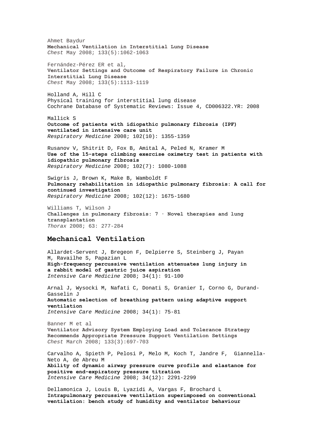Ahmet Baydur **Mechanical Ventilation in Interstitial Lung Disease**  *Chest* May 2008; 133(5):1062-1063 Fernández-Pérez ER et al, **Ventilator Settings and Outcome of Respiratory Failure in Chronic Interstitial Lung Disease**  *Chest* May 2008; 133(5):1113-1119 Holland A, Hill C Physical training for interstitial lung disease Cochrane Database of Systematic Reviews: Issue 4, CD006322.YR: 2008 Mallick S **[Outcome of patients with idiopathic pulmonary fibrosis \(IPF\)](http://www.sciencedirect.com/science?_ob=ArticleURL&_udi=B6WWS-4T0X2KK-2&_user=10&_coverDate=10%2F31%2F2008&_rdoc=1&_fmt=high&_orig=browse&_srch=doc-info(%23toc%237138%232008%23998979989%23696953%23FLA%23display%23Volume)&_cdi=7138&_sort=d&_docanchor=&_ct=23&_acct=C000050221&_version=1&_urlVersion=0&_userid=10&md5=ae2b618f3fd2f355c900699f48500733)  [ventilated in intensive care unit](http://www.sciencedirect.com/science?_ob=ArticleURL&_udi=B6WWS-4T0X2KK-2&_user=10&_coverDate=10%2F31%2F2008&_rdoc=1&_fmt=high&_orig=browse&_srch=doc-info(%23toc%237138%232008%23998979989%23696953%23FLA%23display%23Volume)&_cdi=7138&_sort=d&_docanchor=&_ct=23&_acct=C000050221&_version=1&_urlVersion=0&_userid=10&md5=ae2b618f3fd2f355c900699f48500733)** *Respiratory Medicine* 2008; 102(10): 1355-1359 Rusanov V, Shitrit D, Fox B, Amital A, Peled N, Kramer M **[Use of the 15-steps climbing exercise oximetry test in patients with](http://www.sciencedirect.com/science?_ob=ArticleURL&_udi=B6WWS-4SK4X88-1&_user=10&_coverDate=07%2F31%2F2008&_rdoc=20&_fmt=high&_orig=browse&_srch=doc-info(%23toc%237138%232008%23998979992%23691917%23FLA%23display%23Volume)&_cdi=7138&_sort=d&_docanchor=&_ct=20&_acct=C000050221&_version=1&_urlVersion=0&_userid=10&md5=e487158da01580270f955b08306f95d8)  [idiopathic pulmonary fibrosis](http://www.sciencedirect.com/science?_ob=ArticleURL&_udi=B6WWS-4SK4X88-1&_user=10&_coverDate=07%2F31%2F2008&_rdoc=20&_fmt=high&_orig=browse&_srch=doc-info(%23toc%237138%232008%23998979992%23691917%23FLA%23display%23Volume)&_cdi=7138&_sort=d&_docanchor=&_ct=20&_acct=C000050221&_version=1&_urlVersion=0&_userid=10&md5=e487158da01580270f955b08306f95d8)** *Respiratory Medicine* 2008; 102(7): 1080-1088 Swigris J, Brown K, Make B, Wamboldt F **[Pulmonary rehabilitation in idiopathic pulmonary fibrosis: A call for](http://www.sciencedirect.com/science?_ob=ArticleURL&_udi=B6WWS-4TMYJWV-1&_user=10&_coverDate=12%2F31%2F2008&_rdoc=1&_fmt=high&_orig=browse&_srch=doc-info(%23toc%237138%232008%23998979987%23701939%23FLA%23display%23Volume)&_cdi=7138&_sort=d&_docanchor=&_ct=25&_acct=C000050221&_version=1&_urlVersion=0&_userid=10&md5=d91dbc34aa97bbcd2d9d49258e633ea4)  [continued investigation](http://www.sciencedirect.com/science?_ob=ArticleURL&_udi=B6WWS-4TMYJWV-1&_user=10&_coverDate=12%2F31%2F2008&_rdoc=1&_fmt=high&_orig=browse&_srch=doc-info(%23toc%237138%232008%23998979987%23701939%23FLA%23display%23Volume)&_cdi=7138&_sort=d&_docanchor=&_ct=25&_acct=C000050221&_version=1&_urlVersion=0&_userid=10&md5=d91dbc34aa97bbcd2d9d49258e633ea4)** *Respiratory Medicine* 2008; 102(12): 1675-1680 Williams T, Wilson J **Challenges in pulmonary fibrosis: 7 · Novel therapies and lung transplantation** *Thorax* 2008; 63: 277-284

## **Mechanical Ventilation**

[Allardet-Servent](http://www.springerlink.com/content/?Author=J%c3%a9r%c3%b4me+Allardet-Servent) J, [Bregeon](http://www.springerlink.com/content/?Author=Fabienne+Bregeon) F, [Delpierre](http://www.springerlink.com/content/?Author=St%c3%a9phane+Delpierre) S, [Steinberg](http://www.springerlink.com/content/?Author=Jean-Guillaume+Steinberg) J, [Payan](http://www.springerlink.com/content/?Author=Marie-Jos%c3%a9+Payan)  M, [Ravailhe](http://www.springerlink.com/content/?Author=Sylvie+Ravailhe) S[, Papazian](http://www.springerlink.com/content/?Author=Laurent+Papazian) L **[High-frequency percussive ventilation attenuates lung injury in](http://www.springerlink.com/content/w513524h81229145/?p=ac22d150fcf2427eb1ba5f2334e6deab&pi=8)  [a rabbit model of gastric juice aspiration](http://www.springerlink.com/content/w513524h81229145/?p=ac22d150fcf2427eb1ba5f2334e6deab&pi=8)**  *Intensive Care Medicine* 2008; 34(1): 91-100

[Arnal](http://www.springerlink.com/content/?Author=Jean-Michel+Arnal) J, [Wysocki](http://www.springerlink.com/content/?Author=Marc+Wysocki) M, [Nafati](http://www.springerlink.com/content/?Author=Cyril+Nafati) C, [Donati](http://www.springerlink.com/content/?Author=St%c3%a9phane+Donati) S, [Granier](http://www.springerlink.com/content/?Author=Isabelle+Granier) I, [Corno](http://www.springerlink.com/content/?Author=Ga%c3%ablle+Corno) G[, Durand-](http://www.springerlink.com/content/?Author=Jacques+Durand-Gasselin)[Gasselin](http://www.springerlink.com/content/?Author=Jacques+Durand-Gasselin) J **[Automatic selection of breathing pattern using adaptive support](http://www.springerlink.com/content/u642511r737v404g/?p=ac22d150fcf2427eb1ba5f2334e6deab&pi=6)  [ventilation](http://www.springerlink.com/content/u642511r737v404g/?p=ac22d150fcf2427eb1ba5f2334e6deab&pi=6)**  *Intensive Care Medicine* 2008; 34(1): 75-81

Banner M et al **Ventilator Advisory System Employing Load and Tolerance Strategy Recommends Appropriate Pressure Support Ventilation Settings**  *Chest* March 2008; 133(3):697-703

[Carvalho](http://www.springerlink.com/content/?Author=Alysson+R.+Carvalho) A, [Spieth](http://www.springerlink.com/content/?Author=Peter+M.+Spieth) P, [Pelosi](http://www.springerlink.com/content/?Author=Paolo+Pelosi) P, [Melo](http://www.springerlink.com/content/?Author=Marcos+F.+Vidal+Melo) M[, Koch](http://www.springerlink.com/content/?Author=Thea+Koch) T, [Jandre](http://www.springerlink.com/content/?Author=Frederico+C.+Jandre) F, [Giannella-](http://www.springerlink.com/content/?Author=Antonio+Giannella-Neto)[Neto](http://www.springerlink.com/content/?Author=Antonio+Giannella-Neto) A, [de Abreu](http://www.springerlink.com/content/?Author=Marcelo+Gama+de+Abreu) M **[Ability of dynamic airway pressure curve profile and elastance for](http://www.springerlink.com/content/t7250732k4g22636/?p=ec45afe0129c4aad94744de2007a2a62&pi=24)  [positive end-expiratory pressure titration](http://www.springerlink.com/content/t7250732k4g22636/?p=ec45afe0129c4aad94744de2007a2a62&pi=24)**  *Intensive Care Medicine* 2008; 34(12): 2291-2299

[Dellamonica](http://www.springerlink.com/content/?Author=Jean+Dellamonica) J, [Louis](http://www.springerlink.com/content/?Author=Bruno+Louis) B, [Lyazidi](http://www.springerlink.com/content/?Author=Aissam+Lyazidi) A, [Vargas](http://www.springerlink.com/content/?Author=Fr%c3%a9d%c3%a9ric+Vargas) F, [Brochard](http://www.springerlink.com/content/?Author=Laurent+Brochard) L **[Intrapulmonary percussive ventilation superimposed on conventional](http://www.springerlink.com/content/g18613727545523q/?p=8d99c4d4c5cb48b6b1ca95d12e363687&pi=14)  [ventilation: bench study of humidity and ventilator behaviour](http://www.springerlink.com/content/g18613727545523q/?p=8d99c4d4c5cb48b6b1ca95d12e363687&pi=14)**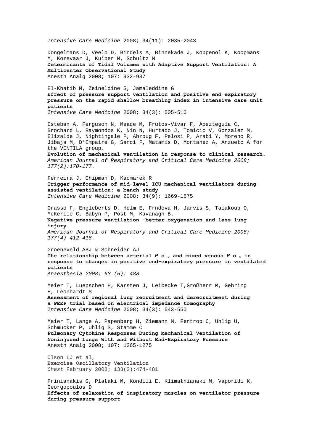*Intensive Care Medicine* 2008; 34(11): 2035-2043

Dongelmans D, Veelo D, Bindels A, Binnekade J, Koppenol K, Koopmans M, Korevaar J, Kuiper M, Schultz M **Determinants of Tidal Volumes with Adaptive Support Ventilation: A Multicenter Observational Study** Anesth Analg 2008; 107: 932-937

[El-Khatib](http://www.springerlink.com/content/?Author=Mohamad+F.+El-Khatib) M, [Zeineldine](http://www.springerlink.com/content/?Author=Salah+M.+Zeineldine) S, [Jamaleddine](http://www.springerlink.com/content/?Author=Ghassan+W.+Jamaleddine) G **[Effect of pressure support ventilation and positive end expiratory](http://www.springerlink.com/content/f406m1gt650517l7/?p=10561656b259493f92dc8ab210b0ad99&pi=16)  [pressure on the rapid shallow breathing index in intensive care unit](http://www.springerlink.com/content/f406m1gt650517l7/?p=10561656b259493f92dc8ab210b0ad99&pi=16)  [patients](http://www.springerlink.com/content/f406m1gt650517l7/?p=10561656b259493f92dc8ab210b0ad99&pi=16)** 

*Intensive Care Medicine* 2008; 34(3): 505-510

Esteban A, Ferguson N, Meade M, Frutos-Vivar F, Apezteguia C, Brochard L, Raymondos K, Nin N, Hurtado J, Tomicic V, Gonzalez M, Elizalde J, Nightingale P, Abroug F, Pelosi P, Arabi Y, Moreno R, Jibaja M, D'Empaire G, Sandi F, Matamis D, Montanez A, Anzueto A for the VENTILA group.

**Evolution of mechanical ventilation in response to clinical research.**  *American Journal of Respiratory and Critical Care Medicine 2008; 177(2):170-177.* 

[Ferreira](http://www.springerlink.com/content/?Author=Juliana+C.+Ferreira) J, [Chipman](http://www.springerlink.com/content/?Author=Daniel+W.+Chipman) D, [Kacmarek](http://www.springerlink.com/content/?Author=Robert+M.+Kacmarek) R **[Trigger performance of mid-level ICU mechanical ventilators during](http://www.springerlink.com/content/1624t77288jp568u/?p=a2b95b3b3b0c4c05aeb91ebb19ddabb5&pi=17)  [assisted ventilation: a bench study](http://www.springerlink.com/content/1624t77288jp568u/?p=a2b95b3b3b0c4c05aeb91ebb19ddabb5&pi=17)**  *Intensive Care Medicine* 2008; 34(9): 1669-1675

Grasso F, Engleberts D, Helm E, Frndova H, Jarvis S, Talakoub O, McKerlie C, Babyn P, Post M, Kavanagh B. **Negative pressure ventilation –better oxygenation and less lung injury.**  *American Journal of Respiratory and Critical Care Medicine 2008; 177(4) 412-418.* 

Groeneveld ABJ & Schneider AJ The relationship between arterial  $P \circ q$  and mixed venous  $P \circ q$  in **response to changes in positive end-expiratory pressure in ventilated patients**

*Anaesthesia 2008; 63 (5): 488* 

[Meier](http://www.springerlink.com/content/?Author=Torsten+Meier) T, [Luepschen](http://www.springerlink.com/content/?Author=Henning+Luepschen) H, [Karsten](http://www.springerlink.com/content/?Author=Jan+Karsten) J, [Leibecke](http://www.springerlink.com/content/?Author=Thorsten+Leibecke) T[,Großherr](http://www.springerlink.com/content/?Author=Martin+Gro%c3%9fherr) M, [Gehring](http://www.springerlink.com/content/?Author=Hartmut+Gehring)  H, [Leonhardt](http://www.springerlink.com/content/?Author=Steffen+Leonhardt) S **[Assessment of regional lung recruitment and derecruitment during](http://www.springerlink.com/content/b16t933187gm7785/?p=7f1927270a284c08946e2f995da0fb6b&pi=23)  [a PEEP trial based on electrical impedance tomography](http://www.springerlink.com/content/b16t933187gm7785/?p=7f1927270a284c08946e2f995da0fb6b&pi=23)**  *Intensive Care Medicine* 2008; 34(3): 543-550

Meier T, Lange A, Papenberg H, Ziemann M, Fentrop C, Uhlig U, Schmucker P, Uhlig S, Stamme C **Pulmonary Cytokine Responses During Mechanical Ventilation of Noninjured Lungs With and Without End-Expiratory Pressure** Anesth Analg 2008; 107: 1265-1275

Olson LJ et al, **Exercise Oscillatory Ventilation**  *Chest* February 2008; 133(2):474-481

[Prinianakis](http://www.springerlink.com/content/?Author=George+Prinianakis) G, [Plataki](http://www.springerlink.com/content/?Author=Maria+Plataki) M, [Kondili](http://www.springerlink.com/content/?Author=Eumorfia+Kondili) E, [Klimathianaki](http://www.springerlink.com/content/?Author=Maria+Klimathianaki) M, [Vaporidi](http://www.springerlink.com/content/?Author=Katerina+Vaporidi) K, [Georgopoulos](http://www.springerlink.com/content/?Author=Dimitris+Georgopoulos) D **[Effects of relaxation of inspiratory muscles on ventilator pressure](http://www.springerlink.com/content/l33249752p168k26/?p=ac22d150fcf2427eb1ba5f2334e6deab&pi=5)  [during pressure support](http://www.springerlink.com/content/l33249752p168k26/?p=ac22d150fcf2427eb1ba5f2334e6deab&pi=5)**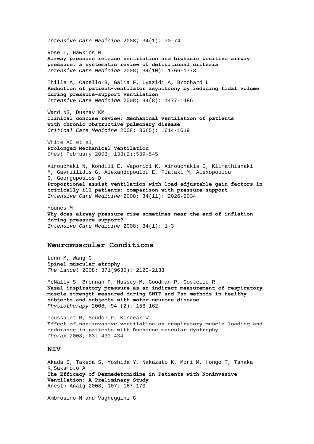*Intensive Care Medicine* 2008; 34(1): 70-74 [Rose](http://www.springerlink.com/content/?Author=Louise+Rose) L, [Hawkins](http://www.springerlink.com/content/?Author=Martyn+Hawkins) M **[Airway pressure release ventilation and biphasic positive airway](http://www.springerlink.com/content/b278337k852456j3/?p=af3cdd73c44e45f788c60cf812383ae9&pi=6)  [pressure: a systematic review of definitional criteria](http://www.springerlink.com/content/b278337k852456j3/?p=af3cdd73c44e45f788c60cf812383ae9&pi=6)**  *Intensive Care Medicine* 2008; 34(10): 1766-1773 [Thille](http://www.springerlink.com/content/?Author=Arnaud+W.+Thille) A, [Cabello](http://www.springerlink.com/content/?Author=Belen+Cabello) B, [Galia](http://www.springerlink.com/content/?Author=Fabrice+Galia) F, [Lyazidi](http://www.springerlink.com/content/?Author=Aissam+Lyazidi) A, [Brochard](http://www.springerlink.com/content/?Author=Laurent+Brochard) L **[Reduction of patient-ventilator asynchrony by reducing tidal volume](http://www.springerlink.com/content/8u28120147517w15/?p=164f812e9f5e41c4a338f13cfbd48734&pi=17)  [during pressure-support ventilation](http://www.springerlink.com/content/8u28120147517w15/?p=164f812e9f5e41c4a338f13cfbd48734&pi=17)**  *Intensive Care Medicine* 2008; 34(8): 1477-1486 Ward NS, Dushay KM **Clinical concise review: Mechanical ventilation of patients with chronic obstructive pulmonary disease**  *Critical Care Medicine* 2008; 36(5): 1614-1619 White AC et al, **Prolonged Mechanical Ventilation**  *Chest* February 2008; 133(2):539-545 [Xirouchaki](http://www.springerlink.com/content/?Author=Nektaria+Xirouchaki) N, [Kondili](http://www.springerlink.com/content/?Author=Eumorfia+Kondili) E, [Vaporidi](http://www.springerlink.com/content/?Author=Katerina+Vaporidi) K, [Xirouchakis](http://www.springerlink.com/content/?Author=George+Xirouchakis) G, [Klimathianaki](http://www.springerlink.com/content/?Author=Maria+Klimathianaki)  M, [Gavriilidis](http://www.springerlink.com/content/?Author=George+Gavriilidis) G, [Alexandopoulou](http://www.springerlink.com/content/?Author=Evi+Alexandopoulou) E, [Plataki](http://www.springerlink.com/content/?Author=Maria+Plataki) M, [Alexopoulou](http://www.springerlink.com/content/?Author=Christina+Alexopoulou)  C, [Georgopoulos](http://www.springerlink.com/content/?Author=Dimitris+Georgopoulos) D **[Proportional assist ventilation with load-adjustable gain factors in](http://www.springerlink.com/content/k1r2173558888136/?p=8d99c4d4c5cb48b6b1ca95d12e363687&pi=13)  [critically ill patients: comparison with pressure support](http://www.springerlink.com/content/k1r2173558888136/?p=8d99c4d4c5cb48b6b1ca95d12e363687&pi=13)**  *Intensive Care Medicine* 2008; 34(11): 2026-2034 [Younes](http://www.springerlink.com/content/?Author=Magdy+Younes) M **[Why does airway pressure rise sometimes near the end of inflation](http://www.springerlink.com/content/91734v0660pt2808/?p=ac22d150fcf2427eb1ba5f2334e6deab&pi=0)  [during pressure support?](http://www.springerlink.com/content/91734v0660pt2808/?p=ac22d150fcf2427eb1ba5f2334e6deab&pi=0)**  *Intensive Care Medicine* 2008; 34(1): 1-3

# **Neuromuscular Conditions**

Lunn M, Wang C **Spinal muscular atrophy**  *The Lancet* 2008; 371(9630): 2120-2133

McNally S, Brennan P, Hussey M, Goodman P, Costello R **[Nasal inspiratory pressure as an indirect measurement of respiratory](http://www.physiotherapyjournal.com/article/S0031-9406(07)00176-9/abstract)  [muscle strength measured during SNIP and Psn methods in healthy](http://www.physiotherapyjournal.com/article/S0031-9406(07)00176-9/abstract)  [subjects and subjects with motor neurone disease](http://www.physiotherapyjournal.com/article/S0031-9406(07)00176-9/abstract)**  *Physiotherapy* 2008; 94 (2): 158-162

Toussaint M, Soudon P, Kinnear W **Effect of non-invasive ventilation on respiratory muscle loading and endurance in patients with Duchenne muscular dystrophy** *Thorax* 2008; 63: 430-434

## **NIV**

Akada S, Takeda S, Yoshida Y, Nakazato K, Mori M, Hongo T, Tanaka K,Sakamoto A **The Efficacy of Dexmedetomidine in Patients with Noninvasive Ventilation: A Preliminary Study** Anesth Analg 2008; 107: 167-170

Ambrosino N and Vagheggini G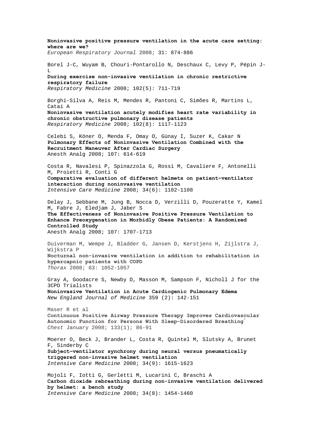**Noninvasive positive pressure ventilation in the acute care setting: where are we?** *European Respiratory Journal* 2008; 31: 874-886 Borel J-C, Wuyam B, Chouri-Pontarollo N, Deschaux C, Levy P, Pépin J-L **[During exercise non-invasive ventilation in chronic restrictive](http://www.sciencedirect.com/science?_ob=ArticleURL&_udi=B6WWS-4RV7GS6-2&_user=10&_coverDate=05%2F31%2F2008&_rdoc=10&_fmt=high&_orig=browse&_srch=doc-info(%23toc%237138%232008%23998979994%23684089%23FLA%23display%23Volume)&_cdi=7138&_sort=d&_docanchor=&_ct=21&_acct=C000050221&_version=1&_urlVersion=0&_userid=10&md5=fd394ef5d5f2f50fd6991d404823f084)  [respiratory failure](http://www.sciencedirect.com/science?_ob=ArticleURL&_udi=B6WWS-4RV7GS6-2&_user=10&_coverDate=05%2F31%2F2008&_rdoc=10&_fmt=high&_orig=browse&_srch=doc-info(%23toc%237138%232008%23998979994%23684089%23FLA%23display%23Volume)&_cdi=7138&_sort=d&_docanchor=&_ct=21&_acct=C000050221&_version=1&_urlVersion=0&_userid=10&md5=fd394ef5d5f2f50fd6991d404823f084)** *Respiratory Medicine* 2008; 102(5): 711-719 Borghi-Silva A, Reis M, Mendes R, Pantoni C, Simões R, Martins L, Catai A **[Noninvasive ventilation acutely modifies heart rate variability in](http://www.sciencedirect.com/science?_ob=ArticleURL&_udi=B6WWS-4SVD19X-2&_user=10&_coverDate=08%2F31%2F2008&_rdoc=5&_fmt=high&_orig=browse&_srch=doc-info(%23toc%237138%232008%23998979991%23694450%23FLA%23display%23Volume)&_cdi=7138&_sort=d&_docanchor=&_ct=19&_acct=C000050221&_version=1&_urlVersion=0&_userid=10&md5=338aafae681122e1ede74a6b77c2f557)  [chronic obstructive pulmonary disease patients](http://www.sciencedirect.com/science?_ob=ArticleURL&_udi=B6WWS-4SVD19X-2&_user=10&_coverDate=08%2F31%2F2008&_rdoc=5&_fmt=high&_orig=browse&_srch=doc-info(%23toc%237138%232008%23998979991%23694450%23FLA%23display%23Volume)&_cdi=7138&_sort=d&_docanchor=&_ct=19&_acct=C000050221&_version=1&_urlVersion=0&_userid=10&md5=338aafae681122e1ede74a6b77c2f557)** *Respiratory Medicine* 2008; 102(8): 1117-1123 Celebi S, Köner O, Menda F, Omay O, Günay I, Suzer K, Cakar N **Pulmonary Effects of Noninvasive Ventilation Combined with the Recruitment Maneuver After Cardiac Surgery** Anesth Analg 2008; 107: 614-619 [Costa](http://www.springerlink.com/content/?Author=R.+Costa) R, [Navalesi](http://www.springerlink.com/content/?Author=P.+Navalesi) P, [Spinazzola](http://www.springerlink.com/content/?Author=G.+Spinazzola) G, [Rossi](http://www.springerlink.com/content/?Author=M.+Rossi) M, [Cavaliere](http://www.springerlink.com/content/?Author=F.+Cavaliere) F, [Antonelli](http://www.springerlink.com/content/?Author=M.+Antonelli)  M, [Proietti](http://www.springerlink.com/content/?Author=R.+Proietti) R, [Conti](http://www.springerlink.com/content/?Author=G.+Conti) G **[Comparative evaluation of different helmets on patient–ventilator](http://www.springerlink.com/content/d4547t810853g517/?p=47124b3fdfa848a993da12f6f6895397&pi=18)  [interaction during noninvasive ventilation](http://www.springerlink.com/content/d4547t810853g517/?p=47124b3fdfa848a993da12f6f6895397&pi=18)**  *Intensive Care Medicine* 2008; 34(6): 1102-1108 Delay J, Sebbane M, Jung B, Nocca D, Verzilli D, Pouzeratte Y, Kamel M, Fabre J, Eledjam J, Jaber S **The Effectiveness of Noninvasive Positive Pressure Ventilation to Enhance Preoxygenation in Morbidly Obese Patients: A Randomized Controlled Study** Anesth Analg 2008; 107: 1707-1713 Duiverman M, Wempe J, Bladder G, Jansen D, Kerstjens H, Zijlstra J, Wijkstra P **Nocturnal non-invasive ventilation in addition to rehabilitation in hypercapnic patients with COPD** *Thorax* 2008; 63: 1052-1057 Gray A, Goodacre S, Newby D, Masson M, Sampson F, Nicholl J for the 3CPO Trialists **Noninvasive Ventilation in Acute Cardiogenic Pulmonary Edema**  *New England Journal of Medicine* 359 (2): 142-151 Maser R et al **Continuous Positive Airway Pressure Therapy Improves Cardiovascular Autonomic Function for Persons With Sleep-Disordered Breathing**[\\*](http://www.chestjournal.org/gca?gca=chest%3B133%2F1%2F13&gca=chest%3B133%2F1%2F19&gca=chest%3B133%2F1%2F34&gca=chest%3B133%2F1%2F62&gca=chest%3B133%2F1%2F86&gca=chest%3B133%2F1%2F161&gca=chest%3B133%2F1%2F176&gca=chest%3B133%2F1%2F236&submit=Get+All+Checked+Abstracts#target-1#target-1) *Chest* January 2008; 133(1); 86-91 [Moerer](http://www.springerlink.com/content/?Author=Onnen+Moerer) O, [Beck](http://www.springerlink.com/content/?Author=Jennifer+Beck) J, [Brander](http://www.springerlink.com/content/?Author=Lukas+Brander) L, [Costa](http://www.springerlink.com/content/?Author=Roberta+Costa) R, [Quintel](http://www.springerlink.com/content/?Author=Michael+Quintel) M, [Slutsky](http://www.springerlink.com/content/?Author=Arthur+S.+Slutsky) A, [Brunet](http://www.springerlink.com/content/?Author=Fabrice+Brunet)  F, [Sinderby](http://www.springerlink.com/content/?Author=Christer+Sinderby) C **[Subject–ventilator synchrony during neural versus pneumatically](http://www.springerlink.com/content/mk6km457jk783853/?p=a2b95b3b3b0c4c05aeb91ebb19ddabb5&pi=10)  [triggered non-invasive helmet ventilation](http://www.springerlink.com/content/mk6km457jk783853/?p=a2b95b3b3b0c4c05aeb91ebb19ddabb5&pi=10)**  *Intensive Care Medicine* 2008; 34(9): 1615-1623 [Mojoli](http://www.springerlink.com/content/?Author=Francesco+Mojoli) F, [Iotti](http://www.springerlink.com/content/?Author=Giorgio+A.+Iotti) G, [Gerletti](http://www.springerlink.com/content/?Author=Maddalena+Gerletti) M, [Lucarini](http://www.springerlink.com/content/?Author=Carlo+Lucarini) C, [Braschi](http://www.springerlink.com/content/?Author=Antonio+Braschi) A **[Carbon dioxide rebreathing during non-invasive ventilation delivered](http://www.springerlink.com/content/j2x5j8702lhp1472/?p=164f812e9f5e41c4a338f13cfbd48734&pi=14)  [by helmet: a bench study](http://www.springerlink.com/content/j2x5j8702lhp1472/?p=164f812e9f5e41c4a338f13cfbd48734&pi=14)**  *Intensive Care Medicine* 2008; 34(8): 1454-1460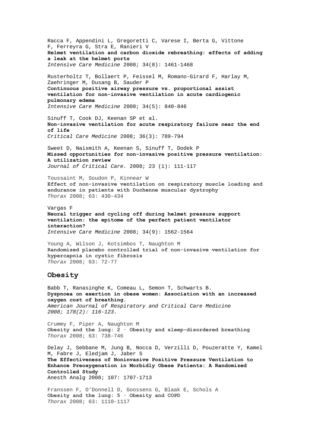[Racca](http://www.springerlink.com/content/?Author=Fabrizio+Racca) F, [Appendini](http://www.springerlink.com/content/?Author=Lorenzo+Appendini) L, [Gregoretti](http://www.springerlink.com/content/?Author=Cesare+Gregoretti) C, [Varese](http://www.springerlink.com/content/?Author=Ilaria+Varese) I, [Berta](http://www.springerlink.com/content/?Author=Giacomo+Berta) G, [Vittone](http://www.springerlink.com/content/?Author=Ferdinando+Vittone)  F, [Ferreyra](http://www.springerlink.com/content/?Author=Gabriela+Ferreyra) G, [Stra](http://www.springerlink.com/content/?Author=Elisa+Stra) E, Ranieri V **[Helmet ventilation and carbon dioxide rebreathing: effects of adding](http://www.springerlink.com/content/w9676637k5q5u441/?p=164f812e9f5e41c4a338f13cfbd48734&pi=15)  [a leak at the helmet ports](http://www.springerlink.com/content/w9676637k5q5u441/?p=164f812e9f5e41c4a338f13cfbd48734&pi=15)**  *Intensive Care Medicine* 2008; 34(8): 1461-1468

[Rusterholtz](http://www.springerlink.com/content/?Author=Thierry+Rusterholtz) T, [Bollaert](http://www.springerlink.com/content/?Author=Pierre-Edouard+Bollaert) P, [Feissel](http://www.springerlink.com/content/?Author=Marc+Feissel) M, [Romano-Girard](http://www.springerlink.com/content/?Author=Florence+Romano-Girard) F, [Harlay](http://www.springerlink.com/content/?Author=Marie-Line+Harlay) M, [Zaehringer](http://www.springerlink.com/content/?Author=Michel+Zaehringer) M, [Dusang](http://www.springerlink.com/content/?Author=Benjamin+Dusang) B[, Sauder](http://www.springerlink.com/content/?Author=Philippe+Sauder) P **[Continuous positive airway pressure vs. proportional assist](http://www.springerlink.com/content/wj72018760hl2x30/?p=8dac11f3875a40109b02951686825f20&pi=7)  [ventilation for non-invasive ventilation in acute cardiogenic](http://www.springerlink.com/content/wj72018760hl2x30/?p=8dac11f3875a40109b02951686825f20&pi=7)  [pulmonary edema](http://www.springerlink.com/content/wj72018760hl2x30/?p=8dac11f3875a40109b02951686825f20&pi=7)**  *Intensive Care Medicine* 2008; 34(5): 840-846

Sinuff T, Cook DJ, Keenan SP et al. **Non-invasive ventilation for acute respiratory failure near the end of life**  *Critical Care Medicine* 2008; 36(3): 789-794

Sweet D, Naismith A, Keenan S, Sinuff T, Dodek P **[Missed opportunities for non-invasive positive pressure ventilation:](http://www.jccjournal.org/article/S0883-9441(07)00047-0/abstract)  [A utilization review](http://www.jccjournal.org/article/S0883-9441(07)00047-0/abstract)**  *Journal of Critical Care.* 2008; 23 (1): 111-117

Toussaint M, Soudon P, Kinnear W **Effect of non-invasive ventilation on respiratory muscle loading and endurance in patients with Duchenne muscular dystrophy** *Thorax* 2008; 63: 430-434

[Vargas](http://www.springerlink.com/content/?Author=Fr%c3%a9d%c3%a9ric+Vargas) F **[Neural trigger and cycling off during helmet pressure support](http://www.springerlink.com/content/e6l6641376012435/?p=6f603247aaed48a88b9c7f090cb4ecf5&pi=3)  [ventilation: the epitome of the perfect patient ventilator](http://www.springerlink.com/content/e6l6641376012435/?p=6f603247aaed48a88b9c7f090cb4ecf5&pi=3)  [interaction?](http://www.springerlink.com/content/e6l6641376012435/?p=6f603247aaed48a88b9c7f090cb4ecf5&pi=3)**  *Intensive Care Medicine* 2008; 34(9): 1562-1564

Young A, Wilson J, Kotsimbos T, Naughton M **Randomised placebo controlled trial of non-invasive ventilation for hypercapnia in cystic fibrosis** *Thorax* 2008; 63: 72-77

## **Obesity**

Babb T, Ranasinghe K, Comeau L, Semon T, Schwarts B. **Dyspnoea on exertion in obese women: Association with an increased oxygen cost of breathing.**  *American Journal of Respiratory and Critical Care Medicine 2008; 178(2): 116-123.* 

Crummy F, Piper A, Naughton M **Obesity and the lung: 2 · Obesity and sleep-disordered breathing** *Thorax* 2008; 63: 738-746

Delay J, Sebbane M, Jung B, Nocca D, Verzilli D, Pouzeratte Y, Kamel M, Fabre J, Eledjam J, Jaber S **The Effectiveness of Noninvasive Positive Pressure Ventilation to Enhance Preoxygenation in Morbidly Obese Patients: A Randomized Controlled Study** Anesth Analg 2008; 107: 1707-1713

Franssen F, O'Donnell D, Goossens G, Blaak E, Schols A **Obesity and the lung: 5 · Obesity and COPD** *Thorax* 2008; 63: 1110-1117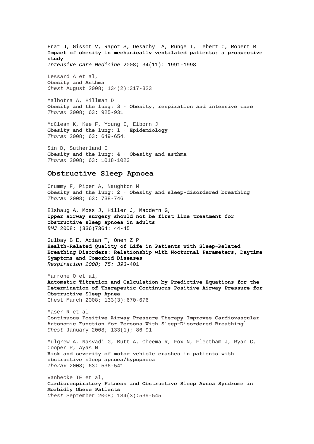[Frat](http://www.springerlink.com/content/?Author=Jean-Pierre+Frat) J, [Gissot](http://www.springerlink.com/content/?Author=Val%c3%a9rie+Gissot) V, [Ragot](http://www.springerlink.com/content/?Author=St%c3%a9phanie+Ragot) S, [Desachy](http://www.springerlink.com/content/?Author=Arnaud+Desachy) A, [Runge](http://www.springerlink.com/content/?Author=Isabelle+Runge) I, [Lebert](http://www.springerlink.com/content/?Author=Christine+Lebert) C, [Robert](http://www.springerlink.com/content/?Author=Ren%c3%a9+Robert) R **[Impact of obesity in mechanically ventilated patients: a prospective](http://www.springerlink.com/content/u745736325t60h86/?p=b1626395e41a43b2b4f3846ae7029f05&pi=9)  [study](http://www.springerlink.com/content/u745736325t60h86/?p=b1626395e41a43b2b4f3846ae7029f05&pi=9)**  *Intensive Care Medicine* 2008; 34(11): 1991-1998

Lessard A et al, **Obesity and Asthma**  *Chest* August 2008; 134(2):317-323

Malhotra A, Hillman D **Obesity and the lung: 3 · Obesity, respiration and intensive care** *Thorax* 2008; 63: 925-931

McClean K, Kee F, Young I, Elborn J **Obesity and the lung: 1 · Epidemiology** *Thorax* 2008; 63: 649-654.

Sin D, Sutherland E **Obesity and the lung: 4 · Obesity and asthma** *Thorax* 2008; 63: 1018-1023

#### **Obstructive Sleep Apnoea**

Crummy F, Piper A, Naughton M **Obesity and the lung: 2 · Obesity and sleep-disordered breathing** *Thorax* 2008; 63: 738-746

Elshaug A, Moss J, Hiller J, Maddern G, **Upper airway surgery should not be first line treatment for obstructive sleep apnoea in adults**  *BMJ* 2008; (336)7364: 44-45

Gulbay B E, Acian T, Onen Z P **Health-Related Quality of Life in Patients with Sleep-Related Breathing Disorders: Relationship with Nocturnal Parameters, Daytime Symptoms and Comorbid Diseases** *Respiration 2008; 75: 393-*401

Marrone O et al, **Automatic Titration and Calculation by Predictive Equations for the Determination of Therapeutic Continuous Positive Airway Pressure for Obstructive Sleep Apnea**  Chest March 2008; 133(3):670-676

Maser R et al **Continuous Positive Airway Pressure Therapy Improves Cardiovascular Autonomic Function for Persons With Sleep-Disordered Breathing**[\\*](http://www.chestjournal.org/gca?gca=chest%3B133%2F1%2F13&gca=chest%3B133%2F1%2F19&gca=chest%3B133%2F1%2F34&gca=chest%3B133%2F1%2F62&gca=chest%3B133%2F1%2F86&gca=chest%3B133%2F1%2F161&gca=chest%3B133%2F1%2F176&gca=chest%3B133%2F1%2F236&submit=Get+All+Checked+Abstracts#target-1#target-1) *Chest* January 2008; 133(1); 86-91

Mulgrew A, Nasvadi G, Butt A, Cheema R, Fox N, Fleetham J, Ryan C, Cooper P, Ayas N **Risk and severity of motor vehicle crashes in patients with obstructive sleep apnoea/hypopnoea** *Thorax* 2008; 63: 536-541

Vanhecke TE et al, **Cardiorespiratory Fitness and Obstructive Sleep Apnea Syndrome in Morbidly Obese Patients**  *Chest* September 2008; 134(3):539-545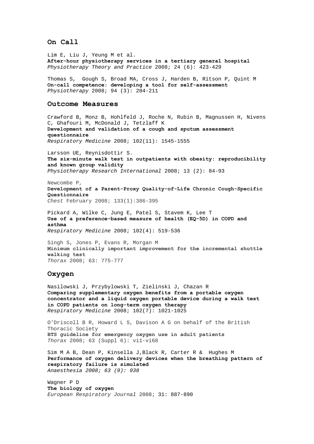## **On Call**

Lim E, Liu J, Yeung M et al. **After-hour physiotherapy services in a tertiary general hospital** *Physiotherapy Theory and Practice* 2008; 24 (6): 423-429

Thomas S, Gough S, Broad MA, Cross J, Harden B, Ritson P, Quint M **[On-call competence: developing a tool for self-assessment](http://www.physiotherapyjournal.com/article/S0031-9406(08)00040-0/abstract)**  *Physiotherapy* 2008; 94 (3): 204-211

#### **Outcome Measures**

Crawford B, Monz B, Hohlfeld J, Roche N, Rubin B, Magnussen H, Nivens C, Ghafouri M, McDonald J, Tetzlaff K **[Development and validation of a cough and sputum assessment](http://www.sciencedirect.com/science?_ob=ArticleURL&_udi=B6WWS-4T32DYN-1&_user=10&_coverDate=11%2F30%2F2008&_rdoc=6&_fmt=high&_orig=browse&_srch=doc-info(%23toc%237138%232008%23998979988%23701789%23FLA%23display%23Volume)&_cdi=7138&_sort=d&_docanchor=&_ct=27&_acct=C000050221&_version=1&_urlVersion=0&_userid=10&md5=c27ac12c44f65ce38422605f30786a8d)  [questionnaire](http://www.sciencedirect.com/science?_ob=ArticleURL&_udi=B6WWS-4T32DYN-1&_user=10&_coverDate=11%2F30%2F2008&_rdoc=6&_fmt=high&_orig=browse&_srch=doc-info(%23toc%237138%232008%23998979988%23701789%23FLA%23display%23Volume)&_cdi=7138&_sort=d&_docanchor=&_ct=27&_acct=C000050221&_version=1&_urlVersion=0&_userid=10&md5=c27ac12c44f65ce38422605f30786a8d)** *Respiratory Medicine* 2008; 102(11): 1545-1555

Larsson UE, Reynisdottir S. **The six-minute walk test in outpatients with obesity: reproducibility and known group validity**  *Physiotherapy Research International* 2008; 13 (2): 84-93

Newcombe P, **Development of a Parent-Proxy Quality-of-Life Chronic Cough-Specific Questionnaire**  *Chest* February 2008; 133(1):386-395

Pickard A, Wilke C, Jung E, Patel S, Stavem K, Lee T **[Use of a preference-based measure of health \(EQ-5D\) in COPD and](http://www.sciencedirect.com/science?_ob=ArticleURL&_udi=B6WWS-4RH2SS9-1&_user=10&_coverDate=04%2F30%2F2008&_rdoc=7&_fmt=high&_orig=browse&_srch=doc-info(%23toc%237138%232008%23998979995%23682465%23FLA%23display%23Volume)&_cdi=7138&_sort=d&_docanchor=&_ct=24&_acct=C000050221&_version=1&_urlVersion=0&_userid=10&md5=92cb38596ee02abe75859f8e7230ba17)  [asthma](http://www.sciencedirect.com/science?_ob=ArticleURL&_udi=B6WWS-4RH2SS9-1&_user=10&_coverDate=04%2F30%2F2008&_rdoc=7&_fmt=high&_orig=browse&_srch=doc-info(%23toc%237138%232008%23998979995%23682465%23FLA%23display%23Volume)&_cdi=7138&_sort=d&_docanchor=&_ct=24&_acct=C000050221&_version=1&_urlVersion=0&_userid=10&md5=92cb38596ee02abe75859f8e7230ba17)** *Respiratory Medicine* 2008; 102(4): 519-536

Singh S, Jones P, Evans R, Morgan M **Minimum clinically important improvement for the incremental shuttle walking test** *Thorax* 2008; 63: 775-777

#### **Oxygen**

Nasilowski J, Przybylowski T, Zielinski J, Chazan R **[Comparing supplementary oxygen benefits from a portable oxygen](http://www.sciencedirect.com/science?_ob=ArticleURL&_udi=B6WWS-4S3P85J-1&_user=10&_coverDate=07%2F31%2F2008&_rdoc=13&_fmt=high&_orig=browse&_srch=doc-info(%23toc%237138%232008%23998979992%23691917%23FLA%23display%23Volume)&_cdi=7138&_sort=d&_docanchor=&_ct=20&_acct=C000050221&_version=1&_urlVersion=0&_userid=10&md5=13afd51f5cae9c352a1bacbbefe1fa75)  [concentrator and a liquid oxygen portable device during a walk test](http://www.sciencedirect.com/science?_ob=ArticleURL&_udi=B6WWS-4S3P85J-1&_user=10&_coverDate=07%2F31%2F2008&_rdoc=13&_fmt=high&_orig=browse&_srch=doc-info(%23toc%237138%232008%23998979992%23691917%23FLA%23display%23Volume)&_cdi=7138&_sort=d&_docanchor=&_ct=20&_acct=C000050221&_version=1&_urlVersion=0&_userid=10&md5=13afd51f5cae9c352a1bacbbefe1fa75)  [in COPD patients on long-term oxygen therapy](http://www.sciencedirect.com/science?_ob=ArticleURL&_udi=B6WWS-4S3P85J-1&_user=10&_coverDate=07%2F31%2F2008&_rdoc=13&_fmt=high&_orig=browse&_srch=doc-info(%23toc%237138%232008%23998979992%23691917%23FLA%23display%23Volume)&_cdi=7138&_sort=d&_docanchor=&_ct=20&_acct=C000050221&_version=1&_urlVersion=0&_userid=10&md5=13afd51f5cae9c352a1bacbbefe1fa75)** *Respiratory Medicine* 2008; 102(7): 1021-1025

O'Driscoll B R, Howard L S, Davison A G on behalf of the British Thoracic Society **BTS guideline for emergency oxygen use in adult patients** *Thorax* 2008; 63 (Suppl 6): vi1-vi68

Sim M A B, Dean P, Kinsella J,Black R, Carter R & Hughes M **Performance of oxygen delivery devices when the breathing pattern of respiratory failure is simulated** *Anaesthesia 2008; 63 (9): 938* 

Wagner P D **The biology of oxygen** *European Respiratory Journal* 2008; 31: 887-890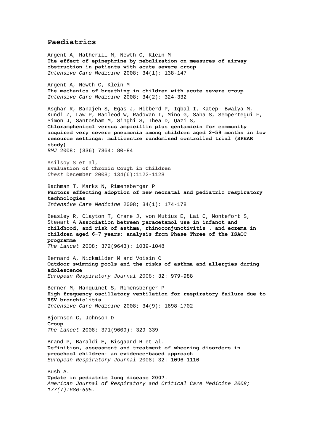## **Paediatrics**

[Argent](http://www.springerlink.com/content/?Author=A.+C.+Argent) A, [Hatherill](http://www.springerlink.com/content/?Author=M.+Hatherill) M, [Newth](http://www.springerlink.com/content/?Author=C.+J.+L.+Newth) C, [Klein](http://www.springerlink.com/content/?Author=M.+Klein) M **[The effect of epinephrine by nebulization on measures of airway](http://www.springerlink.com/content/55m6w8551415w316/?p=92dfc92e2da142729968e500220f4028&pi=14)  [obstruction in patients with acute severe croup](http://www.springerlink.com/content/55m6w8551415w316/?p=92dfc92e2da142729968e500220f4028&pi=14)**  *Intensive Care Medicine* 2008; 34(1): 138-147 [Argent](http://www.springerlink.com/content/?Author=Andrew+C.+Argent) A, [Newth](http://www.springerlink.com/content/?Author=Christopher+J.+L.+Newth) C, [Klein](http://www.springerlink.com/content/?Author=Max+Klein) M **[The mechanics of breathing in children with acute severe croup](http://www.springerlink.com/content/5358t26081465306/?p=856b08371bee4ab6abf6304e84702fa0&pi=15)**  *Intensive Care Medicine* 2008; 34(2): 324-332 Asghar R, Banajeh S, Egas J, Hibberd P, Iqbal I, Katep- Bwalya M, Kundi Z, Law P, Macleod W, Radovan I, Mino G, Saha S, Sempertegui F, Simon J, Santosham M, Singhi S, Thea D, Qazi S, **Chloramphenicol versus ampicillin plus gentamicin for community acquired very severe pneumonia among children aged 2-59 months in low resource settings: multicentre randomised controlled trial (SPEAR study)**  *BMJ* 2008; (336) 7364: 80-84 Asilsoy S et al, **Evaluation of Chronic Cough in Children**  *Chest* December 2008; 134(6):1122-1128 [Bachman](http://www.springerlink.com/content/?Author=Thomas+E.+Bachman) T, [Marks](http://www.springerlink.com/content/?Author=Norton+E.+Marks) N, [Rimensberger](http://www.springerlink.com/content/?Author=Peter+C.+Rimensberger) P **[Factors effecting adoption of new neonatal and pediatric respiratory](http://www.springerlink.com/content/u334464346l384w0/?p=dadf84eecfbf484ca3c18724ada5fffb&pi=20)  [technologies](http://www.springerlink.com/content/u334464346l384w0/?p=dadf84eecfbf484ca3c18724ada5fffb&pi=20)**  *Intensive Care Medicine* 2008; 34(1): 174-178 Beasley R, Clayton T, Crane J, von Mutius E, Lai C, Montefort S, Stewart A **Association between paracetamol use in infanct and childhood, and risk of asthma, rhinoconjunctivitis , and eczema in children aged 6-7 years: analysis from Phase Three of the ISACC programme** *The Lancet* 2008; 372(9643): 1039-1048 Bernard A, Nickmilder M and Voisin C **Outdoor swimming pools and the risks of asthma and allergies during adolescence** *European Respiratory Journal* 2008; 32: 979-988 [Berner](http://www.springerlink.com/content/?Author=Michel+E.+Berner) M, [Hanquinet](http://www.springerlink.com/content/?Author=Sylviane+Hanquinet) S, [Rimensberger](http://www.springerlink.com/content/?Author=Peter+C.+Rimensberger) P **[High frequency oscillatory ventilation for respiratory failure due to](http://www.springerlink.com/content/213721317u737000/?p=c9d1b808be7b438bbd395b67e5c370fb&pi=21)  [RSV bronchiolitis](http://www.springerlink.com/content/213721317u737000/?p=c9d1b808be7b438bbd395b67e5c370fb&pi=21)**  *Intensive Care Medicine* 2008; 34(9): 1698-1702 Bjornson C, Johnson D **Croup**  *The Lancet* 2008; 371(9609): 329-339 Brand P, Baraldi E, Bisgaard H et al. **Definition, assessment and treatment of wheezing disorders in preschool children: an evidence-based approach** *European Respiratory Journal* 2008; 32: 1096-1110 Bush A. **Update in pediatric lung disease 2007.**  *American Journal of Respiratory and Critical Care Medicine 2008; 177(7):686-695.*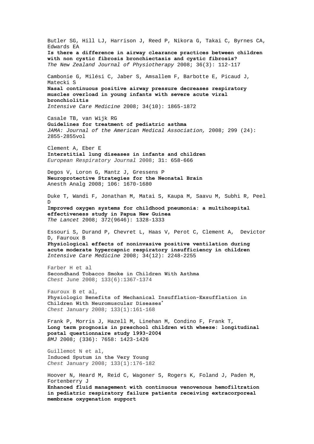Butler SG, Hill LJ, Harrison J, Reed P, Nikora G, Takai C, Byrnes CA, Edwards EA **Is there a difference in airway clearance practices between children with non cystic fibrosis bronchiectasis and cystic fibrosis?**  *The New Zealand Journal of Physiotherapy* 2008; 36(3): 112-117 [Cambonie](http://www.springerlink.com/content/?Author=Gilles+Cambonie) G, [Milési](http://www.springerlink.com/content/?Author=Christophe+Mil%c3%a9si) C, [Jaber](http://www.springerlink.com/content/?Author=Samir+Jaber) S, [Amsallem](http://www.springerlink.com/content/?Author=Francis+Amsallem) F, [Barbotte](http://www.springerlink.com/content/?Author=Eric+Barbotte) E, [Picaud](http://www.springerlink.com/content/?Author=Jean-Charles+Picaud) J[,](http://www.springerlink.com/content/?Author=Stefan+Matecki) [Matecki](http://www.springerlink.com/content/?Author=Stefan+Matecki) S **[Nasal continuous positive airway pressure decreases respiratory](http://www.springerlink.com/content/33hv472162943760/?p=91bdde6ae6544a98a7a7f581965e8228&pi=19)  [muscles overload in young infants with severe acute viral](http://www.springerlink.com/content/33hv472162943760/?p=91bdde6ae6544a98a7a7f581965e8228&pi=19)  [bronchiolitis](http://www.springerlink.com/content/33hv472162943760/?p=91bdde6ae6544a98a7a7f581965e8228&pi=19)**  *Intensive Care Medicine* 2008; 34(10): 1865-1872 Casale TB, van Wijk RG **Guidelines for treatment of pediatric asthma**  *JAMA: Journal of the American Medical Association,* 2008; 299 (24): 2855-2855vol Clement A, Eber E **Interstitial lung diseases in infants and children** *European Respiratory Journal* 2008; 31: 658-666 Degos V, Loron G, Mantz J, Gressens P **Neuroprotective Strategies for the Neonatal Brain** Anesth Analg 2008; 106: 1670-1680 Duke T, Wandi F, Jonathan M, Matai S, Kaupa M, Saavu M, Subhi R, Peel D **Improved oxygen systems for childhood pneumonia: a multihospital effectiveness study in Papua New Guinea**  *The Lancet* 2008; 372(9646): 1328-1333 [Essouri](http://www.springerlink.com/content/?Author=Sandrine+Essouri) S, [Durand](http://www.springerlink.com/content/?Author=Philippe+Durand) P, [Chevret](http://www.springerlink.com/content/?Author=Laurent+Chevret) L, [Haas](http://www.springerlink.com/content/?Author=Vincent+Haas) V[, Perot](http://www.springerlink.com/content/?Author=Claire+Perot) C, [Clement](http://www.springerlink.com/content/?Author=Annick+Clement) A, [Devictor](http://www.springerlink.com/content/?Author=Denis+Devictor)  D, [Fauroux](http://www.springerlink.com/content/?Author=Brigitte+Fauroux) B **[Physiological effects of noninvasive positive ventilation during](http://www.springerlink.com/content/gl4361571911l422/?p=6a06ec4cc832413fa63686c76da18ab8&pi=17)  [acute moderate hypercapnic respiratory insufficiency in children](http://www.springerlink.com/content/gl4361571911l422/?p=6a06ec4cc832413fa63686c76da18ab8&pi=17)**  *Intensive Care Medicine* 2008; 34(12): 2248-2255 Farber H et al **Secondhand Tobacco Smoke in Children With Asthma**  *Chest* June 2008; 133(6):1367-1374 Fauroux B et al, **Physiologic Benefits of Mechanical Insufflation-Exsufflation in Children With Neuromuscular Diseases[\\*](http://www.chestjournal.org/gca?gca=chest%3B133%2F1%2F13&gca=chest%3B133%2F1%2F19&gca=chest%3B133%2F1%2F34&gca=chest%3B133%2F1%2F62&gca=chest%3B133%2F1%2F86&gca=chest%3B133%2F1%2F161&gca=chest%3B133%2F1%2F176&gca=chest%3B133%2F1%2F236&submit=Get+All+Checked+Abstracts#target-1#target-1)** *Chest* January 2008; 133(1):161-168 Frank P, Morris J, Hazell M, Linehan M, Condino F, Frank T, **Long term prognosis in preschool children with wheeze: longitudinal postal questionnaire study 1993-2004** *BMJ* 2008; (336): 7658: 1423-1426 Guillemot N et al, I**nduced Sputum in the Very Young** *Chest* January 2008; 133(1):176-182 [Hoover](http://www.springerlink.com/content/?Author=Nancy+G.+Hoover) N, [Heard](http://www.springerlink.com/content/?Author=Michael+Heard) M, [Reid](http://www.springerlink.com/content/?Author=Christopher+Reid) C, [Wagoner](http://www.springerlink.com/content/?Author=Scott+Wagoner) S[, Rogers](http://www.springerlink.com/content/?Author=Kristine+Rogers) K, [Foland](http://www.springerlink.com/content/?Author=Jason+Foland) J, [Paden](http://www.springerlink.com/content/?Author=Matthew+L.+Paden) M, [Fortenberry](http://www.springerlink.com/content/?Author=James+D.+Fortenberry) J **[Enhanced fluid management with continuous venovenous hemofiltration](http://www.springerlink.com/content/r5571518u2l35663/?p=6a06ec4cc832413fa63686c76da18ab8&pi=16)  [in pediatric respiratory failure patients receiving extracorporeal](http://www.springerlink.com/content/r5571518u2l35663/?p=6a06ec4cc832413fa63686c76da18ab8&pi=16)  [membrane oxygenation support](http://www.springerlink.com/content/r5571518u2l35663/?p=6a06ec4cc832413fa63686c76da18ab8&pi=16)**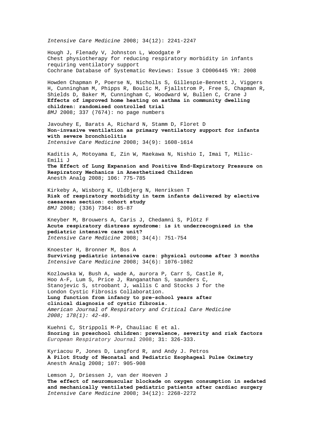*Intensive Care Medicine* 2008; 34(12): 2241-2247

Hough J, Flenady V, Johnston L, Woodgate P Chest physiotherapy for reducing respiratory morbidity in infants requiring ventilatory support Cochrane Database of Systematic Reviews: Issue 3 CD006445 YR: 2008

Howden Chapman P, Poerse N, Nicholls S, Gillespie-Bennett J, Viggers H, Cunningham M, Phipps R, Boulic M, Fjallstrom P, Free S, Chapman R, Shields D, Baker M, Cunningham C, Woodward W, Bullen C, Crane J **Effects of improved home heating on asthma in community dwelling children: randomised controlled trial**  *BMJ* 2008; 337 (7674): no page numbers

[Javouhey](http://www.springerlink.com/content/?Author=Etienne+Javouhey) E, [Barats](http://www.springerlink.com/content/?Author=Audrey+Barats) A, [Richard](http://www.springerlink.com/content/?Author=Nathalie+Richard) N, [Stamm](http://www.springerlink.com/content/?Author=Didier+Stamm) D, Floret D **[Non-invasive ventilation as primary ventilatory support for infants](http://www.springerlink.com/content/b28k718125112v6t/?p=6f603247aaed48a88b9c7f090cb4ecf5&pi=9)  [with severe bronchiolitis](http://www.springerlink.com/content/b28k718125112v6t/?p=6f603247aaed48a88b9c7f090cb4ecf5&pi=9)**  *Intensive Care Medicine* 2008; 34(9): 1608-1614

Kaditis A, Motoyama E, Zin W, Maekawa N, Nishio I, Imai T, Milic-Emili J **The Effect of Lung Expansion and Positive End-Expiratory Pressure on Respiratory Mechanics in Anesthetized Children** Anesth Analg 2008; 106: 775-785

Kirkeby A, Wisborg K, Uldbjerg N, Henriksen T **Risk of respiratory morbidity in term infants delivered by elective caesarean section: cohort study**  *BMJ* 2008; (336) 7364: 85-87

[Kneyber](http://www.springerlink.com/content/?Author=Martin+C.+J.+Kneyber) M, [Brouwers](http://www.springerlink.com/content/?Author=Arno+G.+A.+Brouwers) A, [Caris](http://www.springerlink.com/content/?Author=Jochem+A.+Caris) J, [Chedamni](http://www.springerlink.com/content/?Author=Sunita+Chedamni) S, [Plötz](http://www.springerlink.com/content/?Author=Frans+B.+Pl%c3%b6tz) F **[Acute respiratory distress syndrome: is it underrecognized in the](http://www.springerlink.com/content/b182576066tv1t27/?p=505394b7ffca4718ba68d5b49786c51b&pi=22)  [pediatric intensive care unit?](http://www.springerlink.com/content/b182576066tv1t27/?p=505394b7ffca4718ba68d5b49786c51b&pi=22)**  *Intensive Care Medicine* 2008; 34(4): 751-754

[Knoester](http://www.springerlink.com/content/?Author=Hendrika+Knoester) H, [Bronner](http://www.springerlink.com/content/?Author=Madelon+B.+Bronner) M, Bos A **[Surviving pediatric intensive care: physical outcome after 3 months](http://www.springerlink.com/content/f28122216v140663/?p=85ea63cec06c4c6cafbdb81f030976ab&pi=14)**  *Intensive Care Medicine* 2008; 34(6): 1076-1082

Kozlowska W, Bush A, wade A, aurora P, Carr S, Castle R, Hoo A-F, Lum S, Price J, Ranganathan S, saunders C, Stanojevic S, stroobant J, wallis C and Stocks J for the London Cystic Fibrosis Collaboration. **Lung function from infancy to pre-school years after clinical diagnosis of cystic fibrosis.**  *American Journal of Respiratory and Critical Care Medicine 2008; 178(1): 42-49.* 

Kuehni C, Strippoli M-P, Chauliac E et al. **Snoring in preschool children: prevalence, severity and risk factors** *European Respiratory Journal* 2008; 31: 326-333.

Kyriacou P, Jones D, Langford R, and Andy J. Petros **A Pilot Study of Neonatal and Pediatric Esophageal Pulse Oximetry** Anesth Analg 2008; 107: 905-908

[Lemson](http://www.springerlink.com/content/?Author=J.+Lemson) J, [Driessen](http://www.springerlink.com/content/?Author=J.+J.+Driessen) J, [van der Hoeven](http://www.springerlink.com/content/?Author=J.+G.+van+der+Hoeven) J **[The effect of neuromuscular blockade on oxygen consumption in sedated](http://www.springerlink.com/content/54m317pp24647488/?p=ec45afe0129c4aad94744de2007a2a62&pi=20)  [and mechanically ventilated pediatric patients after cardiac surgery](http://www.springerlink.com/content/54m317pp24647488/?p=ec45afe0129c4aad94744de2007a2a62&pi=20)**  *Intensive Care Medicine* 2008; 34(12): 2268-2272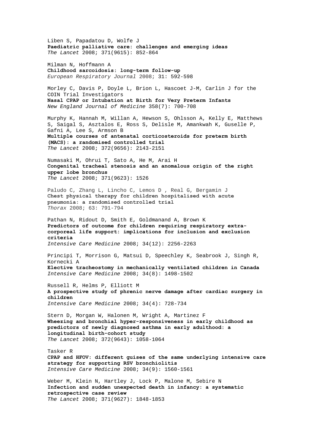Liben S, Papadatou D, Wolfe J **Paediatric palliative care: challenges and emerging ideas**  *The Lancet* 2008; 371(9615): 852-864 Milman N, Hoffmann A **Childhood sarcoidosis: long-term follow-up** *European Respiratory Journal* 2008; 31: 592-598 Morley C, Davis P, Doyle L, Brion L, Hascoet J-M, Carlin J for the COIN Trial Investigators **Nasal CPAP or Intubation at Birth for Very Preterm Infants**  *New England Journal of Medicine* 358(7): 700-708 Murphy K, Hannah M, Willan A, Hewson S, Ohlsson A, Kelly E, Matthews S, Saigal S, Asztalos E, Ross S, Delisle M, Amankwah K, Guselle P, Gafni A, Lee S, Armson B **Multiple courses of antenatal corticosteroids for preterm birth (MACS): a randomised controlled trial**  *The Lancet* 2008; 372(9656): 2143-2151 Numasaki M, Ohrui T, Sato A, He M, Arai H **Congenital tracheal stenosis and an anomalous origin of the right upper lobe bronchus**  *The Lancet* 2008; 371(9623): 1526 Paludo C, Zhang L, Lincho C, Lemos D , Real G, Bergamin J **Chest physical therapy for children hospitalised with acute pneumonia: a randomised controlled trial** *Thorax* 2008; 63: 791-794 [Pathan](http://www.springerlink.com/content/?Author=Nazima+Pathan) N, [Ridout](http://www.springerlink.com/content/?Author=Deborah+A.+Ridout) D, [Smith](http://www.springerlink.com/content/?Author=Elizabeth+Smith) E, [Goldmana](http://www.springerlink.com/content/?Author=Allan+P.+Goldman)nd [A, Brown](http://www.springerlink.com/content/?Author=Katherine+L.+Brown) K **[Predictors of outcome for children requiring respiratory extra](http://www.springerlink.com/content/4k327714up034k34/?p=6a06ec4cc832413fa63686c76da18ab8&pi=18)[corporeal life support: implications for inclusion and exclusion](http://www.springerlink.com/content/4k327714up034k34/?p=6a06ec4cc832413fa63686c76da18ab8&pi=18)  [criteria](http://www.springerlink.com/content/4k327714up034k34/?p=6a06ec4cc832413fa63686c76da18ab8&pi=18)**  *Intensive Care Medicine* 2008; 34(12): 2256-2263 [Principi](http://www.springerlink.com/content/?Author=Tania+Principi) T, [Morrison](http://www.springerlink.com/content/?Author=Gavin+C.+Morrison) G, [Matsui](http://www.springerlink.com/content/?Author=Doreen+M.+Matsui) D, [Speechley](http://www.springerlink.com/content/?Author=Kathy+N.+Speechley) K, [Seabrook](http://www.springerlink.com/content/?Author=Jamie+A.+Seabrook) J, [Singh](http://www.springerlink.com/content/?Author=Ram+N.+Singh) R, [Kornecki](http://www.springerlink.com/content/?Author=Alik+Kornecki) A **[Elective tracheostomy in mechanically ventilated children in Canada](http://www.springerlink.com/content/l22216131353533k/?p=75cd4b8f042d43cfbad2351223150d7e&pi=20)**  *Intensive Care Medicine* 2008; 34(8): 1498-1502 [Russell](http://www.springerlink.com/content/?Author=Robert+I.+Ross%c2%a0Russell) R, [Helms](http://www.springerlink.com/content/?Author=Peter+J.+Helms) P, [Elliott](http://www.springerlink.com/content/?Author=Martin+J.+Elliott) M **[A prospective study of phrenic nerve damage after cardiac surgery in](http://www.springerlink.com/content/y52h2u58287r0880/?p=7ed6e01e9cee4add8073923fc2d92ad8&pi=18)  [children](http://www.springerlink.com/content/y52h2u58287r0880/?p=7ed6e01e9cee4add8073923fc2d92ad8&pi=18)**  *Intensive Care Medicine* 2008; 34(4): 728-734 Stern D, Morgan W, Halonen M, Wright A, Martinez F **Wheezing and bronchial hyper-responsiveness in early childhood as predictors of newly diagnosed asthma in early adulthood: a longitudinal birth-cohort study**  *The Lancet* 2008; 372(9643): 1058-1064 [Tasker](http://www.springerlink.com/content/?Author=Robert+C.+Tasker) R **[CPAP and HFOV: different guises of the same underlying intensive care](http://www.springerlink.com/content/r0223178726540m2/?p=6f603247aaed48a88b9c7f090cb4ecf5&pi=2)  [strategy for supporting RSV bronchiolitis](http://www.springerlink.com/content/r0223178726540m2/?p=6f603247aaed48a88b9c7f090cb4ecf5&pi=2)**  *Intensive Care Medicine* 2008; 34(9): 1560-1561 Weber M, Klein N, Hartley J, Lock P, Malone M, Sebire N **Infection and sudden unexpected death in infancy: a systematic retrospective case review**  *The Lancet* 2008; 371(9627): 1848-1853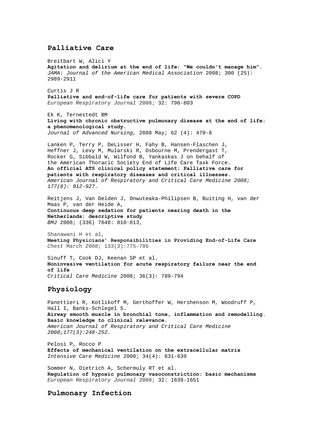## **Palliative Care**

Breitbart W, Alici Y **Agitation and delirium at the end of life: "We couldn't manage him".**  *JAMA: Journal of the American Medical Association* 2008; 300 (25): 2989-2911 Curtis J R **Palliative and end-of-life care for patients with severe COPD** *European Respiratory Journal* 2008; 32: 796-803 Ek K, Ternestedt BM **[Living with chronic obstructive pulmonary disease at the end of life:](http://web.ebscohost.com/ehost/viewarticle?data=dGJyMPPp44rp2%2fdV0%2bnjisfk5Ie46bdQtai2S7ak63nn5Kx95uXxjL6orUm0pbBIrq%2beUbiorlKvqJ5Zy5zyit%2fk8Xnh6ueH7N%2fiVaunskuwrbFLtqekhN%2fk5VXj5KR84LPhUOac8nnls79mpNfsVbCmrlG3qLFKsKakfu3o63nys%2bSN6uLyffbq&hid=101)  [a phenomenological study.](http://web.ebscohost.com/ehost/viewarticle?data=dGJyMPPp44rp2%2fdV0%2bnjisfk5Ie46bdQtai2S7ak63nn5Kx95uXxjL6orUm0pbBIrq%2beUbiorlKvqJ5Zy5zyit%2fk8Xnh6ueH7N%2fiVaunskuwrbFLtqekhN%2fk5VXj5KR84LPhUOac8nnls79mpNfsVbCmrlG3qLFKsKakfu3o63nys%2bSN6uLyffbq&hid=101)**  *Journal of Advanced Nursing,* 2008 May; 62 (4): 470-8 Lanken P, Terry P, DeLisser H, Fahy B, Hansen-Flaschen J, Heffner J, Levy M, Mularski R, Osbourne M, Prendergast T, Rocker G, Sibbald W, Wilfond B, Yankaskas J on behalf of the American Thoracic Society End of Life Care Task Force. **An official ATS clinical policy statement: Palliative care for patients with respiratory diseases and critical illnesses.**  *American Journal of Respiratory and Critical Care Medicine 2008; 177(8): 912-927.*  Reitjens J, Van Delden J, Onwuteaka-Philipsen B, Buiting H, van der Maas P, van der Heide A, **Continuous deep sedation for patients nearing death in the Netherlands: descriptive study**

Shanawani H et al, **Meeting Physicians' Responsibilities in Providing End-of-Life Care**  *Chest* March 2008; 133(3):775-786

Sinuff T, Cook DJ, Keenan SP et al. **Noninvasive ventilation for acute respiratory failure near the end of life**  *Critical Care Medicine* 2008; 36(3): 789-794

## **Physiology**

*BMJ* 2008; (336) 7648: 810-813,

Panettieri R, Kotlikoff M, Gerthoffer W, Hershenson M, Woodruff P, Hall I, Banks-Schlegel S. **Airway smooth muscle in bronchial tone, inflammation and remodelling. Basic knowledge to clinical relevance.**  *American Journal of Respiratory and Critical Care Medicine 2008;177(3):248-252.* 

[Pelosi](http://www.springerlink.com/content/?Author=Paolo+Pelosi) P[, Rocco](http://www.springerlink.com/content/?Author=Patricia+R.+Rocco) P **[Effects of mechanical ventilation on the extracellular matrix](http://www.springerlink.com/content/q258565x333v185h/?p=bb11e35218234b049057c8140c5e05e3&pi=6)**  *Intensive Care Medicine* 2008; 34(4): 631-639

Sommer N, Dietrich A, Schermuly RT et al. **Regulation of hypoxic pulmonary vasoconstriction: basic mechanisms** *European Respiratory Journal* 2008; 32: 1639-1651

## **Pulmonary Infection**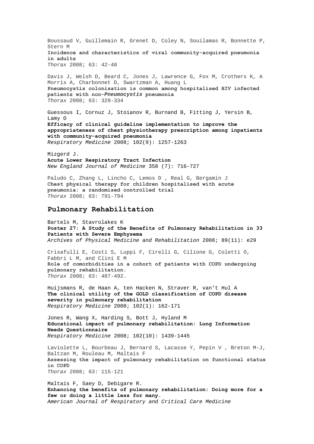Boussaud V, Guillemain R, Grenet D, Coley N, Souilamas R, Bonnette P, Stern M **Incidence and characteristics of viral community-acquired pneumonia in adults** *Thorax* 2008; 63: 42-48

Davis J, Welsh D, Beard C, Jones J, Lawrence G, Fox M, Crothers K, A Morris A, Charbonnet D, Swartzman A, Huang L **Pneumocystis colonisation is common among hospitalised HIV infected patients with non-***Pneumocystis* **pneumonia** *Thorax* 2008; 63: 329-334

Guessous I, Cornuz J, Stoianov R, Burnand B, Fitting J, Yersin B, Lamy O **[Efficacy of clinical guideline implementation to improve the](http://www.sciencedirect.com/science?_ob=ArticleURL&_udi=B6WWS-4SYD9PH-3&_user=10&_coverDate=09%2F30%2F2008&_rdoc=6&_fmt=high&_orig=browse&_srch=doc-info(%23toc%237138%232008%23998979990%23695208%23FLA%23display%23Volume)&_cdi=7138&_sort=d&_docanchor=&_ct=18&_acct=C000050221&_version=1&_urlVersion=0&_userid=10&md5=96225312f7fec49aebf39378b7ccd5d0)  [appropriateness of chest physiotherapy prescription among inpatients](http://www.sciencedirect.com/science?_ob=ArticleURL&_udi=B6WWS-4SYD9PH-3&_user=10&_coverDate=09%2F30%2F2008&_rdoc=6&_fmt=high&_orig=browse&_srch=doc-info(%23toc%237138%232008%23998979990%23695208%23FLA%23display%23Volume)&_cdi=7138&_sort=d&_docanchor=&_ct=18&_acct=C000050221&_version=1&_urlVersion=0&_userid=10&md5=96225312f7fec49aebf39378b7ccd5d0)  [with community-acquired pneumonia](http://www.sciencedirect.com/science?_ob=ArticleURL&_udi=B6WWS-4SYD9PH-3&_user=10&_coverDate=09%2F30%2F2008&_rdoc=6&_fmt=high&_orig=browse&_srch=doc-info(%23toc%237138%232008%23998979990%23695208%23FLA%23display%23Volume)&_cdi=7138&_sort=d&_docanchor=&_ct=18&_acct=C000050221&_version=1&_urlVersion=0&_userid=10&md5=96225312f7fec49aebf39378b7ccd5d0)** *Respiratory Medicine* 2008; 102(9): 1257-1263

Mizgerd J. **Acute Lower Respiratory Tract Infection**  *New England Journal of Medicine* 358 (7): 716-727

Paludo C, Zhang L, Lincho C, Lemos D , Real G, Bergamin J **Chest physical therapy for children hospitalised with acute pneumonia: a randomised controlled trial** *Thorax* 2008; 63: 791-794

#### **Pulmonary Rehabilitation**

Bartels M, Stavrolakes K **Poster 27: A Study of the Benefits of Pulmonary Rehabilitation in 33 Patients with Severe Emphysema**  *Archives of Physical Medicine and Rehabilitation* 2008; 89(11): e29

Crisafulli E, Costi S, Luppi F, Cirelli G, Cilione G, Coletti O, Fabbri L M, and Clini E M **Role of comorbidities in a cohort of patients with COPD undergoing pulmonary rehabilitation**. *Thorax* 2008; 63: 487-492.

Huijsmans R, de Haan A, ten Hacken N, Straver R, van't Hul A **[The clinical utility of the GOLD classification of COPD disease](http://www.sciencedirect.com/science?_ob=ArticleURL&_udi=B6WWS-4PP7R4T-1&_user=10&_coverDate=01%2F31%2F2008&_rdoc=23&_fmt=high&_orig=browse&_srch=doc-info(%23toc%237138%232008%23998979998%23675265%23FLA%23display%23Volume)&_cdi=7138&_sort=d&_docanchor=&_ct=24&_acct=C000050221&_version=1&_urlVersion=0&_userid=10&md5=a8e99948d171fa402f2c250936816a28)  [severity in pulmonary rehabilitation](http://www.sciencedirect.com/science?_ob=ArticleURL&_udi=B6WWS-4PP7R4T-1&_user=10&_coverDate=01%2F31%2F2008&_rdoc=23&_fmt=high&_orig=browse&_srch=doc-info(%23toc%237138%232008%23998979998%23675265%23FLA%23display%23Volume)&_cdi=7138&_sort=d&_docanchor=&_ct=24&_acct=C000050221&_version=1&_urlVersion=0&_userid=10&md5=a8e99948d171fa402f2c250936816a28)** *Respiratory Medicine* 2008; 102(1): 162-171

Jones R, Wang X, Harding S, Bott J, Hyland M **[Educational impact of pulmonary rehabilitation: Lung Information](http://www.sciencedirect.com/science?_ob=ArticleURL&_udi=B6WWS-4T4J19M-1&_user=10&_coverDate=10%2F31%2F2008&_rdoc=13&_fmt=high&_orig=browse&_srch=doc-info(%23toc%237138%232008%23998979989%23696953%23FLA%23display%23Volume)&_cdi=7138&_sort=d&_docanchor=&_ct=23&_acct=C000050221&_version=1&_urlVersion=0&_userid=10&md5=4c66378615ec645bdd94d39486ee06a9)  [Needs Questionnaire](http://www.sciencedirect.com/science?_ob=ArticleURL&_udi=B6WWS-4T4J19M-1&_user=10&_coverDate=10%2F31%2F2008&_rdoc=13&_fmt=high&_orig=browse&_srch=doc-info(%23toc%237138%232008%23998979989%23696953%23FLA%23display%23Volume)&_cdi=7138&_sort=d&_docanchor=&_ct=23&_acct=C000050221&_version=1&_urlVersion=0&_userid=10&md5=4c66378615ec645bdd94d39486ee06a9)** *Respiratory Medicine* 2008; 102(10): 1439-1445

Laviolette L, Bourbeau J, Bernard S, Lacasse Y, Pepin V , Breton M-J, Baltzan M, Rouleau M, Maltais F **Assessing the impact of pulmonary rehabilitation on functional status in COPD** *Thorax* 2008; 63: 115-121

Maltais F, Saey D, Debigare R. **Enhancing the benefits of pulmonary rehabilitation: Doing more for a few or doing a little less for many.**  *American Journal of Respiratory and Critical Care Medicine*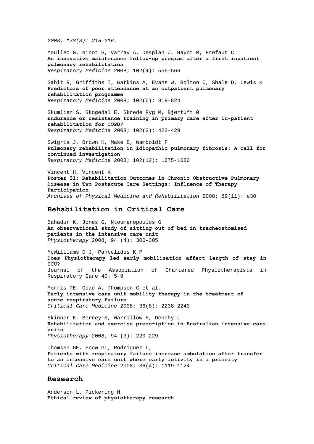*2008; 178(3): 215-216.* 

Moullec G, Ninot G, Varray A, Desplan J, Hayot M, Prefaut C **[An innovative maintenance follow-up program after a first inpatient](http://www.sciencedirect.com/science?_ob=ArticleURL&_udi=B6WWS-4RFKKH7-3&_user=10&_coverDate=04%2F30%2F2008&_rdoc=11&_fmt=high&_orig=browse&_srch=doc-info(%23toc%237138%232008%23998979995%23682465%23FLA%23display%23Volume)&_cdi=7138&_sort=d&_docanchor=&_ct=24&_acct=C000050221&_version=1&_urlVersion=0&_userid=10&md5=a87d0a4d035ea9009e61e6e2e47d8411)  [pulmonary rehabilitation](http://www.sciencedirect.com/science?_ob=ArticleURL&_udi=B6WWS-4RFKKH7-3&_user=10&_coverDate=04%2F30%2F2008&_rdoc=11&_fmt=high&_orig=browse&_srch=doc-info(%23toc%237138%232008%23998979995%23682465%23FLA%23display%23Volume)&_cdi=7138&_sort=d&_docanchor=&_ct=24&_acct=C000050221&_version=1&_urlVersion=0&_userid=10&md5=a87d0a4d035ea9009e61e6e2e47d8411)** *Respiratory Medicine* 2008; 102(4): 556-566

Sabit R, Griffiths T, Watkins A, Evans W, Bolton C, Shale D, Lewis K **[Predictors of poor attendance at an outpatient pulmonary](http://www.sciencedirect.com/science?_ob=ArticleURL&_udi=B6WWS-4S1JK07-1&_user=10&_coverDate=06%2F30%2F2008&_rdoc=4&_fmt=high&_orig=browse&_srch=doc-info(%23toc%237138%232008%23998979993%23689062%23FLA%23display%23Volume)&_cdi=7138&_sort=d&_docanchor=&_ct=22&_acct=C000050221&_version=1&_urlVersion=0&_userid=10&md5=1874ee75d0a4d7c8a4b7172dea0bdfba)  [rehabilitation programme](http://www.sciencedirect.com/science?_ob=ArticleURL&_udi=B6WWS-4S1JK07-1&_user=10&_coverDate=06%2F30%2F2008&_rdoc=4&_fmt=high&_orig=browse&_srch=doc-info(%23toc%237138%232008%23998979993%23689062%23FLA%23display%23Volume)&_cdi=7138&_sort=d&_docanchor=&_ct=22&_acct=C000050221&_version=1&_urlVersion=0&_userid=10&md5=1874ee75d0a4d7c8a4b7172dea0bdfba)** *Respiratory Medicine* 2008; 102(6): 819-824

Skumlien S, Skogedal E, Skrede Ryg M, Bjørtuft Ø **[Endurance or resistance training in primary care after in-patient](http://www.sciencedirect.com/science?_ob=ArticleURL&_udi=B6WWS-4R71DN2-1&_user=10&_coverDate=03%2F31%2F2008&_rdoc=16&_fmt=high&_orig=browse&_srch=doc-info(%23toc%237138%232008%23998979996%23679701%23FLA%23display%23Volume)&_cdi=7138&_sort=d&_docanchor=&_ct=24&_acct=C000050221&_version=1&_urlVersion=0&_userid=10&md5=9673c19687e870d58a008639a520eb55)  [rehabilitation for COPD?](http://www.sciencedirect.com/science?_ob=ArticleURL&_udi=B6WWS-4R71DN2-1&_user=10&_coverDate=03%2F31%2F2008&_rdoc=16&_fmt=high&_orig=browse&_srch=doc-info(%23toc%237138%232008%23998979996%23679701%23FLA%23display%23Volume)&_cdi=7138&_sort=d&_docanchor=&_ct=24&_acct=C000050221&_version=1&_urlVersion=0&_userid=10&md5=9673c19687e870d58a008639a520eb55)** *Respiratory Medicine* 2008; 102(3): 422-429

Swigris J, Brown K, Make B, Wamboldt F **[Pulmonary rehabilitation in idiopathic pulmonary fibrosis: A call for](http://www.sciencedirect.com/science?_ob=ArticleURL&_udi=B6WWS-4TMYJWV-1&_user=10&_coverDate=12%2F31%2F2008&_rdoc=1&_fmt=high&_orig=browse&_srch=doc-info(%23toc%237138%232008%23998979987%23701939%23FLA%23display%23Volume)&_cdi=7138&_sort=d&_docanchor=&_ct=25&_acct=C000050221&_version=1&_urlVersion=0&_userid=10&md5=d91dbc34aa97bbcd2d9d49258e633ea4)  [continued investigation](http://www.sciencedirect.com/science?_ob=ArticleURL&_udi=B6WWS-4TMYJWV-1&_user=10&_coverDate=12%2F31%2F2008&_rdoc=1&_fmt=high&_orig=browse&_srch=doc-info(%23toc%237138%232008%23998979987%23701939%23FLA%23display%23Volume)&_cdi=7138&_sort=d&_docanchor=&_ct=25&_acct=C000050221&_version=1&_urlVersion=0&_userid=10&md5=d91dbc34aa97bbcd2d9d49258e633ea4)** *Respiratory Medicine* 2008; 102(12): 1675-1680

Vincent H, Vincent K **Poster 31: Rehabilitation Outcomes in Chronic Obstructive Pulmonary Disease in Two Postacute Care Settings: Influence of Therapy Participation**  *Archives of Physical Medicine and Rehabilitation* 2008; 89(11): e30

#### **Rehabilitation in Critical Care**

Bahadur K, Jones G, Ntoumenopoulos G **[An observational study of sitting out of bed in tracheostomised](http://www.physiotherapyjournal.com/article/S0031-9406(08)00107-7/abstract)  [patients in the intensive care unit](http://www.physiotherapyjournal.com/article/S0031-9406(08)00107-7/abstract)** *Physiotherapy* 2008; 94 (4): 300-305

McWilliams D J, Pantelides K P **Does Physiotherapy led early mobilisation affect length of stay in ICU?**  Journal of the Association of Chartered Physiotherapists in Respiratory Care 40: 5-9

Morris PE, Goad A, Thompson C et al. **Early intensive care unit mobility therapy in the treatment of acute respiratory failure**  *Critical Care Medicine* 2008; 36(8): 2238-2243

Skinner E, Berney S, Warrillow S, Denehy L **[Rehabilitation and exercise prescription in Australian intensive care](http://www.physiotherapyjournal.com/article/S0031-9406(08)00003-5/abstract)  [units](http://www.physiotherapyjournal.com/article/S0031-9406(08)00003-5/abstract)**  *Physiotherapy* 2008; 94 (3): 220-229

Thomsen GE, Snow GL, Rodriguez L, **Patients with respiratory failure increase ambulation after transfer to an intensive care unit where early activity is a priority**  *Critical Care Medicine* 2008; 36(4): 1119-1124

#### **Research**

Anderson L, Pickering N **Ethical review of physiotherapy research**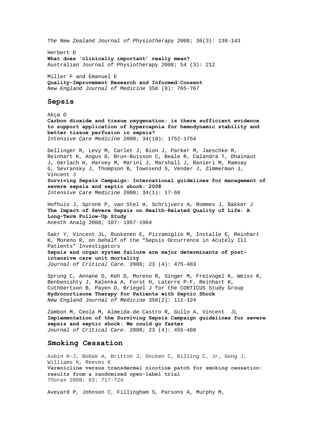*The New Zealand Journal of Physiotherapy* 2008; 36(3): 138-143

Herbert D **[What does 'clinically important' really mean?](http://ajp.physiotherapy.asn.au/AJP/vol_54/4/AustJPhysiotherv54i4Editorial.pdf)** Australian Journal of Physiotherapy 2008; 54 (3): 212

Miller F and Emanuel E **Quality-Improvement Research and Informed Consent**  *New England Journal of Medicine* 358 (8): 765-767

#### **Sepsis**

[Akça](http://www.springerlink.com/content/?Author=Ozan+Ak%c3%a7a) O **[Carbon dioxide and tissue oxygenation: is there sufficient evidence](http://www.springerlink.com/content/f8m4gj4q3215227w/?p=af3cdd73c44e45f788c60cf812383ae9&pi=3)  [to support application of hypercapnia for hemodynamic stability and](http://www.springerlink.com/content/f8m4gj4q3215227w/?p=af3cdd73c44e45f788c60cf812383ae9&pi=3)  [better tissue perfusion in sepsis?](http://www.springerlink.com/content/f8m4gj4q3215227w/?p=af3cdd73c44e45f788c60cf812383ae9&pi=3)**  *Intensive Care Medicine* 2008; 34(10): 1752-1754

[Dellinger](http://www.springerlink.com/content/?Author=R.+Phillip+Dellinger) R, [Levy](http://www.springerlink.com/content/?Author=Mitchell+M.+Levy) M, [Carlet](http://www.springerlink.com/content/?Author=Jean+M.+Carlet) J, [Bion](http://www.springerlink.com/content/?Author=Julian+Bion) J, [Parker](http://www.springerlink.com/content/?Author=Margaret+M.+Parker) M, [Jaeschke](http://www.springerlink.com/content/?Author=Roman+Jaeschke) R, [Reinhart](http://www.springerlink.com/content/?Author=Konrad+Reinhart) K, [Angus](http://www.springerlink.com/content/?Author=Derek+C.+Angus) D, [Brun-Buisson](http://www.springerlink.com/content/?Author=Christian+Brun-Buisson) C, [Beale](http://www.springerlink.com/content/?Author=Richard+Beale) R, [Calandra](http://www.springerlink.com/content/?Author=Thierry+Calandra) T, [Dhainaut](http://www.springerlink.com/content/?Author=Jean-Francois+Dhainaut)  J, [Gerlach](http://www.springerlink.com/content/?Author=Herwig+Gerlach) H, [Harvey](http://www.springerlink.com/content/?Author=Maurene+Harvey) M, [Marini](http://www.springerlink.com/content/?Author=John+J.+Marini) J[, Marshall](http://www.springerlink.com/content/?Author=John+Marshall) J, [Ranieri](http://www.springerlink.com/content/?Author=Marco+Ranieri) M, [Ramsay](http://www.springerlink.com/content/?Author=Graham+Ramsay) G, [Sevransky](http://www.springerlink.com/content/?Author=Jonathan+Sevransky) J[, Thompson](http://www.springerlink.com/content/?Author=B.+Taylor+Thompson) B, [Townsend](http://www.springerlink.com/content/?Author=Sean+Townsend) S, [Vender](http://www.springerlink.com/content/?Author=Jeffrey+S.+Vender) J, [Zimmerman](http://www.springerlink.com/content/?Author=Janice+L.+Zimmerman) J, [Vincent](http://www.springerlink.com/content/?Author=Jean-Louis+Vincent) J **[Surviving Sepsis Campaign: International guidelines for management of](http://www.springerlink.com/content/083768t7805n2110/?p=ac22d150fcf2427eb1ba5f2334e6deab&pi=3)  [severe sepsis and septic shock: 2008](http://www.springerlink.com/content/083768t7805n2110/?p=ac22d150fcf2427eb1ba5f2334e6deab&pi=3)**  *Intensive Care Medicine* 2008; 34(1): 17-60

Hofhuis J, Spronk P, van Stel H, Schrijvers A, Rommes J, Bakker J **The Impact of Severe Sepsis on Health-Related Quality of Life: A Long-Term Follow-Up Study** Anesth Analg 2008; 107: 1957-1964

Sakr Y, Vincent JL, Ruokonen E, Pizzamiglio M, Installe E, Reinhart K, Moreno R, on behalf of the "Sepsis Occurrence in Acutely Ill Patients" Investigators **[Sepsis and organ system failure are major determinants of post–](http://www.jccjournal.org/article/S0883-9441(07)00156-6/abstract) [intensive care unit mortality](http://www.jccjournal.org/article/S0883-9441(07)00156-6/abstract)** *Journal of Critical Care.* 2008; 23 (4): 475-483

Sprung C, Annane D, Keh D, Moreno R, Singer M, Freivogel K, Weiss K, Benbenishty J, Kalenka A, Forst H, Laterre P-F, Reinhart K, Cuthbertson B, Payen D, Briegel J for the CORTICUS Study Group **Hydrocortisone Therapy for Patients with Septic Shock**  *New England Journal of Medicine* 358(2): 111-124

Zambon M, Ceola M, Almeida-de-Castro R, Gullo A, Vincent JL **[Implementation of the Surviving Sepsis Campaign guidelines for severe](http://www.jccjournal.org/article/S0883-9441(07)00107-4/abstract)  [sepsis and septic shock: We could go faster](http://www.jccjournal.org/article/S0883-9441(07)00107-4/abstract)** *Journal of Critical Care.* 2008; 23 (4): 455-460

#### **Smoking Cessation**

Aubin H-J, Bobak A, Britton J, Oncken C, Billing C, Jr, Gong J, Williams K, Reeves K **Varenicline versus transdermal nicotine patch for smoking cessation: results from a randomised open-label trial** *Thorax* 2008; 63: 717-724

Aveyard P, Johnson C, Fillingham S, Parsons A, Murphy M,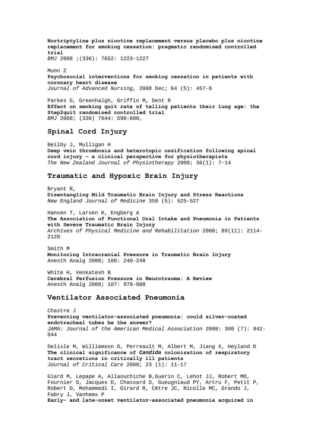**Nortriptyline plus nicotine replacement versus placebo plus nicotine replacement for smoking cessation: pragmatic randomised controlled trial** *BMJ* 2008 ;(336): 7652: 1223-1227

Munn Z **[Psychosocial interventions for smoking cessation in patients with](http://web.ebscohost.com/ehost/viewarticle?data=dGJyMPPp44rp2%2fdV0%2bnjisfk5Ie46bdQtai2S7ak63nn5Kx95uXxjL6orUm0pbBIrq%2beUbipt1Kyq55Zy5zyit%2fk8Xnh6ueH7N%2fiVaunskixprROtqiuPurX7H%2b72%2bw%2b4ti7e7bepIzf3btZzJzfhruorkmup7BLsK63PuTl8IXf6rt%2b8%2bLqjOPu8gAA&hid=12)  [coronary heart disease](http://web.ebscohost.com/ehost/viewarticle?data=dGJyMPPp44rp2%2fdV0%2bnjisfk5Ie46bdQtai2S7ak63nn5Kx95uXxjL6orUm0pbBIrq%2beUbipt1Kyq55Zy5zyit%2fk8Xnh6ueH7N%2fiVaunskixprROtqiuPurX7H%2b72%2bw%2b4ti7e7bepIzf3btZzJzfhruorkmup7BLsK63PuTl8IXf6rt%2b8%2bLqjOPu8gAA&hid=12)** *Journal of Advanced Nursing*, 2008 Dec; 64 (5): 457-8

Parkes G, Greenhalgh, Griffin M, Dent R **Effect on smoking quit rate of telling patients their lung age: the Step2quit randomised controlled trial** *BMJ* 2008; (336) 7644: 598-600,

#### **Spinal Cord Injury**

Beilby J, Mulligan H **Deep vein thrombosis and heterotopic ossification following spinal cord injury – a clinical perspective for physiotherapists**  *The New Zealand Journal of Physiotherapy* 2008; 36(1): 7-14

# **Traumatic and Hypoxic Brain Injury**

Bryant R, **Disentangling Mild Traumatic Brain Injury and Stress Reactions**  *New England Journal of Medicine* 358 (5): 525-527

Hansen T, Larsen K, Engberg A **The Association of Functional Oral Intake and Pneumonia in Patients with Severe Traumatic Brain Injury** *Archives of Physical Medicine and Rehabilitation* 2008; 89(11): 2114- 2120

Smith M **Monitoring Intracranial Pressure in Traumatic Brain Injury** Anesth Analg 2008; 106: 240-248

White H, Venkatesh B **Cerebral Perfusion Pressure in Neurotrauma: A Review** Anesth Analg 2008; 107: 979-988

## **Ventilator Associated Pneumonia**

Chastre J **Preventing ventilator-associated pneumonia: could silver-coated endotracheal tubes be the answer?**  *JAMA: Journal of the American Medical Association* 2008: 300 (7): 842- 844

Delisle M, Williamson D, Perreault M, Albert M, Jiang X, Heyland D **[The clinical significance of](http://www.jccjournal.org/article/S0883-9441(08)00019-1/abstract)** *[Candida](http://www.jccjournal.org/article/S0883-9441(08)00019-1/abstract)* **[colonization of respiratory](http://www.jccjournal.org/article/S0883-9441(08)00019-1/abstract)  [tract secretions in critically ill patients](http://www.jccjournal.org/article/S0883-9441(08)00019-1/abstract)** *Journal of Critical Care* 2008; 23 (1): 11-17

Giard M, Lepape A, Allaouchiche B,Guerin C, Lehot JJ, Robert MO, Fournier G, Jacques D, Chassard D, Gueugniaud PY, Artru F, Petit P, Robert D, Mohammedi I, Girard R, Cêtre JC, Nicolle MC, Grando J, Fabry J, Vanhems P **Early- and late-onset ventilator-associated pneumonia acquired in**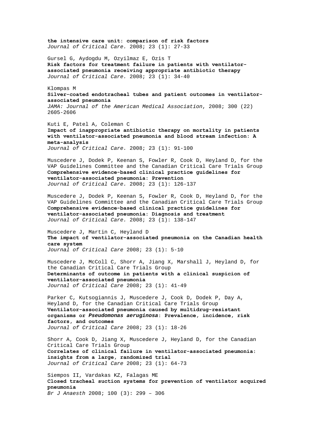**[the intensive care unit: comparison of risk factors](http://www.jccjournal.org/article/S0883-9441(07)00110-4/abstract)**  *Journal of Critical Care.* 2008; 23 (1): 27-33 Gursel G, Aydogdu M, Ozyilmaz E, Ozis T **[Risk factors for treatment failure in patients with ventilator](http://www.jccjournal.org/article/S0883-9441(08)00020-8/abstract)[associated pneumonia receiving appropriate antibiotic therapy](http://www.jccjournal.org/article/S0883-9441(08)00020-8/abstract)**  *Journal of Critical Care.* 2008; 23 (1): 34-40 Klompas M **Silver-coated endotracheal tubes and patient outcomes in ventilatorassociated pneumonia**  *JAMA: Journal of the American Medical Association*, 2008; 300 (22) 2605-2606 Kuti E, Patel A, Coleman C **[Impact of inappropriate antibiotic therapy on mortality in patients](http://www.jccjournal.org/article/S0883-9441(07)00148-7/abstract)  [with ventilator-associated pneumonia and blood stream infection: A](http://www.jccjournal.org/article/S0883-9441(07)00148-7/abstract)  [meta-analysis](http://www.jccjournal.org/article/S0883-9441(07)00148-7/abstract)**  *Journal of Critical Care.* 2008; 23 (1): 91-100 Muscedere J, Dodek P, Keenan S, Fowler R, Cook D, Heyland D, for the VAP Guidelines Committee and the Canadian Critical Care Trials Group **[Comprehensive evidence-based clinical practice guidelines for](http://www.jccjournal.org/article/S0883-9441(08)00005-1/abstract)  [ventilator-associated pneumonia: Prevention](http://www.jccjournal.org/article/S0883-9441(08)00005-1/abstract)** *Journal of Critical Care.* 2008; 23 (1): 126-137 Muscedere J, Dodek P, Keenan S, Fowler R, Cook D, Heyland D, for the VAP Guidelines Committee and the Canadian Critical Care Trials Group **[Comprehensive evidence-based clinical practice guidelines for](http://www.jccjournal.org/article/S0883-9441(08)00009-9/abstract)  [ventilator-associated pneumonia: Diagnosis and treatment](http://www.jccjournal.org/article/S0883-9441(08)00009-9/abstract)** *Journal of Critical Care.* 2008; 23 (1): 138-147 Muscedere J, Martin C, Heyland D **[The impact of ventilator-associated pneumonia on the Canadian health](http://www.jccjournal.org/article/S0883-9441(08)00004-X/abstract)  [care system](http://www.jccjournal.org/article/S0883-9441(08)00004-X/abstract)**  *Journal of Critical Care* 2008; 23 (1): 5-10 Muscedere J, McColl C, Shorr A, Jiang X, Marshall J, Heyland D, for the Canadian Critical Care Trials Group **[Determinants of outcome in patients with a clinical suspicion of](http://www.jccjournal.org/article/S0883-9441(08)00008-7/abstract)  [ventilator-associated pneumonia](http://www.jccjournal.org/article/S0883-9441(08)00008-7/abstract)** *Journal of Critical Care* 2008; 23 (1): 41-49 Parker C, Kutsogiannis J, Muscedere J, Cook D, Dodek P, Day A, Heyland D, for the Canadian Critical Care Trials Group **[Ventilator-associated pneumonia caused by multidrug-resistant](http://www.jccjournal.org/article/S0883-9441(08)00032-4/abstract)  [organisms or](http://www.jccjournal.org/article/S0883-9441(08)00032-4/abstract)** *[Pseudomonas aeruginosa](http://www.jccjournal.org/article/S0883-9441(08)00032-4/abstract)***[: Prevalence, incidence, risk](http://www.jccjournal.org/article/S0883-9441(08)00032-4/abstract)  [factors, and outcomes](http://www.jccjournal.org/article/S0883-9441(08)00032-4/abstract)**  *Journal of Critical Care* 2008; 23 (1): 18-26 Shorr A, Cook D, Jiang X, Muscedere J, Heyland D, for the Canadian Critical Care Trials Group **[Correlates of clinical failure in ventilator-associated pneumonia:](http://www.jccjournal.org/article/S0883-9441(07)00200-6/abstract)  [insights from a large, randomized trial](http://www.jccjournal.org/article/S0883-9441(07)00200-6/abstract)**  *Journal of Critical Care* 2008; 23 (1): 64-73 Siempos II, Vardakas KZ, Falagas ME **Closed tracheal suction systems for prevention of ventilator acquired pneumonia**  *Br J Anaesth* [2008; 100 \(3\): 299 – 306](http://www.jccjournal.org/article/S0883-9441(07)00110-4/abstract)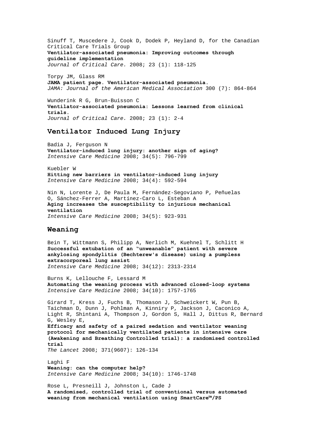Sinuff T, Muscedere J, Cook D, Dodek P, Heyland D, for the Canadian Critical Care Trials Group **[Ventilator-associated pneumonia: Improving outcomes through](http://www.jccjournal.org/article/S0883-9441(08)00007-5/abstract)  [guideline implementation](http://www.jccjournal.org/article/S0883-9441(08)00007-5/abstract)**  *Journal of Critical Care.* 2008; 23 (1): 118-125

Torpy JM, Glass RM **JAMA patient page. Ventilator-associated pneumonia.**  *JAMA: Journal of the American Medical Association* 300 (7): 864-864

Wunderink R G, Brun-Buisson C **Ventilator-associated pneumonia: Lessons learned from clinical trials.**  *Journal of Critical Care.* 2008; 23 (1): 2-4

## **Ventilator Induced Lung Injury**

[Badia](http://www.springerlink.com/content/?Author=Joan+R.+Badia) J, [Ferguson](http://www.springerlink.com/content/?Author=Niall+D.+Ferguson) N **[Ventilator-induced lung injury: another sign of aging?](http://www.springerlink.com/content/j5507mw0n7724631/?p=8dac11f3875a40109b02951686825f20&pi=3)**  *Intensive Care Medicine* 2008; 34(5): 796-799

[Kuebler](http://www.springerlink.com/content/?Author=Wolfgang+M.+Kuebler) W **[Hitting new barriers in ventilator-induced lung injury](http://www.springerlink.com/content/n2m1p2t4260636h4/?p=bb11e35218234b049057c8140c5e05e3&pi=1)**  *Intensive Care Medicine* 2008; 34(4): 592-594

[Nin](http://www.springerlink.com/content/?Author=Nicol%c3%a1s+Nin) N, [Lorente](http://www.springerlink.com/content/?Author=Jos%c3%a9+A.+Lorente) J, [De Paula](http://www.springerlink.com/content/?Author=Marta+De+Paula) M[, Fernández-Segoviano](http://www.springerlink.com/content/?Author=Pilar+Fern%c3%a1ndez-Segoviano) P, [Peñuelas](http://www.springerlink.com/content/?Author=Oscar+Pe%c3%b1uelas)  O, [Sánchez-Ferrer](http://www.springerlink.com/content/?Author=Alberto+S%c3%a1nchez-Ferrer) A, [Martínez-Caro](http://www.springerlink.com/content/?Author=Leticia+Mart%c3%adnez-Caro) L, [Esteban](http://www.springerlink.com/content/?Author=Andr%c3%a9s+Esteban) A **[Aging increases the susceptibility to injurious mechanical](http://www.springerlink.com/content/9078q7nh75193360/?p=3dbdbfc70ba64d6d8e75116ff9ff4a3c&pi=19)  [ventilation](http://www.springerlink.com/content/9078q7nh75193360/?p=3dbdbfc70ba64d6d8e75116ff9ff4a3c&pi=19)**  *Intensive Care Medicine* 2008; 34(5): 923-931

#### **Weaning**

[Bein](http://www.springerlink.com/content/?Author=Thomas+Bein) T, [Wittmann](http://www.springerlink.com/content/?Author=Sigrid+Wittmann) S, [Philipp](http://www.springerlink.com/content/?Author=Alois+Philipp) A, [Nerlich](http://www.springerlink.com/content/?Author=Michael+Nerlich) M, [Kuehnel](http://www.springerlink.com/content/?Author=Thomas+Kuehnel) T, [Schlitt](http://www.springerlink.com/content/?Author=Hans+Juergen+Schlitt) H **[Successful extubation of an "unweanable" patient with severe](http://www.springerlink.com/content/c1745w1q5lrrj677/?p=e19973dc296a497c8375ba42b1c32933&pi=33)  [ankylosing spondylitis \(Bechterew's disease\) using a pumpless](http://www.springerlink.com/content/c1745w1q5lrrj677/?p=e19973dc296a497c8375ba42b1c32933&pi=33)  [extracorporeal lung assist](http://www.springerlink.com/content/c1745w1q5lrrj677/?p=e19973dc296a497c8375ba42b1c32933&pi=33)**  *Intensive Care Medicine* 2008; 34(12): 2313-2314

[Burns](http://www.springerlink.com/content/?Author=Karen+E.+A.+Burns) K, [Lellouche](http://www.springerlink.com/content/?Author=Francois+Lellouche) F, [Lessard](http://www.springerlink.com/content/?Author=Martin+R.+Lessard) M **[Automating the weaning process with advanced closed-loop systems](http://www.springerlink.com/content/j13v400432128355/?p=af3cdd73c44e45f788c60cf812383ae9&pi=5)**  *Intensive Care Medicine* 2008; 34(10): 1757-1765

Girard T, Kress J, Fuchs B, Thomason J, Schweickert W, Pun B, Taichman D, Dunn J, Pohlman A, Kinniry P, Jackson J, Caconico A, Light R, Shintani A, Thompson J, Gordon S, Hall J, Dittus R, Bernard G, Wesley E, **Efficacy and safety of a paired sedation and ventilator weaning protocol for mechanically ventilated patients in intensive care (Awakening and Breathing Controlled trial): a randomised controlled** 

**trial**  *The Lancet* 2008; 371(9607): 126-134

[Laghi](http://www.springerlink.com/content/?Author=Franco+Laghi) F **[Weaning: can the computer help?](http://www.springerlink.com/content/1h0776757771l35q/?p=af3cdd73c44e45f788c60cf812383ae9&pi=1)**  *Intensive Care Medicine* 2008; 34(10): 1746-1748

[Rose](http://www.springerlink.com/content/?Author=Louise+Rose) L, [Presneill](http://www.springerlink.com/content/?Author=Jeffrey+J.+Presneill) J, [Johnston](http://www.springerlink.com/content/?Author=Linda+Johnston) L, Cade J **[A randomised, controlled trial of conventional versus automated](http://www.springerlink.com/content/08v1vn718364k456/?p=af3cdd73c44e45f788c60cf812383ae9&pi=9)  [weaning from mechanical ventilation using SmartCare™/PS](http://www.springerlink.com/content/08v1vn718364k456/?p=af3cdd73c44e45f788c60cf812383ae9&pi=9)**